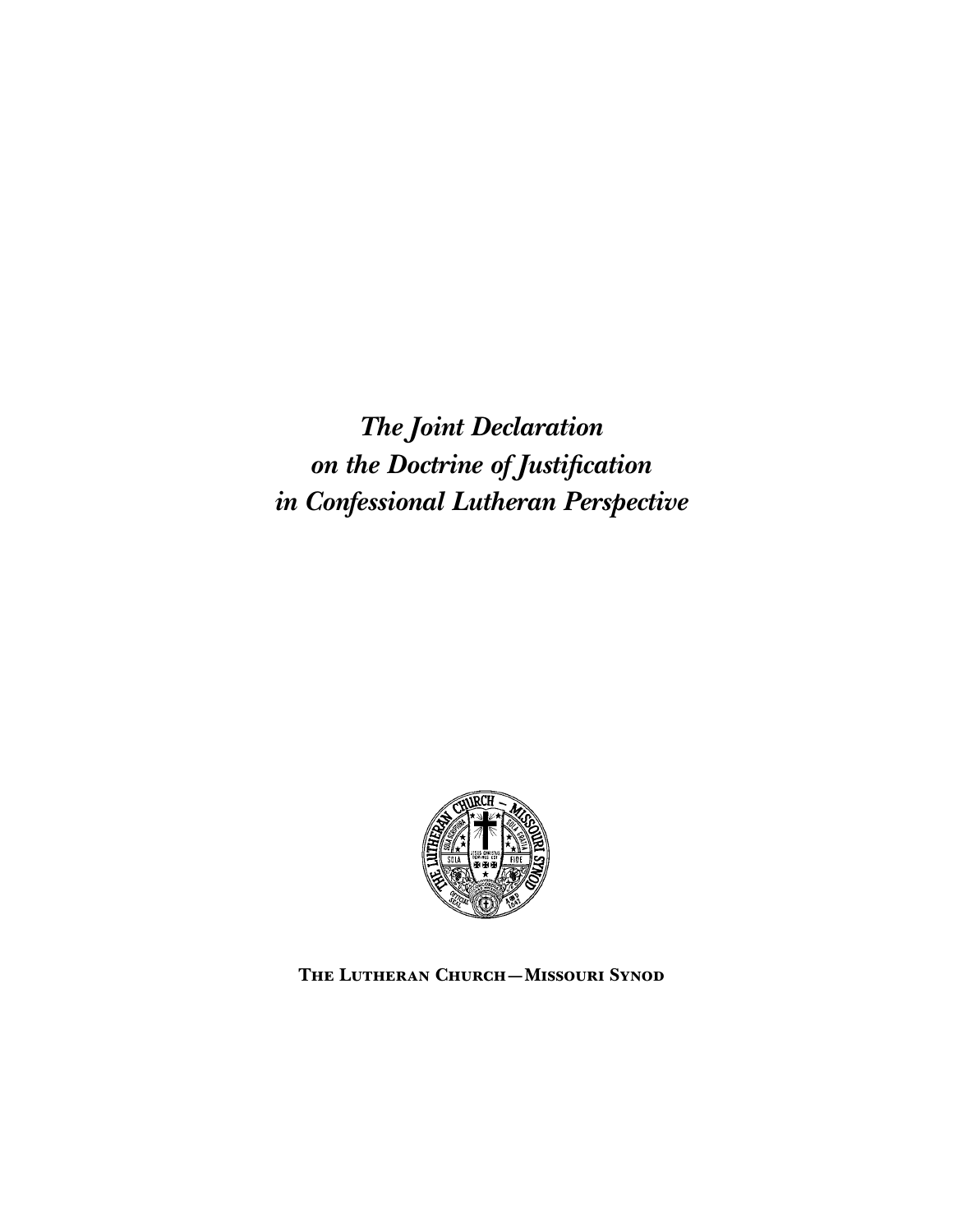*The Joint Declaration on the Doctrine of Justification in Confessional Lutheran Perspective*



**The Lutheran Church—Missouri Synod**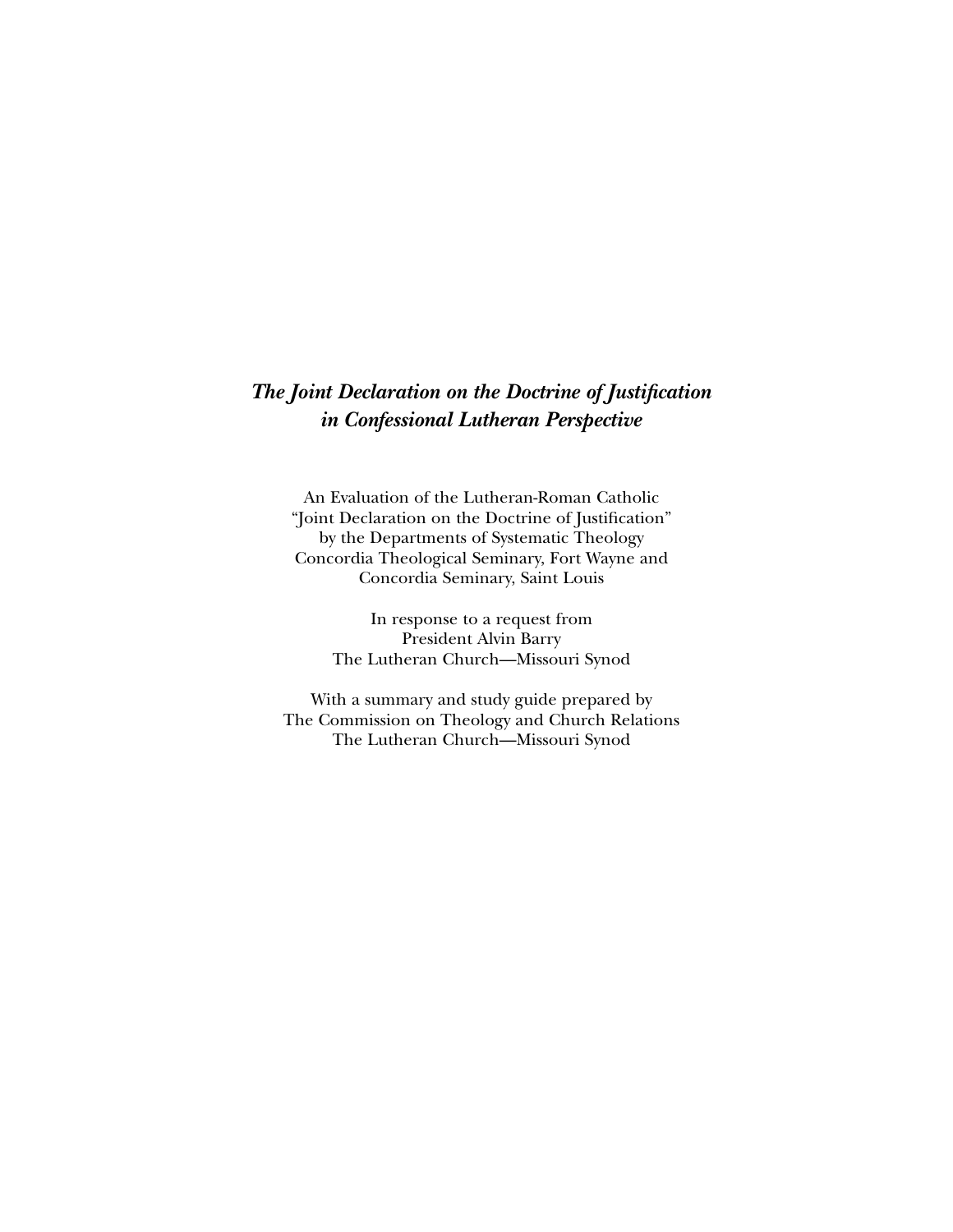# *The Joint Declaration on the Doctrine of Justification in Confessional Lutheran Perspective*

An Evaluation of the Lutheran-Roman Catholic "Joint Declaration on the Doctrine of Justification" by the Departments of Systematic Theology Concordia Theological Seminary, Fort Wayne and Concordia Seminary, Saint Louis

> In response to a request from President Alvin Barry The Lutheran Church—Missouri Synod

With a summary and study guide prepared by The Commission on Theology and Church Relations The Lutheran Church—Missouri Synod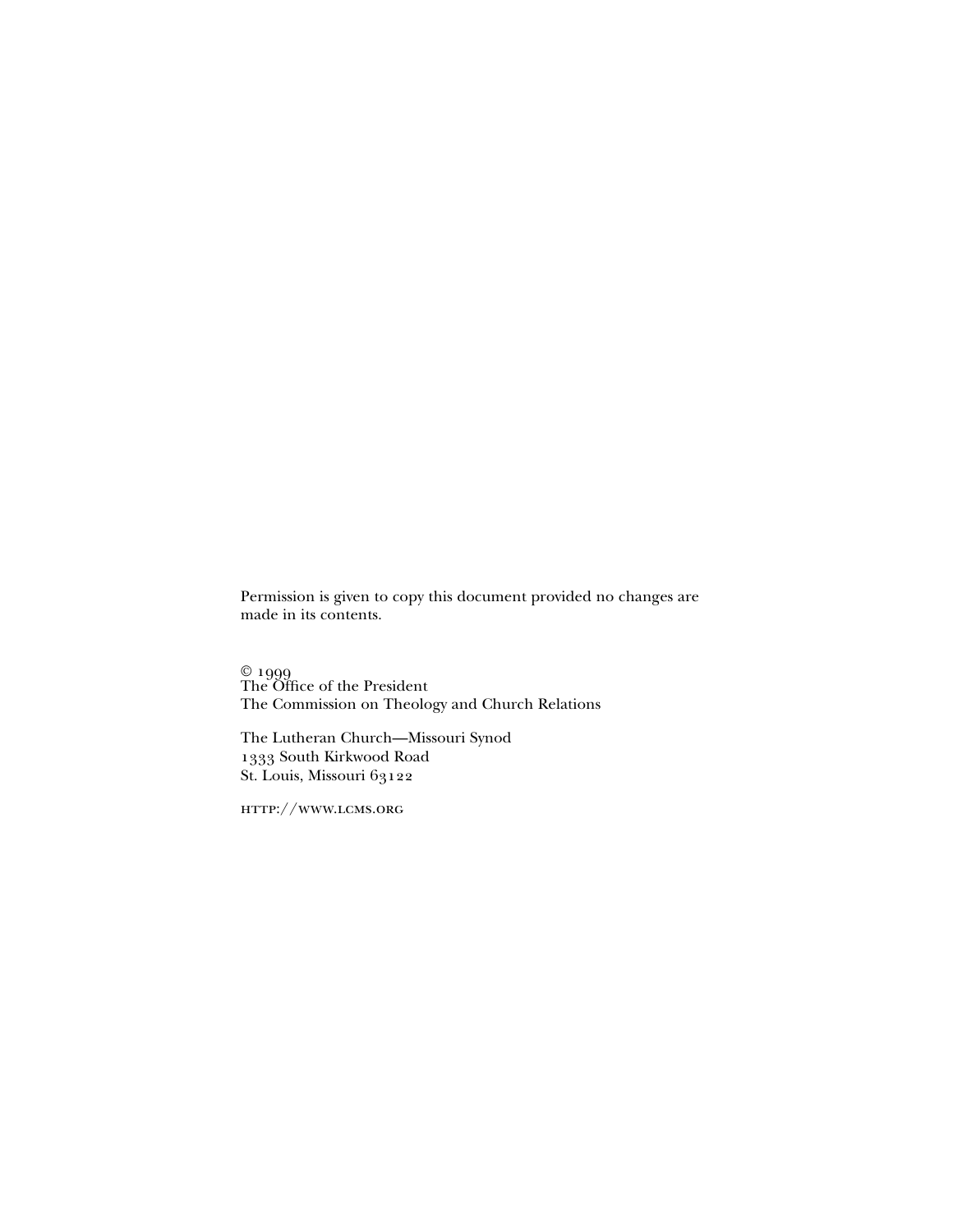Permission is given to copy this document provided no changes are made in its contents.

© 1999 The Office of the President The Commission on Theology and Church Relations

The Lutheran Church—Missouri Synod 1333 South Kirkwood Road St. Louis, Missouri 63122

http://www.lcms.org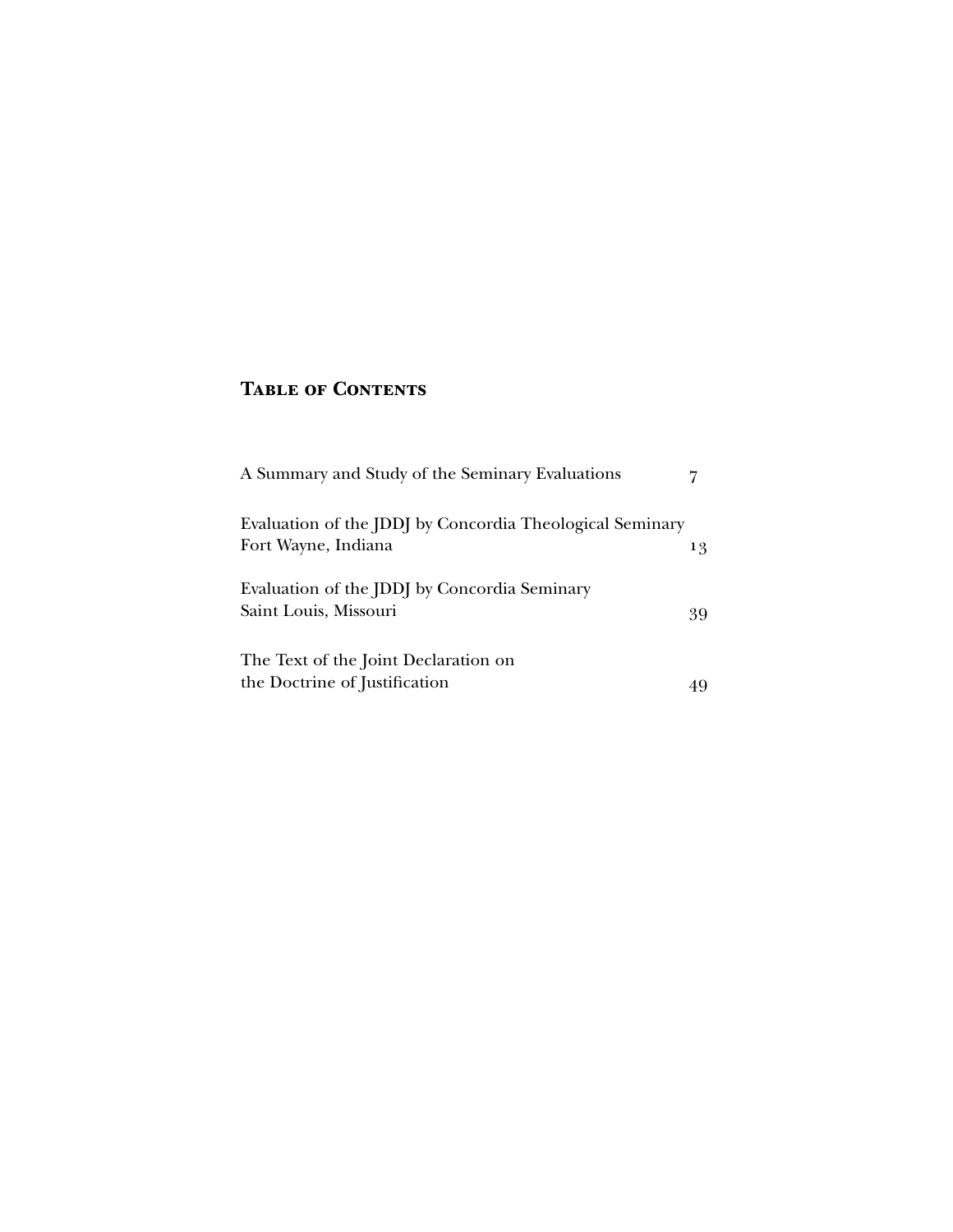# **Table of Contents**

| A Summary and Study of the Seminary Evaluations                                 |    |
|---------------------------------------------------------------------------------|----|
| Evaluation of the JDDJ by Concordia Theological Seminary<br>Fort Wayne, Indiana | 13 |
| Evaluation of the JDDJ by Concordia Seminary<br>Saint Louis, Missouri           | 39 |
| The Text of the Joint Declaration on<br>the Doctrine of Justification           |    |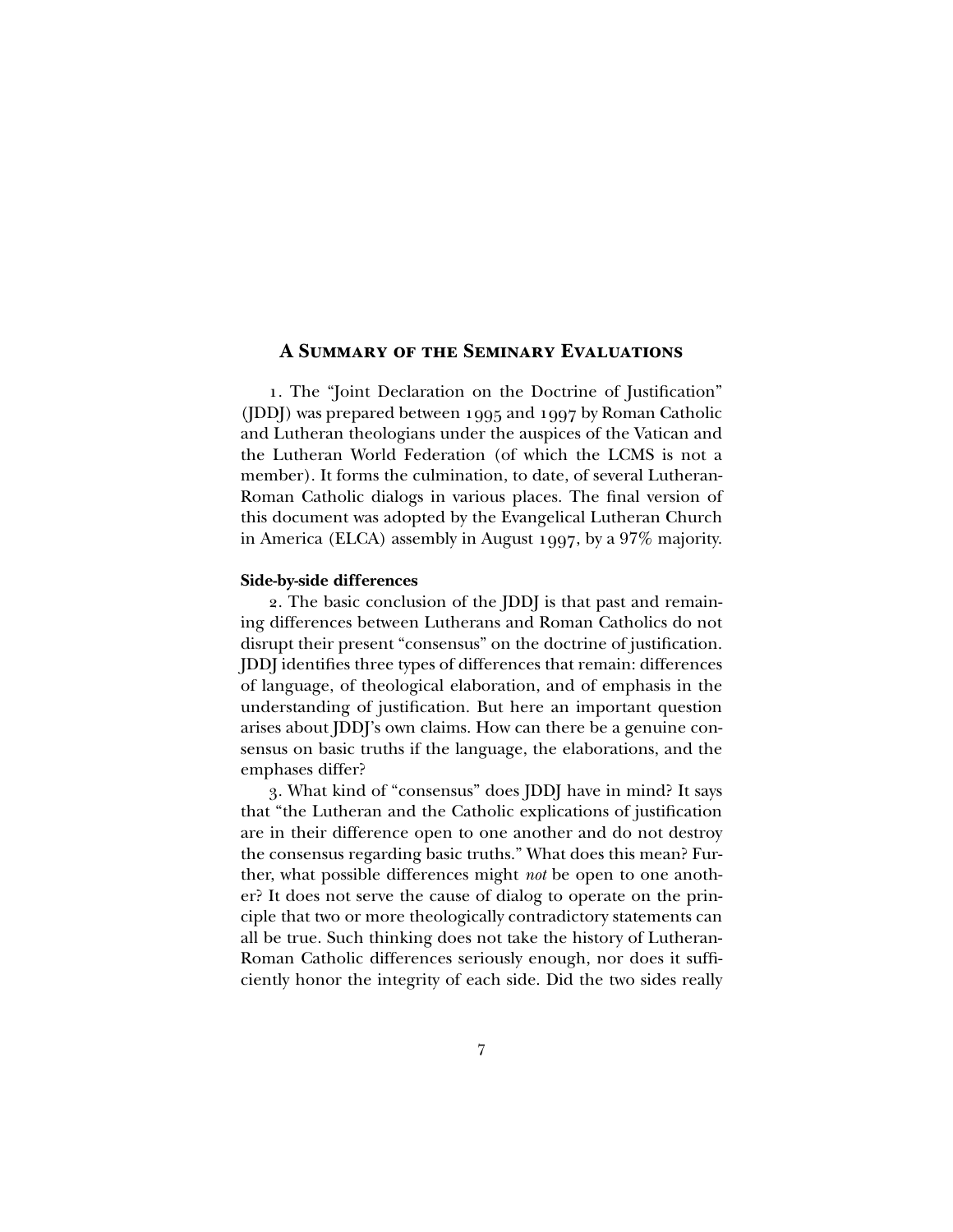## **A Summary of the Seminary Evaluations**

1. The "Joint Declaration on the Doctrine of Justification" (JDDJ) was prepared between 1995 and 1997 by Roman Catholic and Lutheran theologians under the auspices of the Vatican and the Lutheran World Federation (of which the LCMS is not a member). It forms the culmination, to date, of several Lutheran-Roman Catholic dialogs in various places. The final version of this document was adopted by the Evangelical Lutheran Church in America (ELCA) assembly in August 1997, by a 97% majority.

## **Side-by-side differences**

2. The basic conclusion of the JDDJ is that past and remaining differences between Lutherans and Roman Catholics do not disrupt their present "consensus" on the doctrine of justification. JDDJ identifies three types of differences that remain: differences of language, of theological elaboration, and of emphasis in the understanding of justification. But here an important question arises about JDDJ's own claims. How can there be a genuine consensus on basic truths if the language, the elaborations, and the emphases differ?

3. What kind of "consensus" does JDDJ have in mind? It says that "the Lutheran and the Catholic explications of justification are in their difference open to one another and do not destroy the consensus regarding basic truths." What does this mean? Further, what possible differences might *not* be open to one another? It does not serve the cause of dialog to operate on the principle that two or more theologically contradictory statements can all be true. Such thinking does not take the history of Lutheran-Roman Catholic differences seriously enough, nor does it sufficiently honor the integrity of each side. Did the two sides really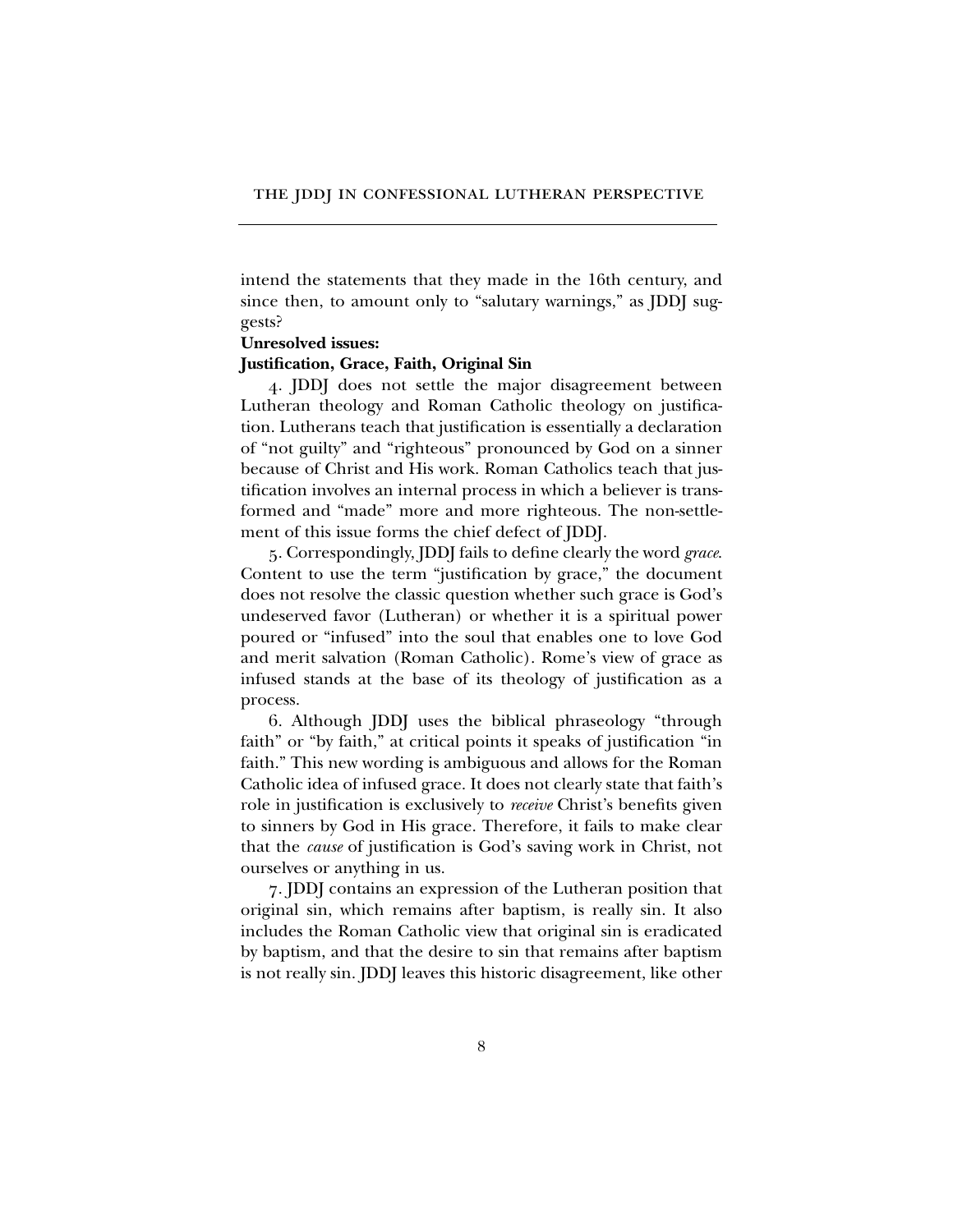intend the statements that they made in the 16th century, and since then, to amount only to "salutary warnings," as JDDJ suggests?

### **Unresolved issues:**

### **Justification, Grace, Faith, Original Sin**

4. JDDJ does not settle the major disagreement between Lutheran theology and Roman Catholic theology on justification. Lutherans teach that justification is essentially a declaration of "not guilty" and "righteous" pronounced by God on a sinner because of Christ and His work. Roman Catholics teach that justification involves an internal process in which a believer is transformed and "made" more and more righteous. The non-settlement of this issue forms the chief defect of JDDJ.

5. Correspondingly, JDDJ fails to define clearly the word *grace*. Content to use the term "justification by grace," the document does not resolve the classic question whether such grace is God's undeserved favor (Lutheran) or whether it is a spiritual power poured or "infused" into the soul that enables one to love God and merit salvation (Roman Catholic). Rome's view of grace as infused stands at the base of its theology of justification as a process.

6. Although JDDJ uses the biblical phraseology "through faith" or "by faith," at critical points it speaks of justification "in faith." This new wording is ambiguous and allows for the Roman Catholic idea of infused grace. It does not clearly state that faith's role in justification is exclusively to *receive* Christ's benefits given to sinners by God in His grace. Therefore, it fails to make clear that the *cause* of justification is God's saving work in Christ, not ourselves or anything in us.

7. JDDJ contains an expression of the Lutheran position that original sin, which remains after baptism, is really sin. It also includes the Roman Catholic view that original sin is eradicated by baptism, and that the desire to sin that remains after baptism is not really sin. JDDJ leaves this historic disagreement, like other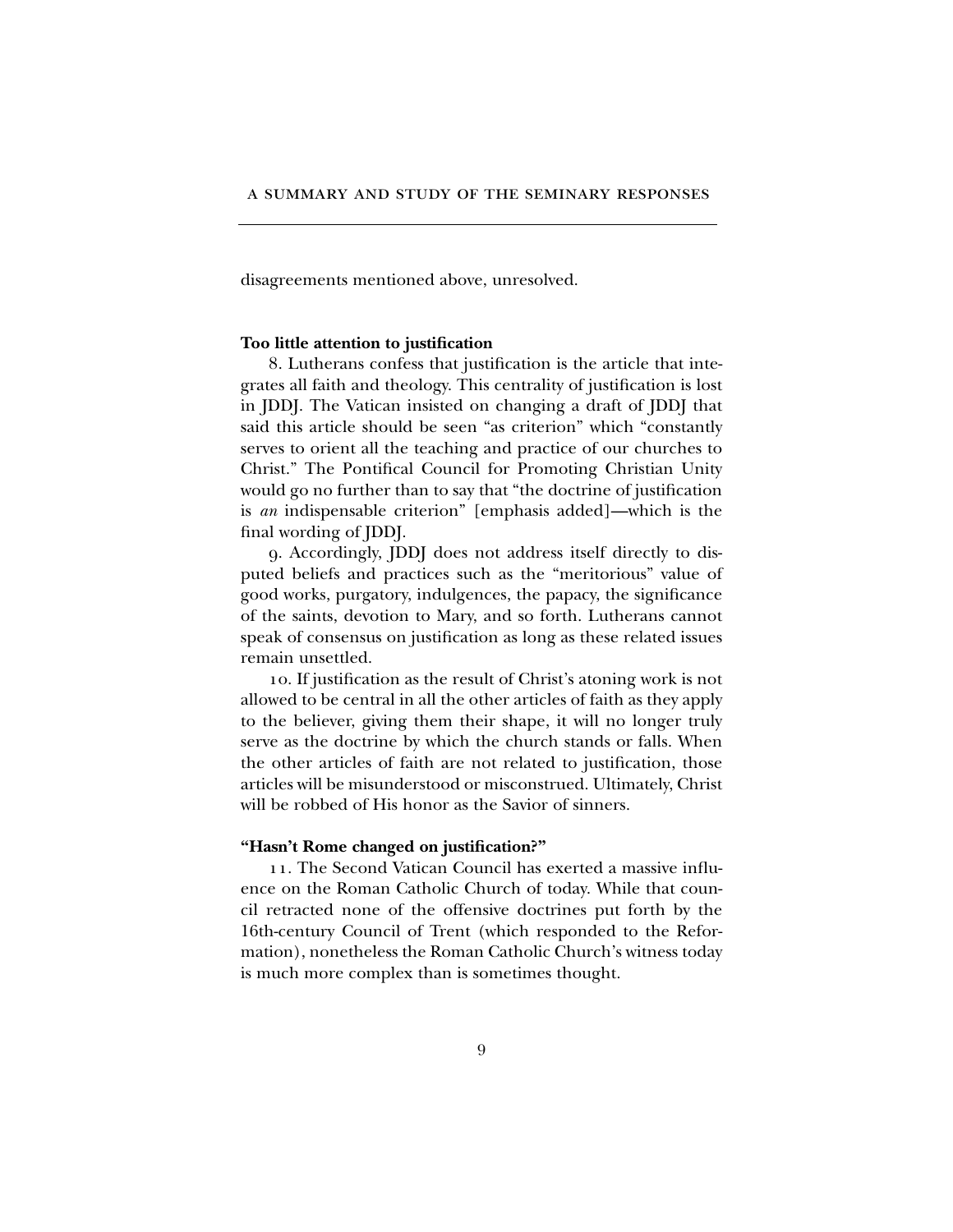disagreements mentioned above, unresolved.

### **Too little attention to justification**

8. Lutherans confess that justification is the article that integrates all faith and theology. This centrality of justification is lost in JDDJ. The Vatican insisted on changing a draft of JDDJ that said this article should be seen "as criterion" which "constantly serves to orient all the teaching and practice of our churches to Christ." The Pontifical Council for Promoting Christian Unity would go no further than to say that "the doctrine of justification is *an* indispensable criterion" [emphasis added]—which is the final wording of JDDJ.

9. Accordingly, JDDJ does not address itself directly to disputed beliefs and practices such as the "meritorious" value of good works, purgatory, indulgences, the papacy, the significance of the saints, devotion to Mary, and so forth. Lutherans cannot speak of consensus on justification as long as these related issues remain unsettled.

10. If justification as the result of Christ's atoning work is not allowed to be central in all the other articles of faith as they apply to the believer, giving them their shape, it will no longer truly serve as the doctrine by which the church stands or falls. When the other articles of faith are not related to justification, those articles will be misunderstood or misconstrued. Ultimately, Christ will be robbed of His honor as the Savior of sinners.

## **"Hasn't Rome changed on justification?"**

11. The Second Vatican Council has exerted a massive influence on the Roman Catholic Church of today. While that council retracted none of the offensive doctrines put forth by the 16th-century Council of Trent (which responded to the Reformation), nonetheless the Roman Catholic Church's witness today is much more complex than is sometimes thought.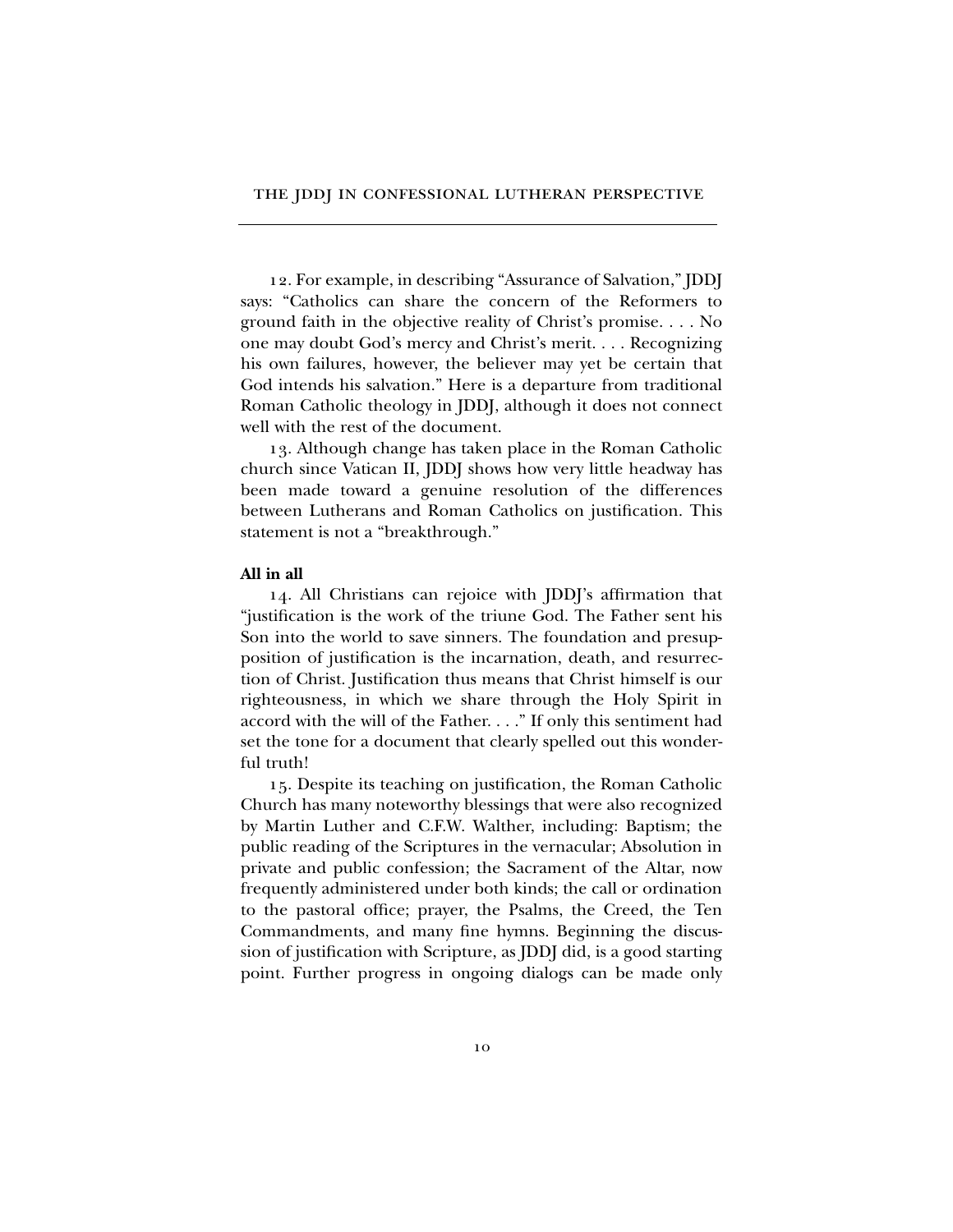12. For example, in describing "Assurance of Salvation," JDDJ says: "Catholics can share the concern of the Reformers to ground faith in the objective reality of Christ's promise. . . . No one may doubt God's mercy and Christ's merit. . . . Recognizing his own failures, however, the believer may yet be certain that God intends his salvation." Here is a departure from traditional Roman Catholic theology in JDDJ, although it does not connect well with the rest of the document.

13. Although change has taken place in the Roman Catholic church since Vatican II, JDDJ shows how very little headway has been made toward a genuine resolution of the differences between Lutherans and Roman Catholics on justification. This statement is not a "breakthrough."

### **All in all**

14. All Christians can rejoice with JDDJ's affirmation that "justification is the work of the triune God. The Father sent his Son into the world to save sinners. The foundation and presupposition of justification is the incarnation, death, and resurrection of Christ. Justification thus means that Christ himself is our righteousness, in which we share through the Holy Spirit in accord with the will of the Father. . . ." If only this sentiment had set the tone for a document that clearly spelled out this wonderful truth!

15. Despite its teaching on justification, the Roman Catholic Church has many noteworthy blessings that were also recognized by Martin Luther and C.F.W. Walther, including: Baptism; the public reading of the Scriptures in the vernacular; Absolution in private and public confession; the Sacrament of the Altar, now frequently administered under both kinds; the call or ordination to the pastoral office; prayer, the Psalms, the Creed, the Ten Commandments, and many fine hymns. Beginning the discussion of justification with Scripture, as JDDJ did, is a good starting point. Further progress in ongoing dialogs can be made only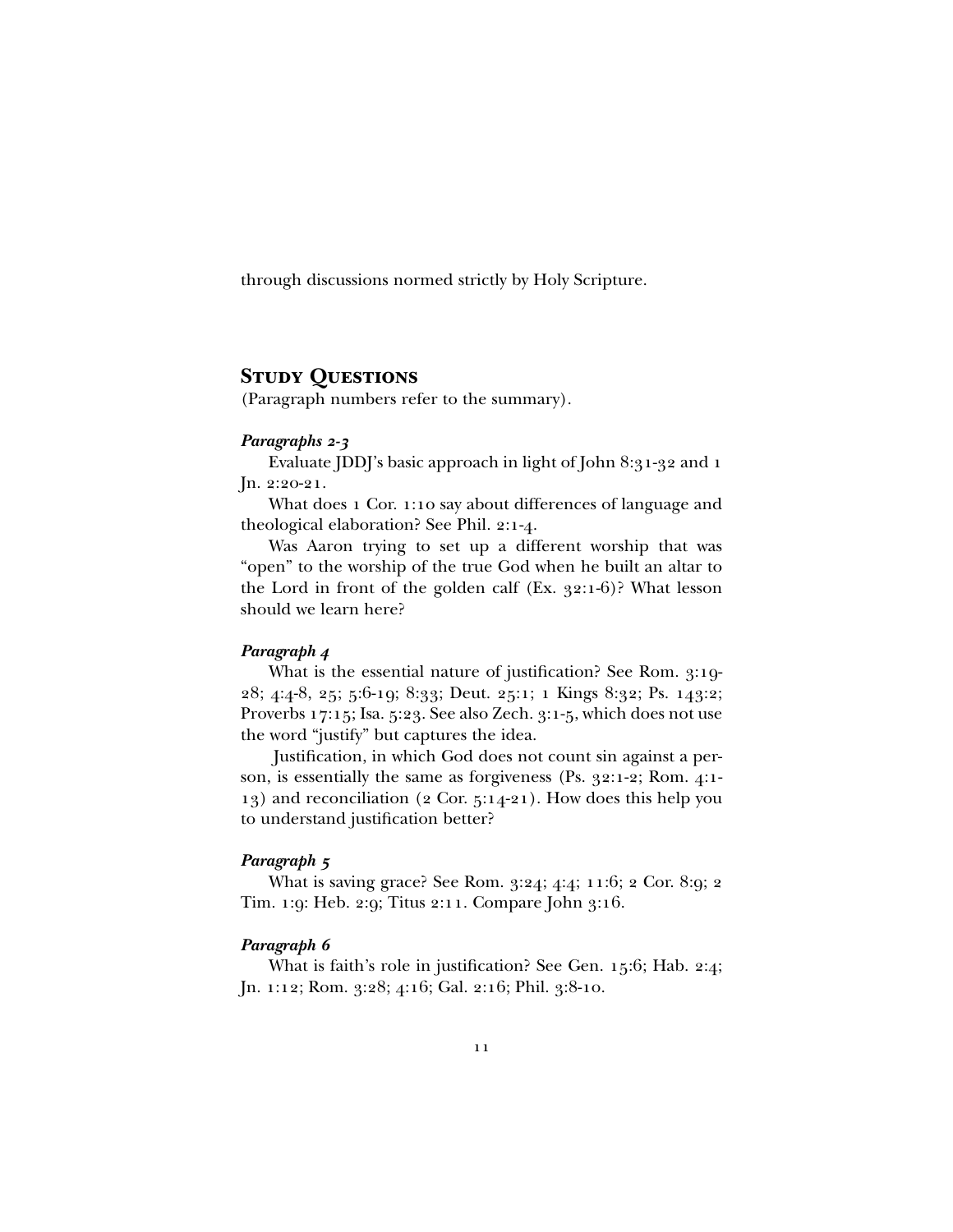through discussions normed strictly by Holy Scripture.

## **Study Questions**

(Paragraph numbers refer to the summary).

## *Paragraphs 2-3*

Evaluate JDDJ's basic approach in light of John 8:31-32 and 1 Jn. 2:20-21.

What does 1 Cor. 1:10 say about differences of language and theological elaboration? See Phil. 2:1-4.

Was Aaron trying to set up a different worship that was "open" to the worship of the true God when he built an altar to the Lord in front of the golden calf (Ex. 32:1-6)? What lesson should we learn here?

## *Paragraph 4*

What is the essential nature of justification? See Rom. 3:19- 28; 4:4-8, 25; 5:6-19; 8:33; Deut. 25:1; 1 Kings 8:32; Ps. 143:2; Proverbs 17:15; Isa. 5:23. See also Zech. 3:1-5, which does not use the word "justify" but captures the idea.

Justification, in which God does not count sin against a person, is essentially the same as forgiveness (Ps. 32:1-2; Rom. 4:1- 13) and reconciliation (2 Cor. 5:14-21). How does this help you to understand justification better?

## *Paragraph 5*

What is saving grace? See Rom. 3:24; 4:4; 11:6; 2 Cor. 8:9; 2 Tim. 1:9: Heb. 2:9; Titus 2:11. Compare John 3:16.

## *Paragraph 6*

What is faith's role in justification? See Gen. 15:6; Hab. 2:4; Jn. 1:12; Rom. 3:28; 4:16; Gal. 2:16; Phil. 3:8-10.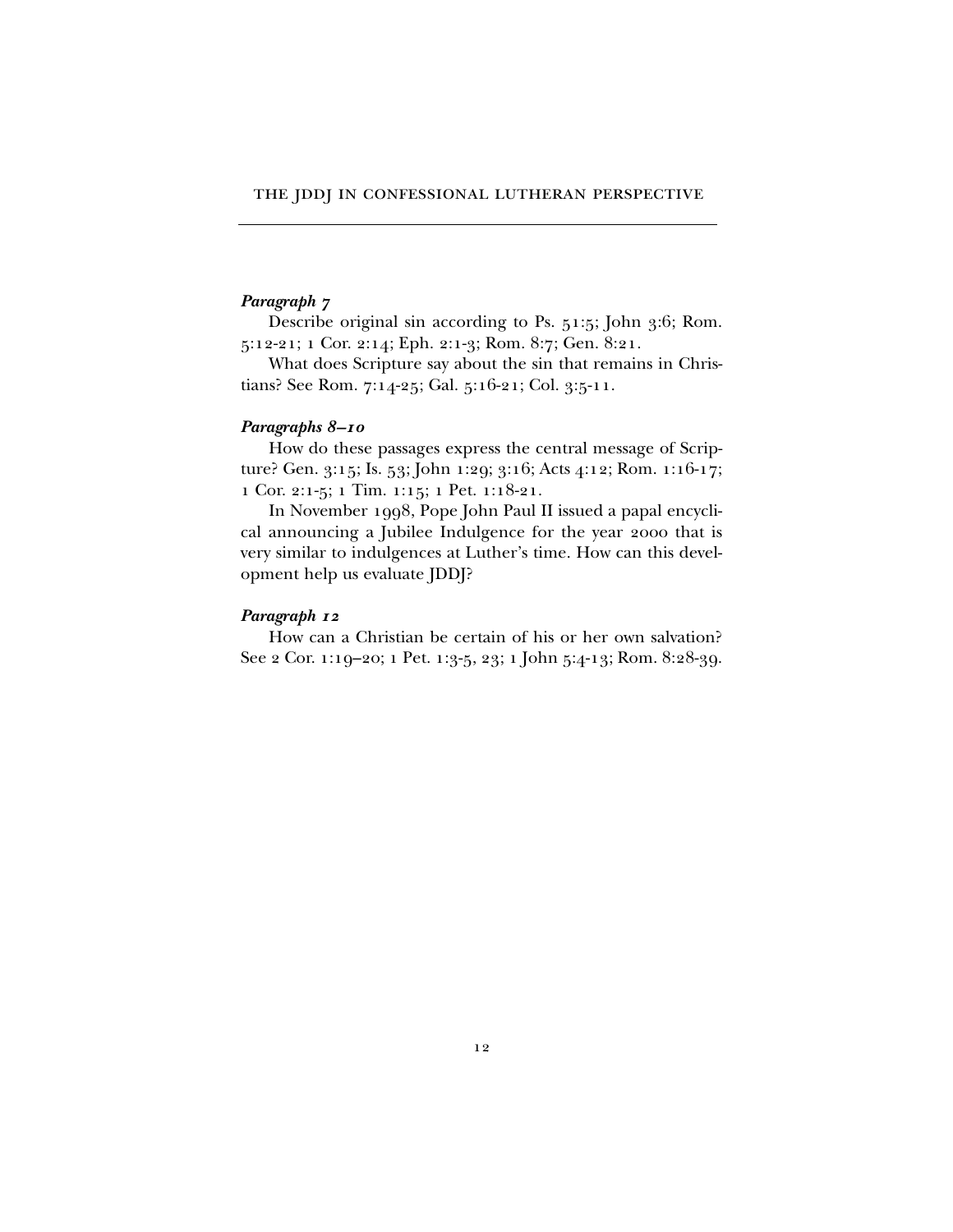## *Paragraph 7*

Describe original sin according to Ps. 51:5; John 3:6; Rom. 5:12-21; 1 Cor. 2:14; Eph. 2:1-3; Rom. 8:7; Gen. 8:21.

What does Scripture say about the sin that remains in Christians? See Rom. 7:14-25; Gal. 5:16-21; Col. 3:5-11.

## *Paragraphs 8–10*

How do these passages express the central message of Scripture? Gen. 3:15; Is. 53; John 1:29; 3:16; Acts 4:12; Rom. 1:16-17; 1 Cor. 2:1-5; 1 Tim. 1:15; 1 Pet. 1:18-21.

In November 1998, Pope John Paul II issued a papal encyclical announcing a Jubilee Indulgence for the year 2000 that is very similar to indulgences at Luther's time. How can this development help us evaluate JDDJ?

## *Paragraph 12*

How can a Christian be certain of his or her own salvation? See 2 Cor. 1:19–20; 1 Pet. 1:3-5, 23; 1 John 5:4-13; Rom. 8:28-39.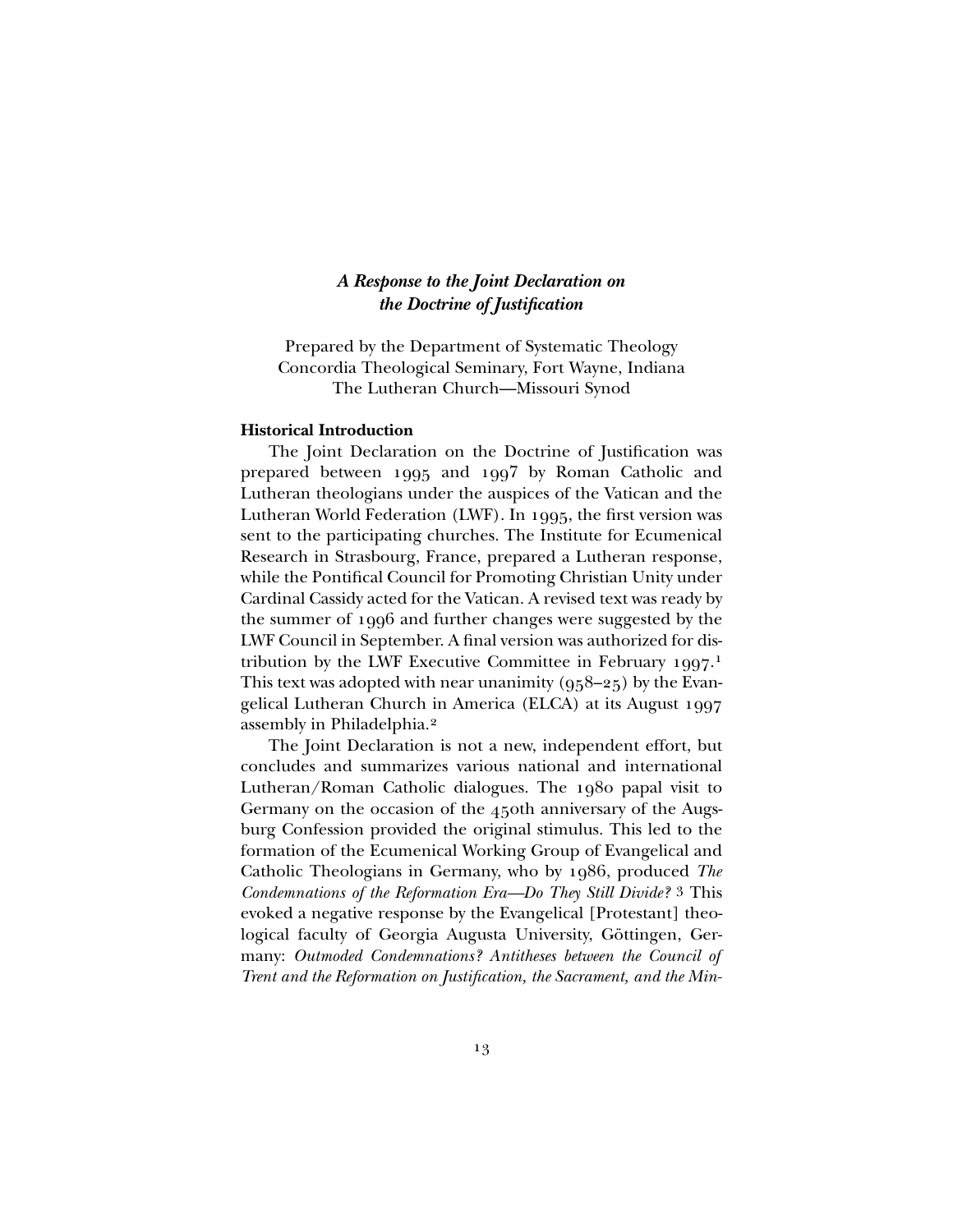## *A Response to the Joint Declaration on the Doctrine of Justification*

Prepared by the Department of Systematic Theology Concordia Theological Seminary, Fort Wayne, Indiana The Lutheran Church—Missouri Synod

### **Historical Introduction**

The Joint Declaration on the Doctrine of Justification was prepared between 1995 and 1997 by Roman Catholic and Lutheran theologians under the auspices of the Vatican and the Lutheran World Federation (LWF). In 1995, the first version was sent to the participating churches. The Institute for Ecumenical Research in Strasbourg, France, prepared a Lutheran response, while the Pontifical Council for Promoting Christian Unity under Cardinal Cassidy acted for the Vatican. A revised text was ready by the summer of 1996 and further changes were suggested by the LWF Council in September. A final version was authorized for distribution by the LWF Executive Committee in February 1997. 1 This text was adopted with near unanimity  $(958-25)$  by the Evangelical Lutheran Church in America (ELCA) at its August 1997 assembly in Philadelphia.2

The Joint Declaration is not a new, independent effort, but concludes and summarizes various national and international Lutheran/Roman Catholic dialogues. The 1980 papal visit to Germany on the occasion of the 450th anniversary of the Augsburg Confession provided the original stimulus. This led to the formation of the Ecumenical Working Group of Evangelical and Catholic Theologians in Germany, who by 1986, produced *The Condemnations of the Reformation Era—Do They Still Divide?* 3 This evoked a negative response by the Evangelical [Protestant] theological faculty of Georgia Augusta University, Göttingen, Germany: *Outmoded Condemnations? Antitheses between the Council of Trent and the Reformation on Justification, the Sacrament, and the Min-*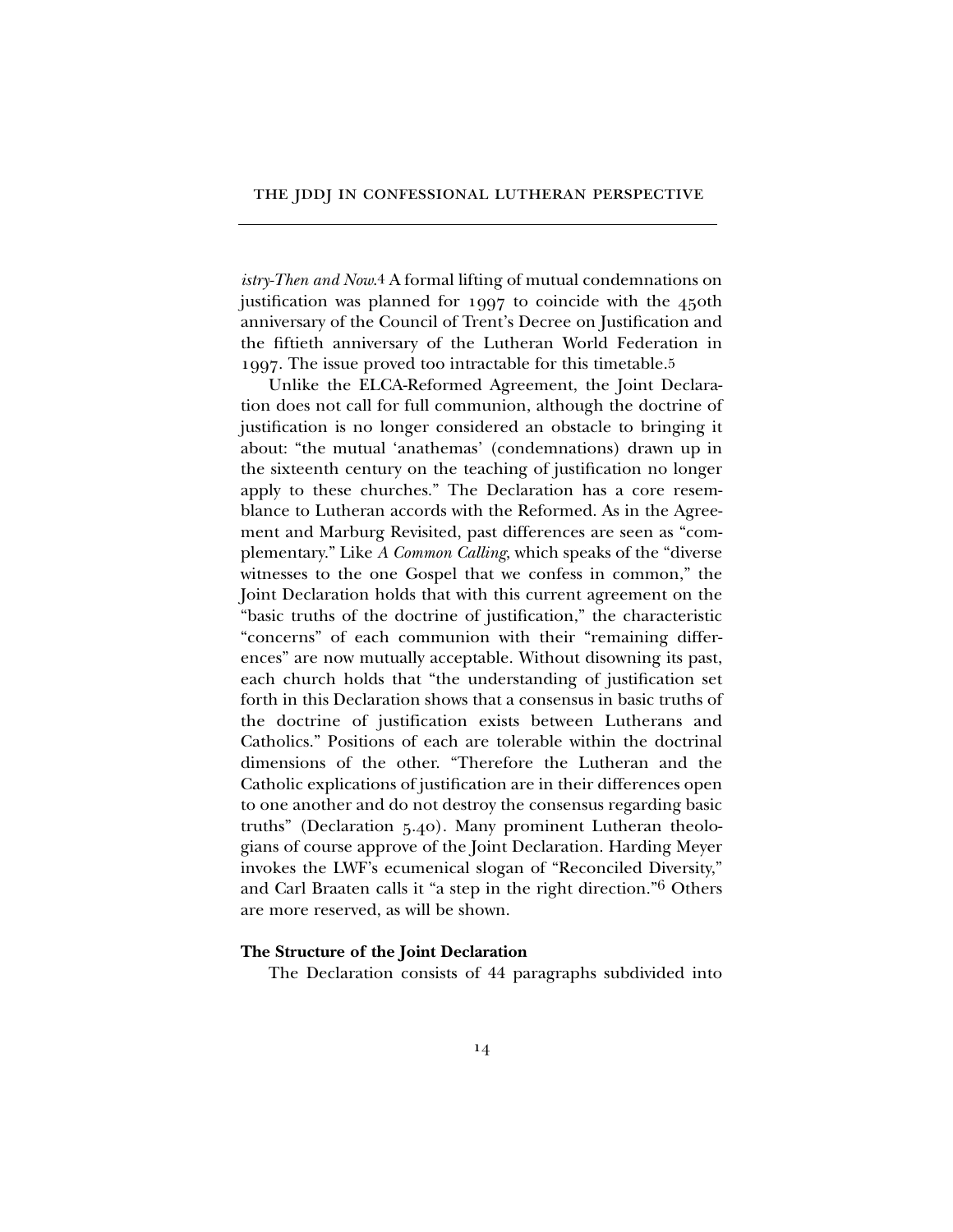*istry-Then and Now*. 4 A formal lifting of mutual condemnations on justification was planned for 1997 to coincide with the 450th anniversary of the Council of Trent's Decree on Justification and the fiftieth anniversary of the Lutheran World Federation in 1997. The issue proved too intractable for this timetable.5

Unlike the ELCA-Reformed Agreement, the Joint Declaration does not call for full communion, although the doctrine of justification is no longer considered an obstacle to bringing it about: "the mutual 'anathemas' (condemnations) drawn up in the sixteenth century on the teaching of justification no longer apply to these churches." The Declaration has a core resemblance to Lutheran accords with the Reformed. As in the Agreement and Marburg Revisited, past differences are seen as "complementary." Like *A Common Calling*, which speaks of the "diverse witnesses to the one Gospel that we confess in common," the Joint Declaration holds that with this current agreement on the "basic truths of the doctrine of justification," the characteristic "concerns" of each communion with their "remaining differences" are now mutually acceptable. Without disowning its past, each church holds that "the understanding of justification set forth in this Declaration shows that a consensus in basic truths of the doctrine of justification exists between Lutherans and Catholics." Positions of each are tolerable within the doctrinal dimensions of the other. "Therefore the Lutheran and the Catholic explications of justification are in their differences open to one another and do not destroy the consensus regarding basic truths" (Declaration 5.40). Many prominent Lutheran theologians of course approve of the Joint Declaration. Harding Meyer invokes the LWF's ecumenical slogan of "Reconciled Diversity," and Carl Braaten calls it "a step in the right direction."6 Others are more reserved, as will be shown.

## **The Structure of the Joint Declaration**

The Declaration consists of 44 paragraphs subdivided into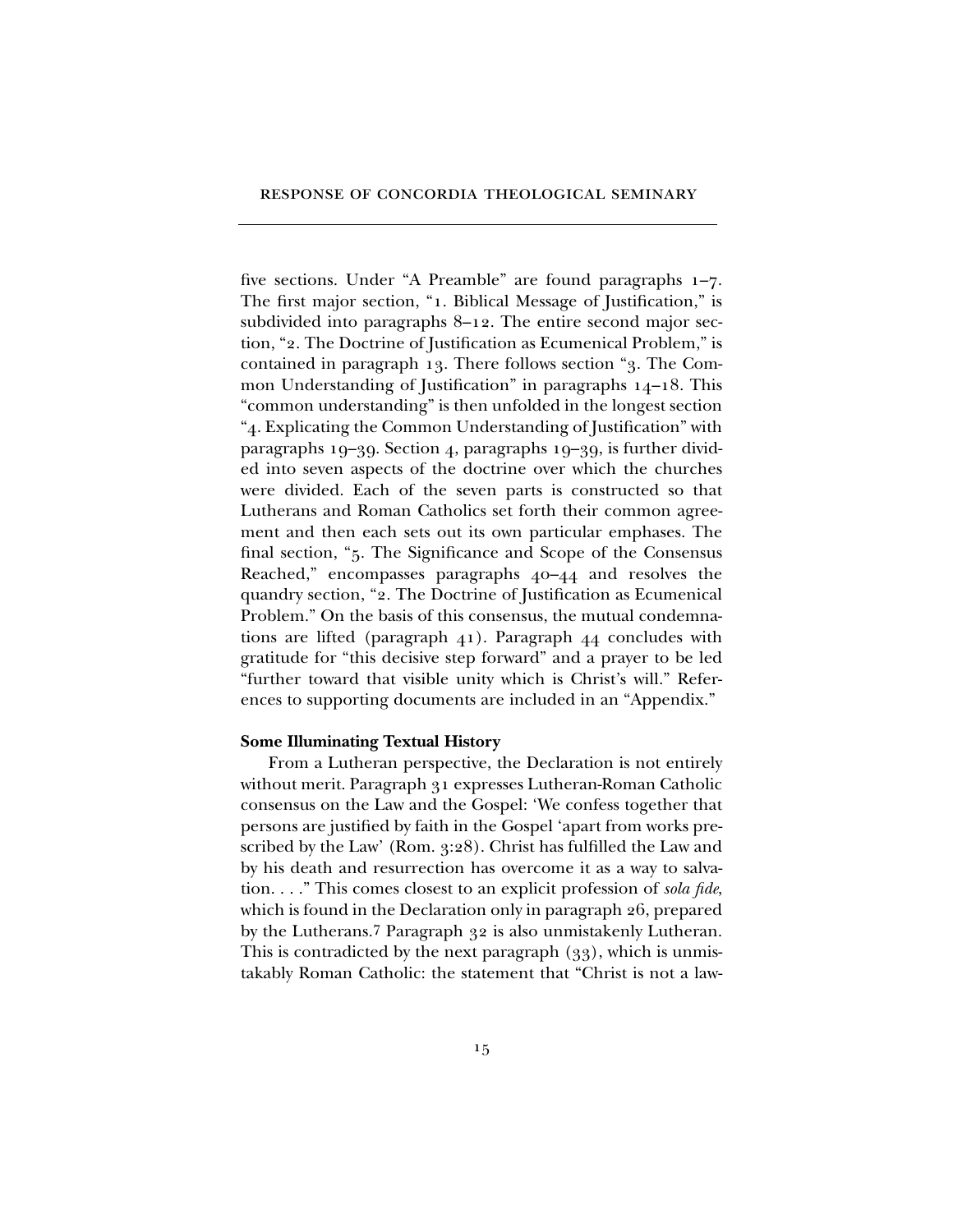five sections. Under "A Preamble" are found paragraphs 1–7. The first major section, "1. Biblical Message of Justification," is subdivided into paragraphs 8–12. The entire second major section, "2. The Doctrine of Justification as Ecumenical Problem," is contained in paragraph 13. There follows section "3. The Common Understanding of Justification" in paragraphs 14–18. This "common understanding" is then unfolded in the longest section "4. Explicating the Common Understanding of Justification" with paragraphs 19–39. Section 4, paragraphs 19–39, is further divided into seven aspects of the doctrine over which the churches were divided. Each of the seven parts is constructed so that Lutherans and Roman Catholics set forth their common agreement and then each sets out its own particular emphases. The final section, "5. The Significance and Scope of the Consensus Reached," encompasses paragraphs 40–44 and resolves the quandry section, "2. The Doctrine of Justification as Ecumenical Problem." On the basis of this consensus, the mutual condemnations are lifted (paragraph 41). Paragraph 44 concludes with gratitude for "this decisive step forward" and a prayer to be led "further toward that visible unity which is Christ's will." References to supporting documents are included in an "Appendix."

## **Some Illuminating Textual History**

From a Lutheran perspective, the Declaration is not entirely without merit. Paragraph 31 expresses Lutheran-Roman Catholic consensus on the Law and the Gospel: 'We confess together that persons are justified by faith in the Gospel 'apart from works prescribed by the Law' (Rom. 3:28). Christ has fulfilled the Law and by his death and resurrection has overcome it as a way to salvation. . . ." This comes closest to an explicit profession of *sola fide*, which is found in the Declaration only in paragraph 26, prepared by the Lutherans.7 Paragraph 32 is also unmistakenly Lutheran. This is contradicted by the next paragraph (33), which is unmistakably Roman Catholic: the statement that "Christ is not a law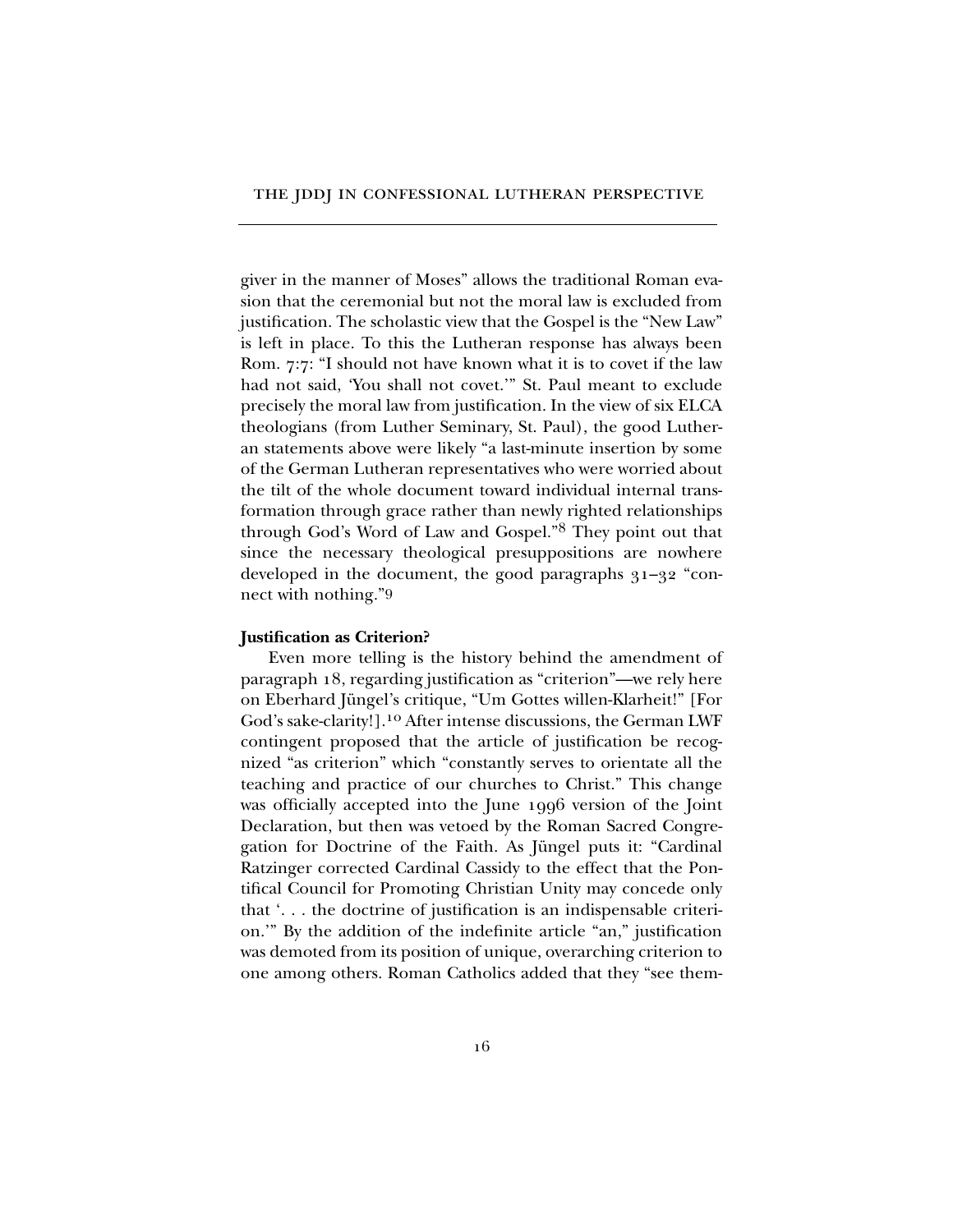giver in the manner of Moses" allows the traditional Roman evasion that the ceremonial but not the moral law is excluded from justification. The scholastic view that the Gospel is the "New Law" is left in place. To this the Lutheran response has always been Rom. 7:7: "I should not have known what it is to covet if the law had not said, 'You shall not covet.'" St. Paul meant to exclude precisely the moral law from justification. In the view of six ELCA theologians (from Luther Seminary, St. Paul), the good Lutheran statements above were likely "a last-minute insertion by some of the German Lutheran representatives who were worried about the tilt of the whole document toward individual internal transformation through grace rather than newly righted relationships through God's Word of Law and Gospel."8 They point out that since the necessary theological presuppositions are nowhere developed in the document, the good paragraphs 31–32 "connect with nothing."9

### **Justification as Criterion?**

Even more telling is the history behind the amendment of paragraph 18, regarding justification as "criterion"—we rely here on Eberhard Jüngel's critique, "Um Gottes willen-Klarheit!" [For God's sake-clarity!].10 After intense discussions, the German LWF contingent proposed that the article of justification be recognized "as criterion" which "constantly serves to orientate all the teaching and practice of our churches to Christ." This change was officially accepted into the June 1996 version of the Joint Declaration, but then was vetoed by the Roman Sacred Congregation for Doctrine of the Faith. As Jüngel puts it: "Cardinal Ratzinger corrected Cardinal Cassidy to the effect that the Pontifical Council for Promoting Christian Unity may concede only that '. . . the doctrine of justification is an indispensable criterion.'" By the addition of the indefinite article "an," justification was demoted from its position of unique, overarching criterion to one among others. Roman Catholics added that they "see them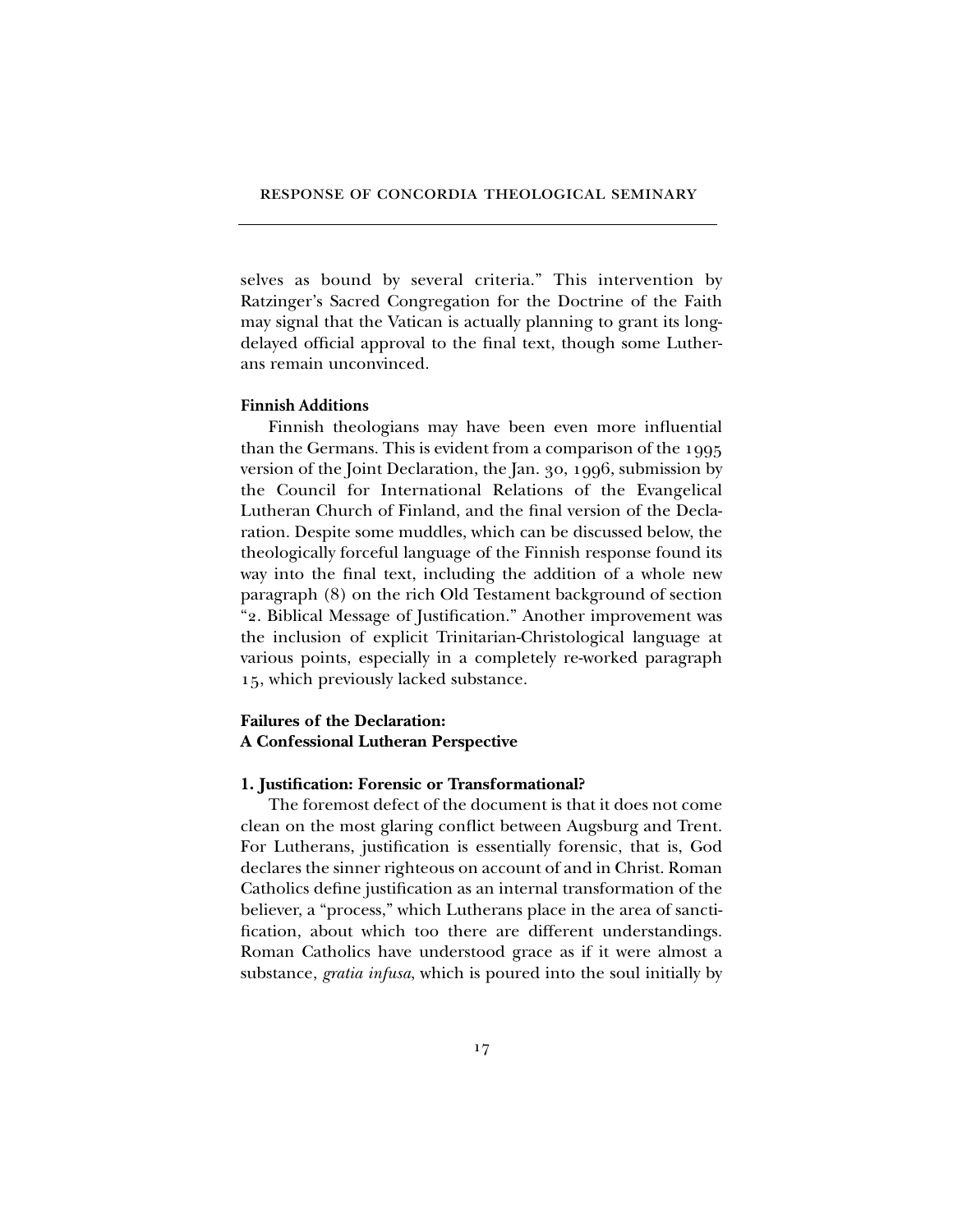selves as bound by several criteria." This intervention by Ratzinger's Sacred Congregation for the Doctrine of the Faith may signal that the Vatican is actually planning to grant its longdelayed official approval to the final text, though some Lutherans remain unconvinced.

### **Finnish Additions**

Finnish theologians may have been even more influential than the Germans. This is evident from a comparison of the 1995 version of the Joint Declaration, the Jan. 30, 1996, submission by the Council for International Relations of the Evangelical Lutheran Church of Finland, and the final version of the Declaration. Despite some muddles, which can be discussed below, the theologically forceful language of the Finnish response found its way into the final text, including the addition of a whole new paragraph (8) on the rich Old Testament background of section "2. Biblical Message of Justification." Another improvement was the inclusion of explicit Trinitarian-Christological language at various points, especially in a completely re-worked paragraph 15, which previously lacked substance.

## **Failures of the Declaration: A Confessional Lutheran Perspective**

### **1. Justification: Forensic or Transformational?**

The foremost defect of the document is that it does not come clean on the most glaring conflict between Augsburg and Trent. For Lutherans, justification is essentially forensic, that is, God declares the sinner righteous on account of and in Christ. Roman Catholics define justification as an internal transformation of the believer, a "process," which Lutherans place in the area of sanctification, about which too there are different understandings. Roman Catholics have understood grace as if it were almost a substance, *gratia infusa*, which is poured into the soul initially by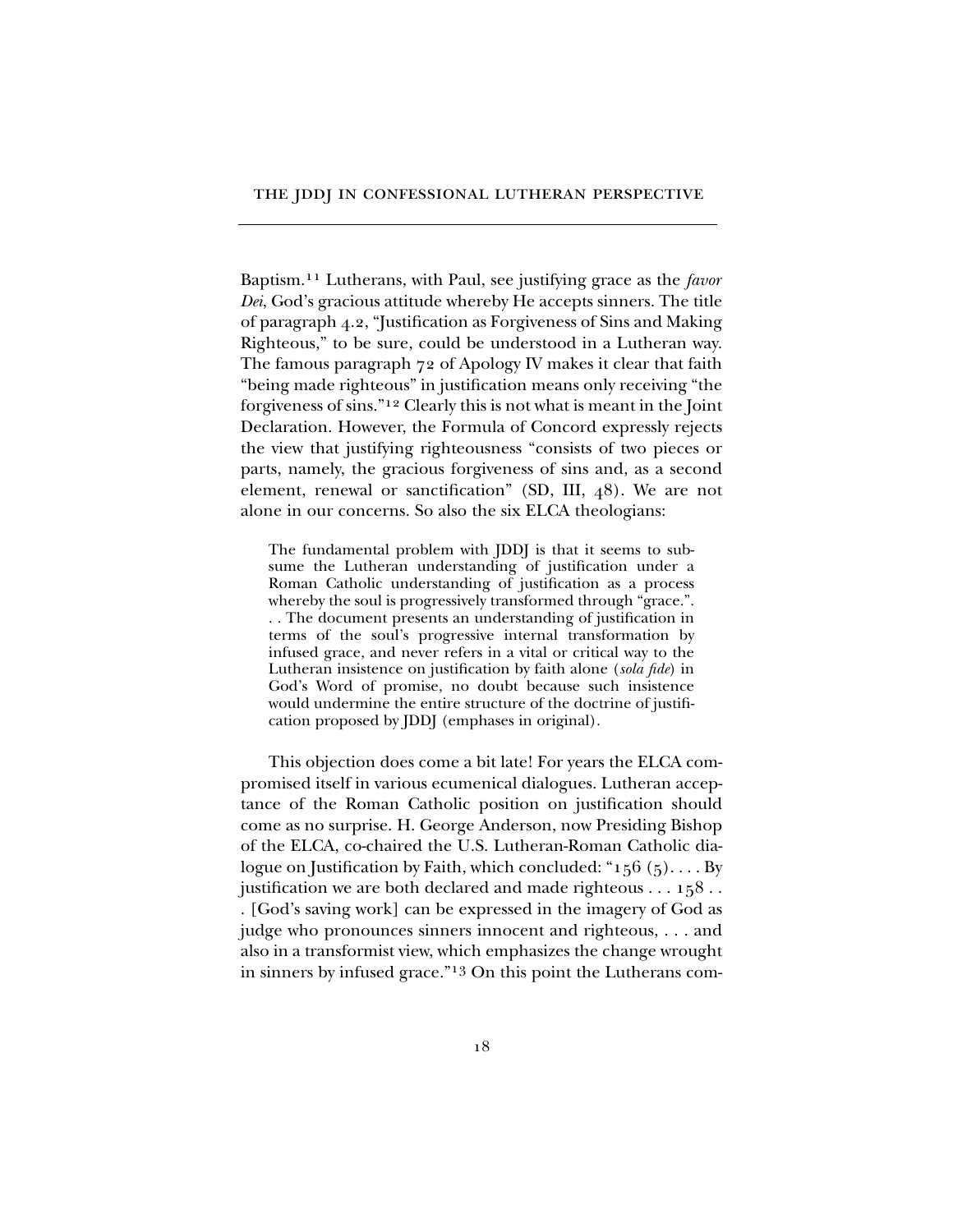Baptism.11 Lutherans, with Paul, see justifying grace as the *favor Dei*, God's gracious attitude whereby He accepts sinners. The title of paragraph 4.2, "Justification as Forgiveness of Sins and Making Righteous," to be sure, could be understood in a Lutheran way. The famous paragraph 72 of Apology IV makes it clear that faith "being made righteous" in justification means only receiving "the forgiveness of sins."12 Clearly this is not what is meant in the Joint Declaration. However, the Formula of Concord expressly rejects the view that justifying righteousness "consists of two pieces or parts, namely, the gracious forgiveness of sins and, as a second element, renewal or sanctification" (SD, III, 48). We are not alone in our concerns. So also the six ELCA theologians:

The fundamental problem with JDDJ is that it seems to subsume the Lutheran understanding of justification under a Roman Catholic understanding of justification as a process whereby the soul is progressively transformed through "grace.". . . The document presents an understanding of justification in terms of the soul's progressive internal transformation by infused grace, and never refers in a vital or critical way to the Lutheran insistence on justification by faith alone (*sola fide*) in God's Word of promise, no doubt because such insistence would undermine the entire structure of the doctrine of justification proposed by JDDJ (emphases in original).

This objection does come a bit late! For years the ELCA compromised itself in various ecumenical dialogues. Lutheran acceptance of the Roman Catholic position on justification should come as no surprise. H. George Anderson, now Presiding Bishop of the ELCA, co-chaired the U.S. Lutheran-Roman Catholic dialogue on Justification by Faith, which concluded: " $156$  (5)... By justification we are both declared and made righteous . . . 158 . . . [God's saving work] can be expressed in the imagery of God as judge who pronounces sinners innocent and righteous, . . . and also in a transformist view, which emphasizes the change wrought in sinners by infused grace."13 On this point the Lutherans com-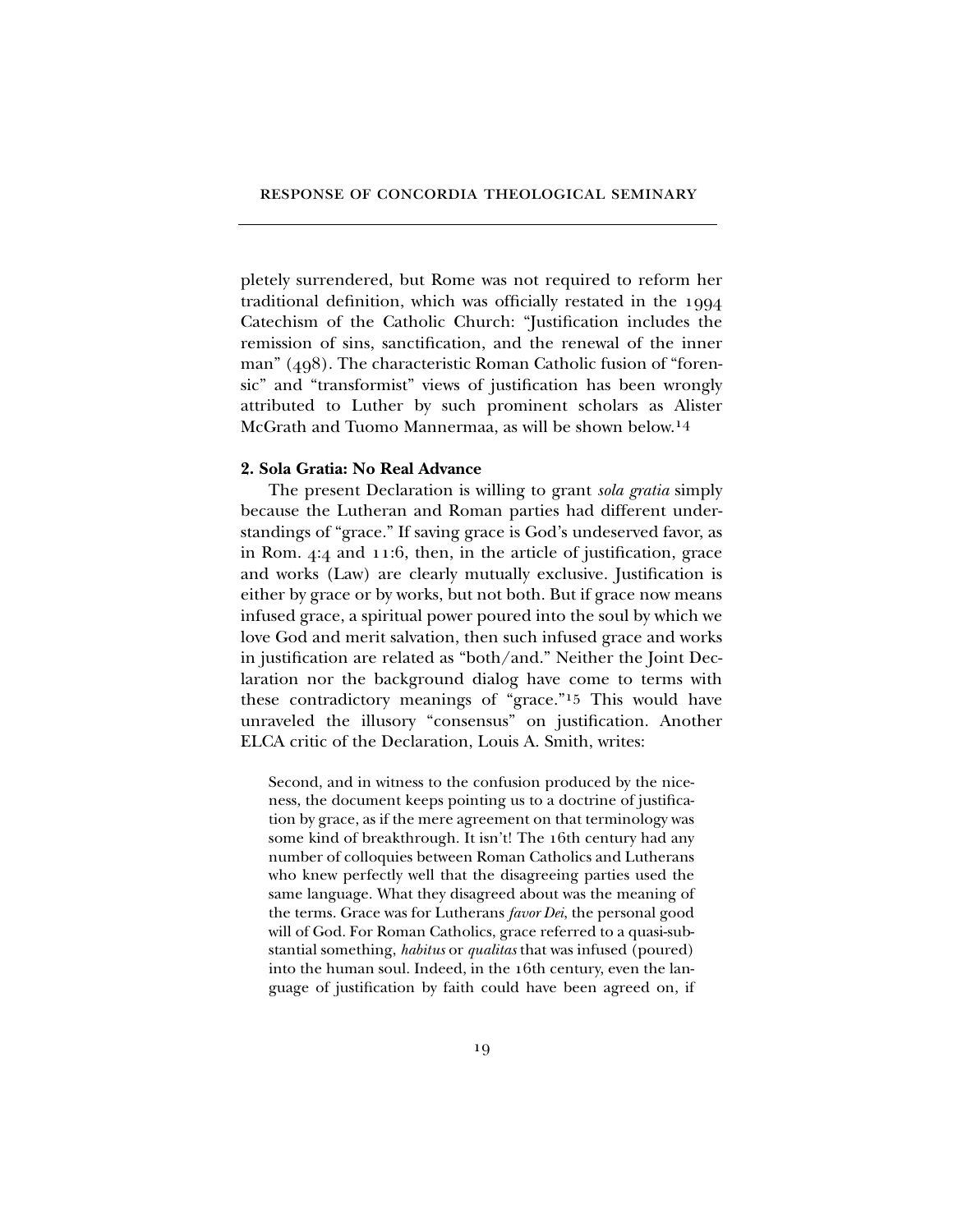pletely surrendered, but Rome was not required to reform her traditional definition, which was officially restated in the 1994 Catechism of the Catholic Church: "Justification includes the remission of sins, sanctification, and the renewal of the inner man" (498). The characteristic Roman Catholic fusion of "forensic" and "transformist" views of justification has been wrongly attributed to Luther by such prominent scholars as Alister McGrath and Tuomo Mannermaa, as will be shown below.14

## **2. Sola Gratia: No Real Advance**

The present Declaration is willing to grant *sola gratia* simply because the Lutheran and Roman parties had different understandings of "grace." If saving grace is God's undeserved favor, as in Rom. 4:4 and 11:6, then, in the article of justification, grace and works (Law) are clearly mutually exclusive. Justification is either by grace or by works, but not both. But if grace now means infused grace, a spiritual power poured into the soul by which we love God and merit salvation, then such infused grace and works in justification are related as "both/and." Neither the Joint Declaration nor the background dialog have come to terms with these contradictory meanings of "grace."15 This would have unraveled the illusory "consensus" on justification. Another ELCA critic of the Declaration, Louis A. Smith, writes:

Second, and in witness to the confusion produced by the niceness, the document keeps pointing us to a doctrine of justification by grace, as if the mere agreement on that terminology was some kind of breakthrough. It isn't! The 16th century had any number of colloquies between Roman Catholics and Lutherans who knew perfectly well that the disagreeing parties used the same language. What they disagreed about was the meaning of the terms. Grace was for Lutherans *favor Dei*, the personal good will of God. For Roman Catholics, grace referred to a quasi-substantial something, *habitus* or *qualitas* that was infused (poured) into the human soul. Indeed, in the 16th century, even the language of justification by faith could have been agreed on, if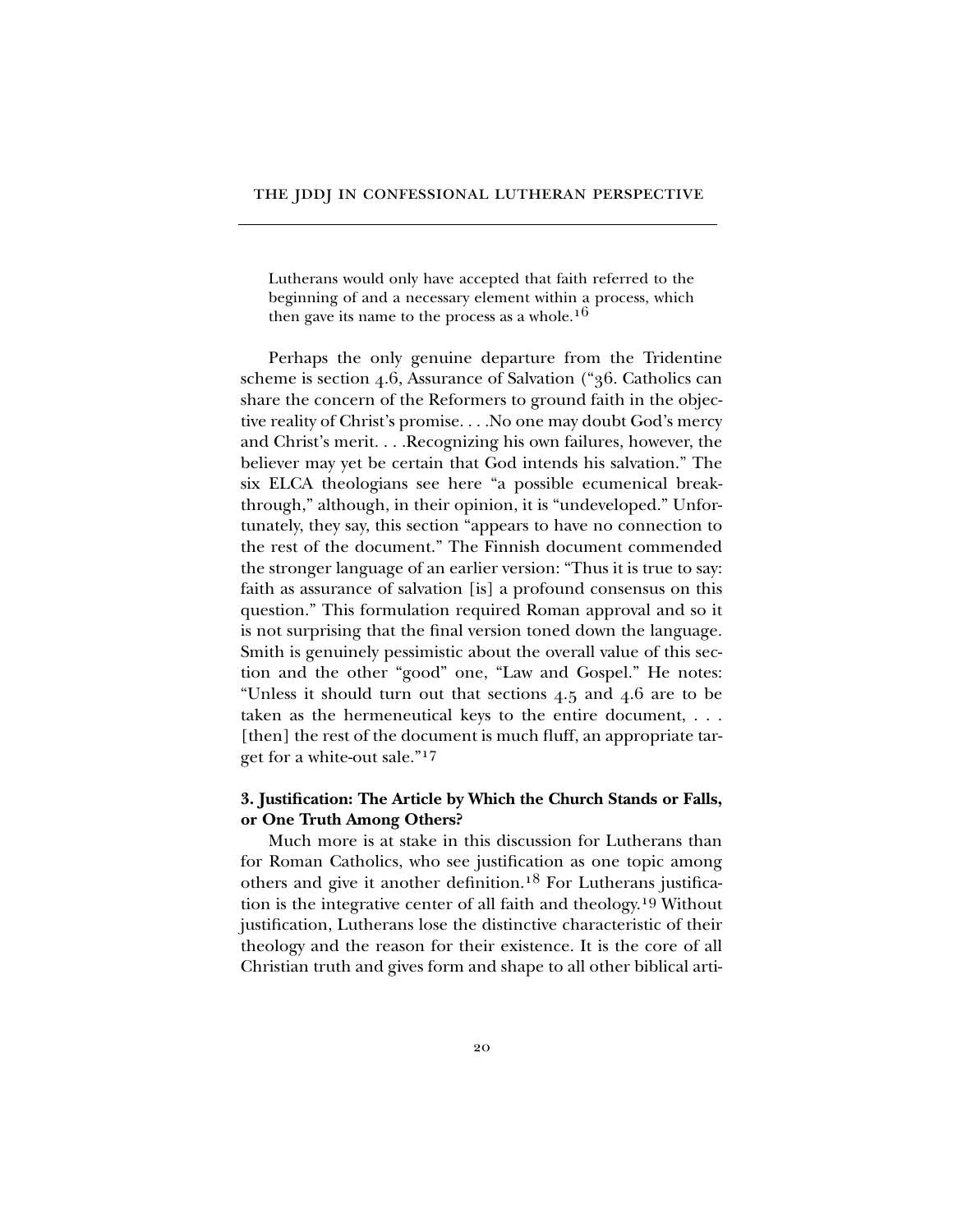Lutherans would only have accepted that faith referred to the beginning of and a necessary element within a process, which then gave its name to the process as a whole.<sup>16</sup>

Perhaps the only genuine departure from the Tridentine scheme is section 4.6, Assurance of Salvation ("36. Catholics can share the concern of the Reformers to ground faith in the objective reality of Christ's promise. . . .No one may doubt God's mercy and Christ's merit. . . .Recognizing his own failures, however, the believer may yet be certain that God intends his salvation." The six ELCA theologians see here "a possible ecumenical breakthrough," although, in their opinion, it is "undeveloped." Unfortunately, they say, this section "appears to have no connection to the rest of the document." The Finnish document commended the stronger language of an earlier version: "Thus it is true to say: faith as assurance of salvation [is] a profound consensus on this question." This formulation required Roman approval and so it is not surprising that the final version toned down the language. Smith is genuinely pessimistic about the overall value of this section and the other "good" one, "Law and Gospel." He notes: "Unless it should turn out that sections 4.5 and 4.6 are to be taken as the hermeneutical keys to the entire document, . . . [then] the rest of the document is much fluff, an appropriate target for a white-out sale."17

## **3. Justification: The Article by Which the Church Stands or Falls, or One Truth Among Others?**

Much more is at stake in this discussion for Lutherans than for Roman Catholics, who see justification as one topic among others and give it another definition.18 For Lutherans justification is the integrative center of all faith and theology.19 Without justification, Lutherans lose the distinctive characteristic of their theology and the reason for their existence. It is the core of all Christian truth and gives form and shape to all other biblical arti-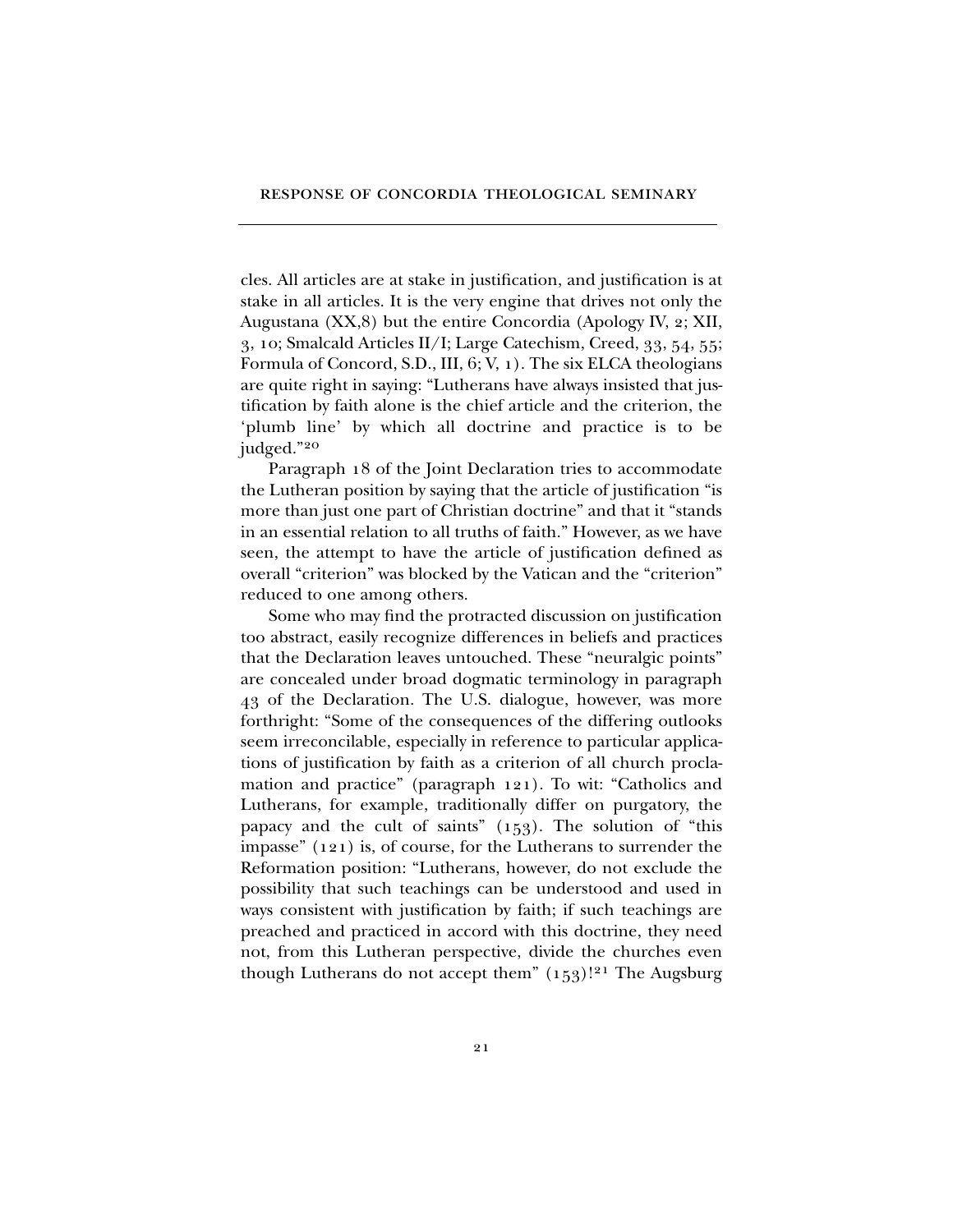cles. All articles are at stake in justification, and justification is at stake in all articles. It is the very engine that drives not only the Augustana (XX,8) but the entire Concordia (Apology IV, 2; XII, 3, 10; Smalcald Articles II/I; Large Catechism, Creed, 33, 54, 55; Formula of Concord, S.D., III, 6; V, 1). The six ELCA theologians are quite right in saying: "Lutherans have always insisted that justification by faith alone is the chief article and the criterion, the 'plumb line' by which all doctrine and practice is to be judged."20

Paragraph 18 of the Joint Declaration tries to accommodate the Lutheran position by saying that the article of justification "is more than just one part of Christian doctrine" and that it "stands in an essential relation to all truths of faith." However, as we have seen, the attempt to have the article of justification defined as overall "criterion" was blocked by the Vatican and the "criterion" reduced to one among others.

Some who may find the protracted discussion on justification too abstract, easily recognize differences in beliefs and practices that the Declaration leaves untouched. These "neuralgic points" are concealed under broad dogmatic terminology in paragraph 43 of the Declaration. The U.S. dialogue, however, was more forthright: "Some of the consequences of the differing outlooks seem irreconcilable, especially in reference to particular applications of justification by faith as a criterion of all church proclamation and practice" (paragraph 121). To wit: "Catholics and Lutherans, for example, traditionally differ on purgatory, the papacy and the cult of saints" (153). The solution of "this impasse" (121) is, of course, for the Lutherans to surrender the Reformation position: "Lutherans, however, do not exclude the possibility that such teachings can be understood and used in ways consistent with justification by faith; if such teachings are preached and practiced in accord with this doctrine, they need not, from this Lutheran perspective, divide the churches even though Lutherans do not accept them"  $(153)!^{21}$  The Augsburg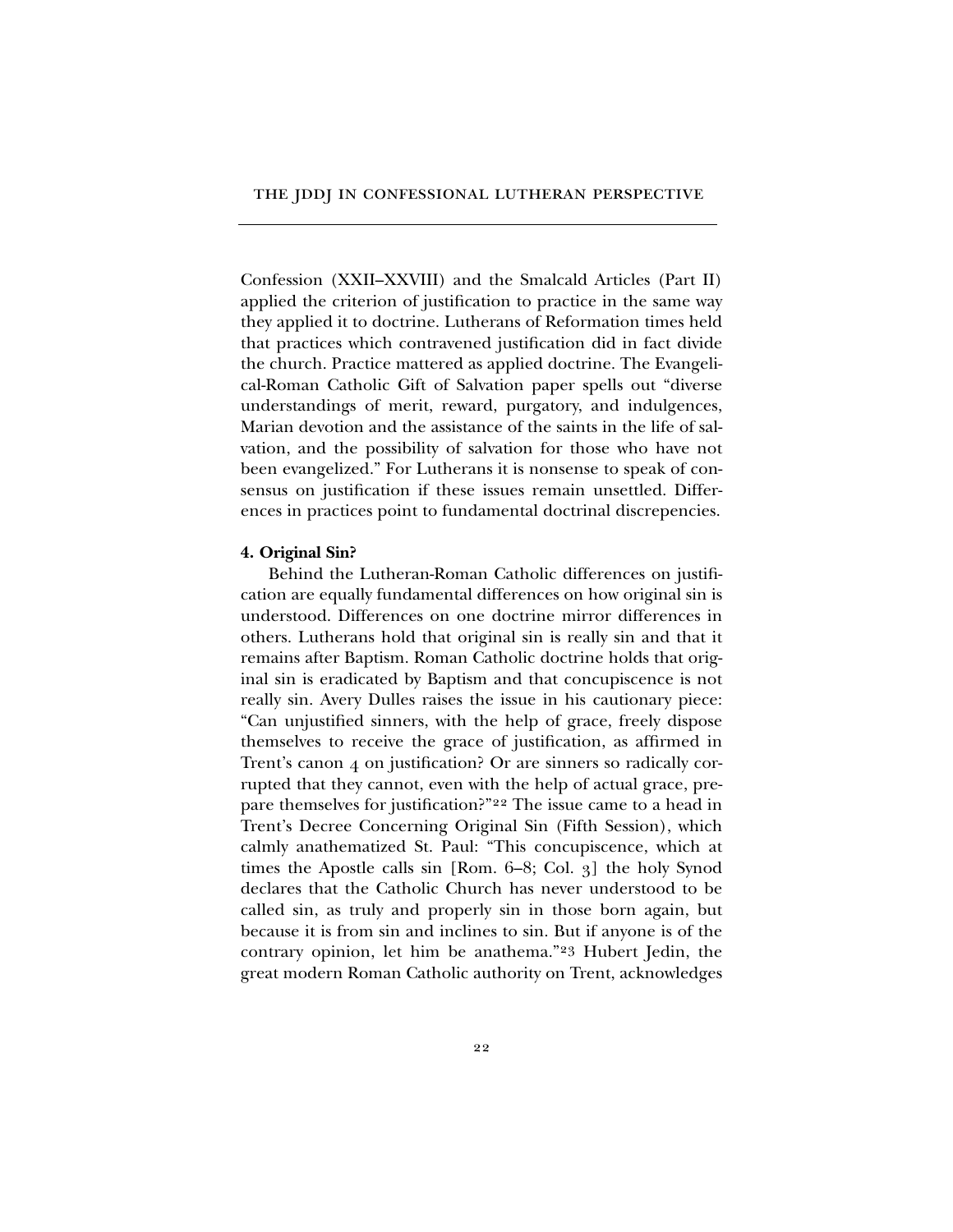Confession (XXII–XXVIII) and the Smalcald Articles (Part II) applied the criterion of justification to practice in the same way they applied it to doctrine. Lutherans of Reformation times held that practices which contravened justification did in fact divide the church. Practice mattered as applied doctrine. The Evangelical-Roman Catholic Gift of Salvation paper spells out "diverse understandings of merit, reward, purgatory, and indulgences, Marian devotion and the assistance of the saints in the life of salvation, and the possibility of salvation for those who have not been evangelized." For Lutherans it is nonsense to speak of consensus on justification if these issues remain unsettled. Differences in practices point to fundamental doctrinal discrepencies.

### **4. Original Sin?**

Behind the Lutheran-Roman Catholic differences on justification are equally fundamental differences on how original sin is understood. Differences on one doctrine mirror differences in others. Lutherans hold that original sin is really sin and that it remains after Baptism. Roman Catholic doctrine holds that original sin is eradicated by Baptism and that concupiscence is not really sin. Avery Dulles raises the issue in his cautionary piece: "Can unjustified sinners, with the help of grace, freely dispose themselves to receive the grace of justification, as affirmed in Trent's canon 4 on justification? Or are sinners so radically corrupted that they cannot, even with the help of actual grace, prepare themselves for justification?"22 The issue came to a head in Trent's Decree Concerning Original Sin (Fifth Session), which calmly anathematized St. Paul: "This concupiscence, which at times the Apostle calls sin [Rom. 6–8; Col. 3] the holy Synod declares that the Catholic Church has never understood to be called sin, as truly and properly sin in those born again, but because it is from sin and inclines to sin. But if anyone is of the contrary opinion, let him be anathema."23 Hubert Jedin, the great modern Roman Catholic authority on Trent, acknowledges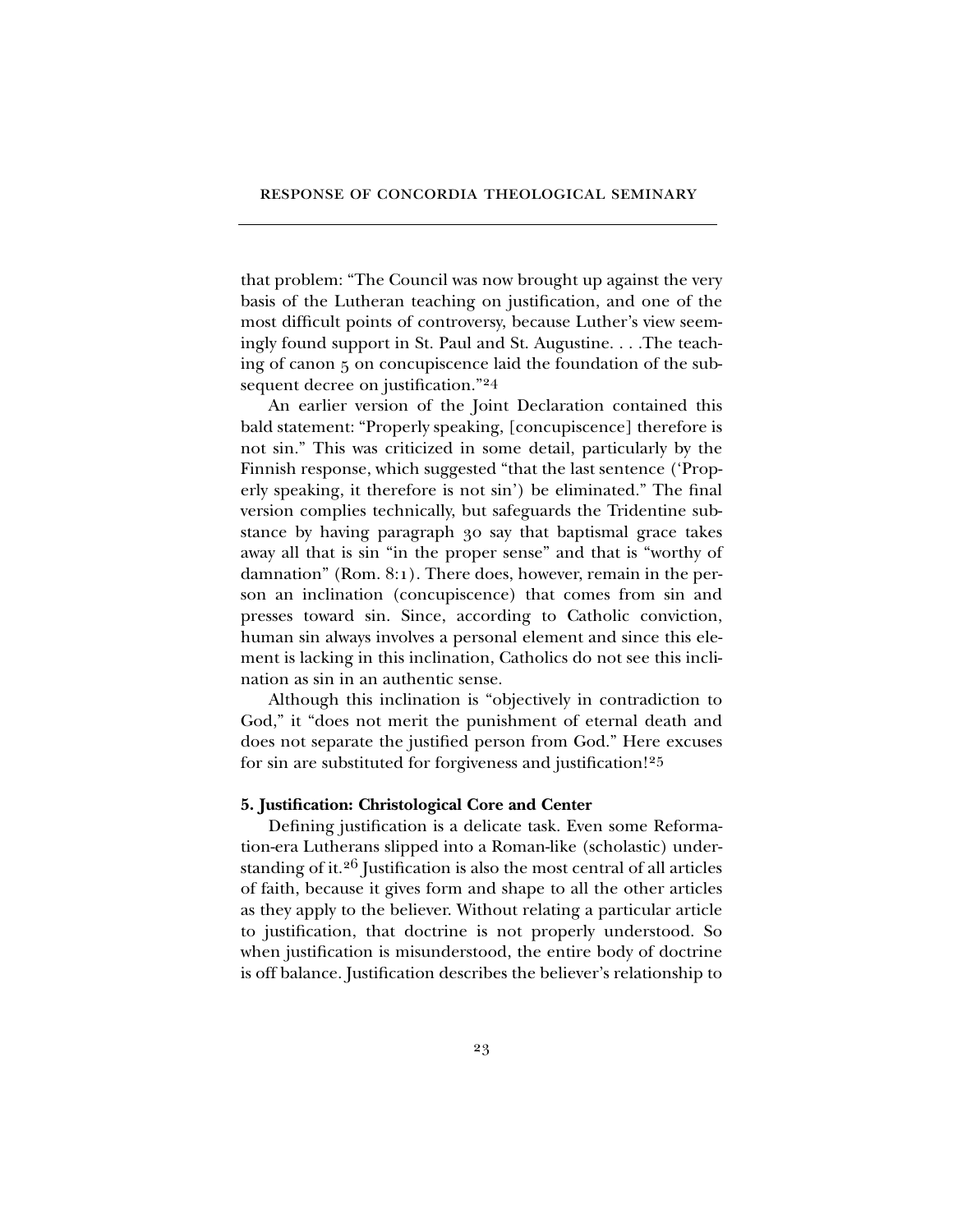that problem: "The Council was now brought up against the very basis of the Lutheran teaching on justification, and one of the most difficult points of controversy, because Luther's view seemingly found support in St. Paul and St. Augustine. . . .The teaching of canon 5 on concupiscence laid the foundation of the subsequent decree on justification."24

An earlier version of the Joint Declaration contained this bald statement: "Properly speaking, [concupiscence] therefore is not sin." This was criticized in some detail, particularly by the Finnish response, which suggested "that the last sentence ('Properly speaking, it therefore is not sin') be eliminated." The final version complies technically, but safeguards the Tridentine substance by having paragraph 30 say that baptismal grace takes away all that is sin "in the proper sense" and that is "worthy of damnation" (Rom. 8:1). There does, however, remain in the person an inclination (concupiscence) that comes from sin and presses toward sin. Since, according to Catholic conviction, human sin always involves a personal element and since this element is lacking in this inclination, Catholics do not see this inclination as sin in an authentic sense.

Although this inclination is "objectively in contradiction to God," it "does not merit the punishment of eternal death and does not separate the justified person from God." Here excuses for sin are substituted for forgiveness and justification!25

## **5. Justification: Christological Core and Center**

Defining justification is a delicate task. Even some Reformation-era Lutherans slipped into a Roman-like (scholastic) understanding of it. $2^6$  Justification is also the most central of all articles of faith, because it gives form and shape to all the other articles as they apply to the believer. Without relating a particular article to justification, that doctrine is not properly understood. So when justification is misunderstood, the entire body of doctrine is off balance. Justification describes the believer's relationship to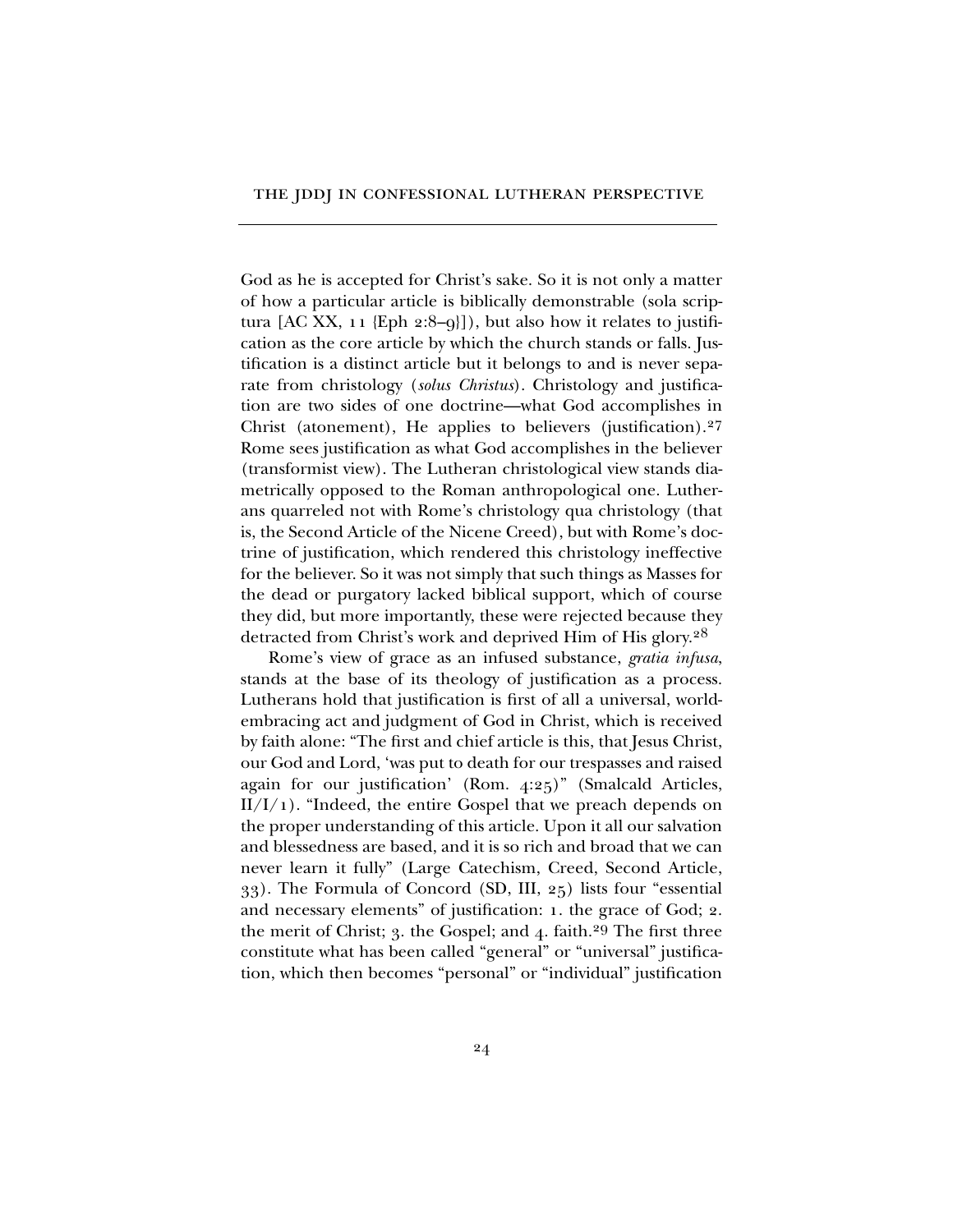God as he is accepted for Christ's sake. So it is not only a matter of how a particular article is biblically demonstrable (sola scriptura  $[AC XX, 11 \{Eph 2:8–9\}])$ , but also how it relates to justification as the core article by which the church stands or falls. Justification is a distinct article but it belongs to and is never separate from christology (*solus Christus*). Christology and justification are two sides of one doctrine—what God accomplishes in Christ (atonement), He applies to believers (justification).27 Rome sees justification as what God accomplishes in the believer (transformist view). The Lutheran christological view stands diametrically opposed to the Roman anthropological one. Lutherans quarreled not with Rome's christology qua christology (that is, the Second Article of the Nicene Creed), but with Rome's doctrine of justification, which rendered this christology ineffective for the believer. So it was not simply that such things as Masses for the dead or purgatory lacked biblical support, which of course they did, but more importantly, these were rejected because they detracted from Christ's work and deprived Him of His glory.28

Rome's view of grace as an infused substance, *gratia infusa*, stands at the base of its theology of justification as a process. Lutherans hold that justification is first of all a universal, worldembracing act and judgment of God in Christ, which is received by faith alone: "The first and chief article is this, that Jesus Christ, our God and Lord, 'was put to death for our trespasses and raised again for our justification' (Rom. 4:25)" (Smalcald Articles,  $II/I/1$ ). "Indeed, the entire Gospel that we preach depends on the proper understanding of this article. Upon it all our salvation and blessedness are based, and it is so rich and broad that we can never learn it fully" (Large Catechism, Creed, Second Article, 33). The Formula of Concord (SD, III, 25) lists four "essential and necessary elements" of justification: 1. the grace of God; 2. the merit of Christ; 3. the Gospel; and  $4$ . faith.<sup>29</sup> The first three constitute what has been called "general" or "universal" justification, which then becomes "personal" or "individual" justification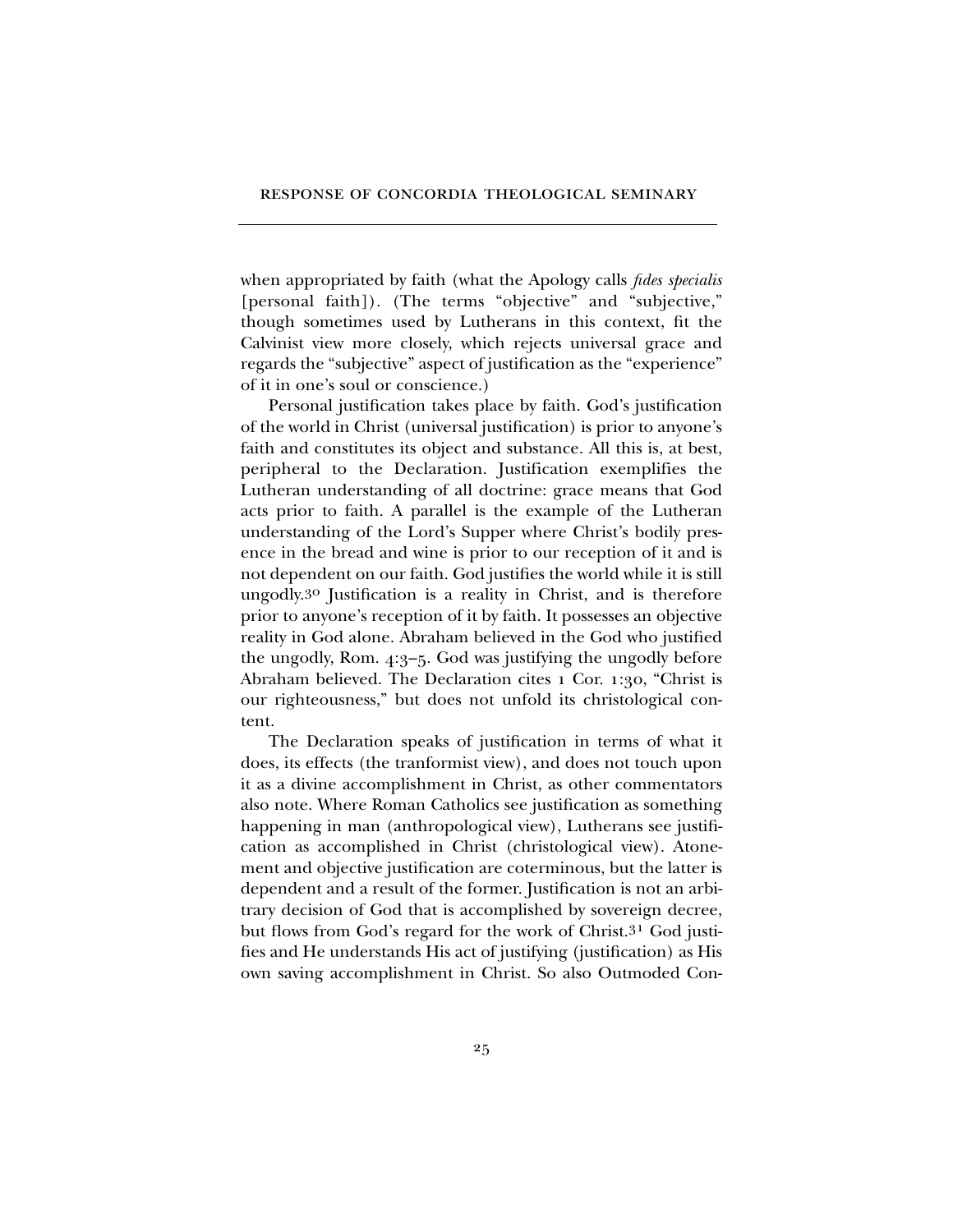when appropriated by faith (what the Apology calls *fides specialis* [personal faith]). (The terms "objective" and "subjective," though sometimes used by Lutherans in this context, fit the Calvinist view more closely, which rejects universal grace and regards the "subjective" aspect of justification as the "experience" of it in one's soul or conscience.)

Personal justification takes place by faith. God's justification of the world in Christ (universal justification) is prior to anyone's faith and constitutes its object and substance. All this is, at best, peripheral to the Declaration. Justification exemplifies the Lutheran understanding of all doctrine: grace means that God acts prior to faith. A parallel is the example of the Lutheran understanding of the Lord's Supper where Christ's bodily presence in the bread and wine is prior to our reception of it and is not dependent on our faith. God justifies the world while it is still ungodly.30 Justification is a reality in Christ, and is therefore prior to anyone's reception of it by faith. It possesses an objective reality in God alone. Abraham believed in the God who justified the ungodly, Rom. 4:3–5. God was justifying the ungodly before Abraham believed. The Declaration cites 1 Cor. 1:30, "Christ is our righteousness," but does not unfold its christological content.

The Declaration speaks of justification in terms of what it does, its effects (the tranformist view), and does not touch upon it as a divine accomplishment in Christ, as other commentators also note. Where Roman Catholics see justification as something happening in man (anthropological view), Lutherans see justification as accomplished in Christ (christological view). Atonement and objective justification are coterminous, but the latter is dependent and a result of the former. Justification is not an arbitrary decision of God that is accomplished by sovereign decree, but flows from God's regard for the work of Christ.31 God justifies and He understands His act of justifying (justification) as His own saving accomplishment in Christ. So also Outmoded Con-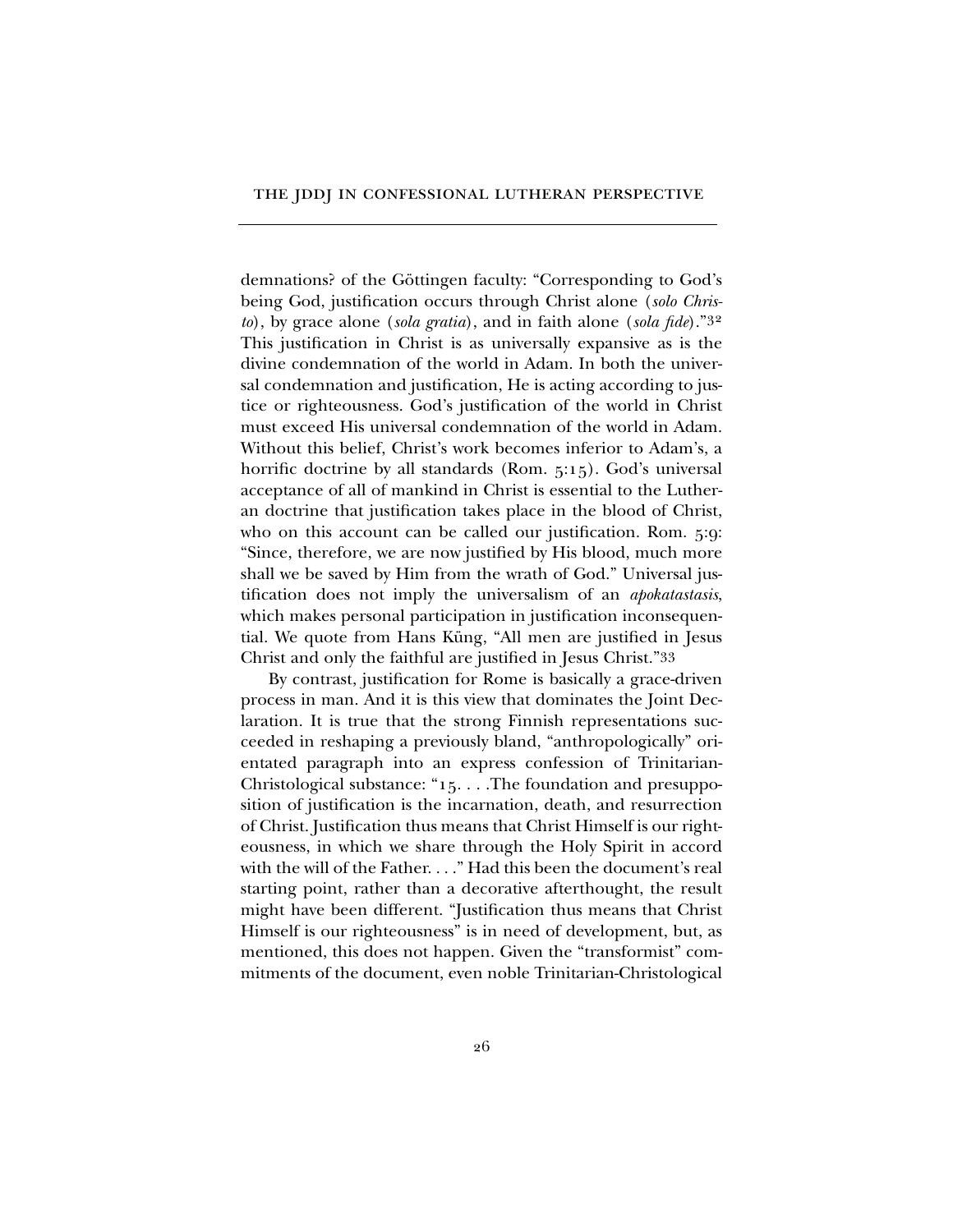demnations? of the Göttingen faculty: "Corresponding to God's being God, justification occurs through Christ alone (*solo Christo*), by grace alone (*sola gratia*), and in faith alone (*sola fide*)."32 This justification in Christ is as universally expansive as is the divine condemnation of the world in Adam. In both the universal condemnation and justification, He is acting according to justice or righteousness. God's justification of the world in Christ must exceed His universal condemnation of the world in Adam. Without this belief, Christ's work becomes inferior to Adam's, a horrific doctrine by all standards (Rom. 5:15). God's universal acceptance of all of mankind in Christ is essential to the Lutheran doctrine that justification takes place in the blood of Christ, who on this account can be called our justification. Rom. 5:9: "Since, therefore, we are now justified by His blood, much more shall we be saved by Him from the wrath of God." Universal justification does not imply the universalism of an *apokatastasis*, which makes personal participation in justification inconsequential. We quote from Hans Küng, "All men are justified in Jesus Christ and only the faithful are justified in Jesus Christ."33

By contrast, justification for Rome is basically a grace-driven process in man. And it is this view that dominates the Joint Declaration. It is true that the strong Finnish representations succeeded in reshaping a previously bland, "anthropologically" orientated paragraph into an express confession of Trinitarian-Christological substance: "15. . . .The foundation and presupposition of justification is the incarnation, death, and resurrection of Christ. Justification thus means that Christ Himself is our righteousness, in which we share through the Holy Spirit in accord with the will of the Father. . . ." Had this been the document's real starting point, rather than a decorative afterthought, the result might have been different. "Justification thus means that Christ Himself is our righteousness" is in need of development, but, as mentioned, this does not happen. Given the "transformist" commitments of the document, even noble Trinitarian-Christological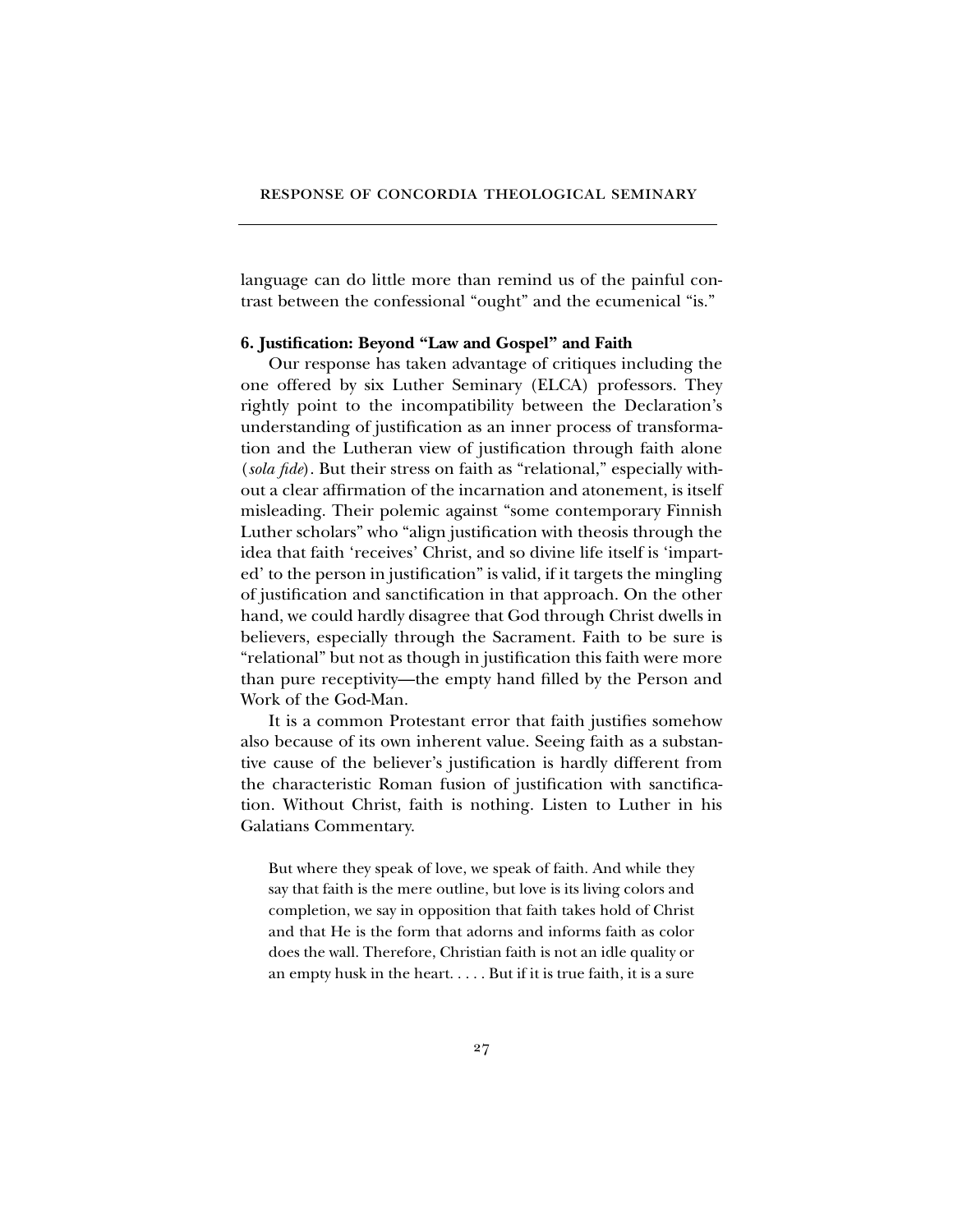language can do little more than remind us of the painful contrast between the confessional "ought" and the ecumenical "is."

## **6. Justification: Beyond "Law and Gospel" and Faith**

Our response has taken advantage of critiques including the one offered by six Luther Seminary (ELCA) professors. They rightly point to the incompatibility between the Declaration's understanding of justification as an inner process of transformation and the Lutheran view of justification through faith alone (*sola fide*). But their stress on faith as "relational," especially without a clear affirmation of the incarnation and atonement, is itself misleading. Their polemic against "some contemporary Finnish Luther scholars" who "align justification with theosis through the idea that faith 'receives' Christ, and so divine life itself is 'imparted' to the person in justification" is valid, if it targets the mingling of justification and sanctification in that approach. On the other hand, we could hardly disagree that God through Christ dwells in believers, especially through the Sacrament. Faith to be sure is "relational" but not as though in justification this faith were more than pure receptivity—the empty hand filled by the Person and Work of the God-Man.

It is a common Protestant error that faith justifies somehow also because of its own inherent value. Seeing faith as a substantive cause of the believer's justification is hardly different from the characteristic Roman fusion of justification with sanctification. Without Christ, faith is nothing. Listen to Luther in his Galatians Commentary.

But where they speak of love, we speak of faith. And while they say that faith is the mere outline, but love is its living colors and completion, we say in opposition that faith takes hold of Christ and that He is the form that adorns and informs faith as color does the wall. Therefore, Christian faith is not an idle quality or an empty husk in the heart. . . . . But if it is true faith, it is a sure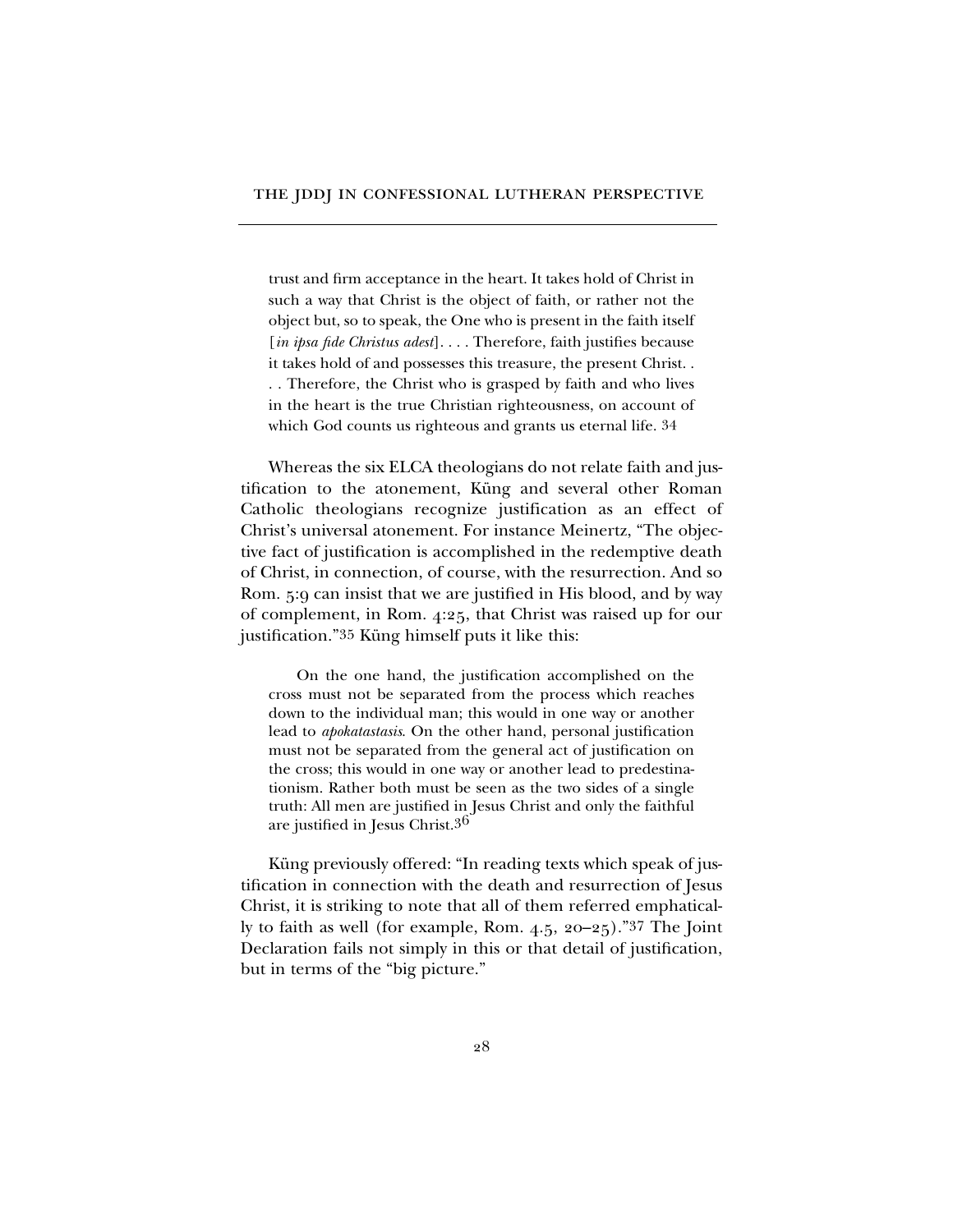trust and firm acceptance in the heart. It takes hold of Christ in such a way that Christ is the object of faith, or rather not the object but, so to speak, the One who is present in the faith itself [*in ipsa fide Christus adest*]. . . . Therefore, faith justifies because it takes hold of and possesses this treasure, the present Christ. . . . Therefore, the Christ who is grasped by faith and who lives in the heart is the true Christian righteousness, on account of which God counts us righteous and grants us eternal life. 34

Whereas the six ELCA theologians do not relate faith and justification to the atonement, Küng and several other Roman Catholic theologians recognize justification as an effect of Christ's universal atonement. For instance Meinertz, "The objective fact of justification is accomplished in the redemptive death of Christ, in connection, of course, with the resurrection. And so Rom. 5:9 can insist that we are justified in His blood, and by way of complement, in Rom. 4:25, that Christ was raised up for our justification."35 Küng himself puts it like this:

On the one hand, the justification accomplished on the cross must not be separated from the process which reaches down to the individual man; this would in one way or another lead to *apokatastasis*. On the other hand, personal justification must not be separated from the general act of justification on the cross; this would in one way or another lead to predestinationism. Rather both must be seen as the two sides of a single truth: All men are justified in Jesus Christ and only the faithful are justified in Jesus Christ.36

Küng previously offered: "In reading texts which speak of justification in connection with the death and resurrection of Jesus Christ, it is striking to note that all of them referred emphatically to faith as well (for example, Rom. 4.5, 20–25)."37 The Joint Declaration fails not simply in this or that detail of justification, but in terms of the "big picture."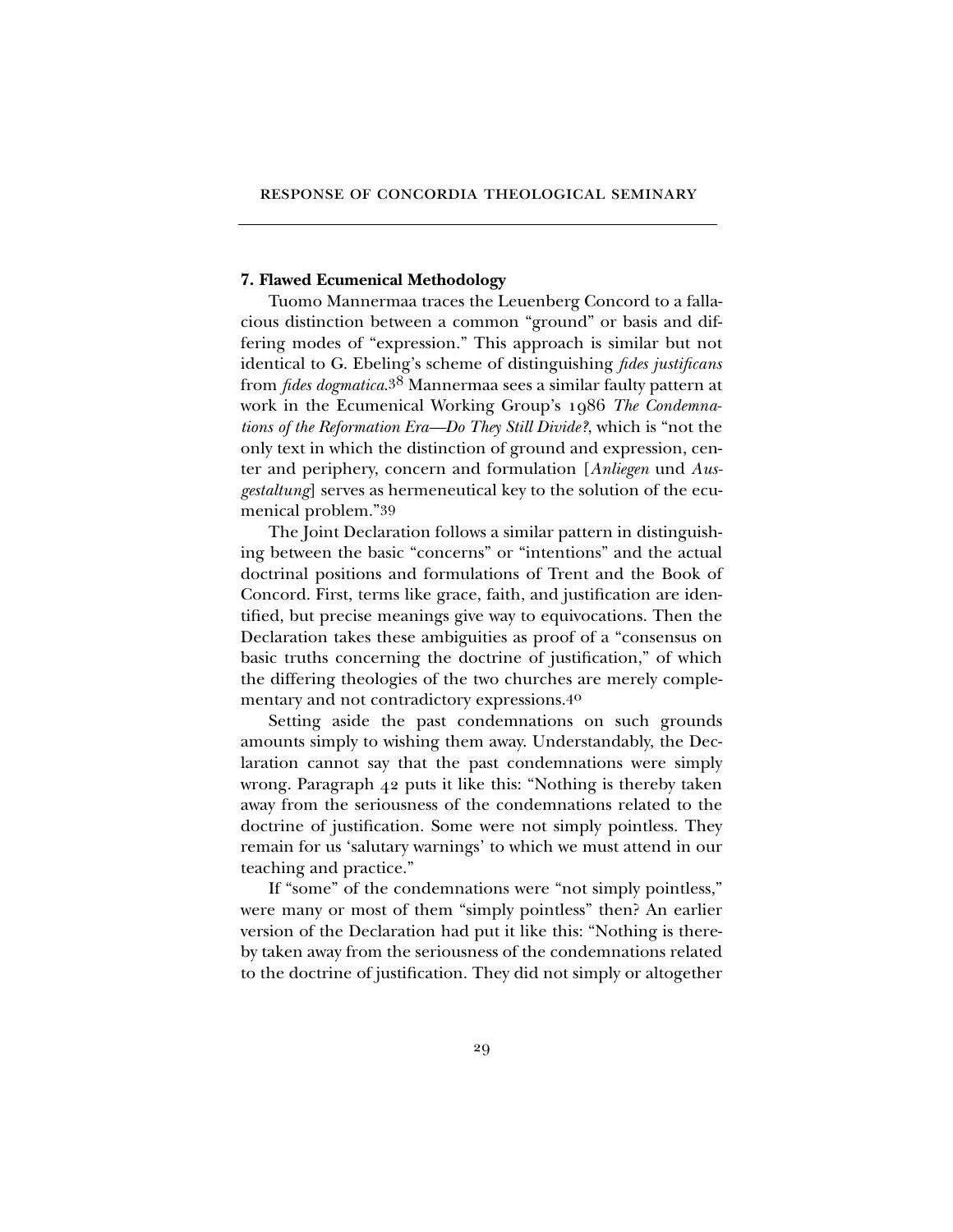## **7. Flawed Ecumenical Methodology**

Tuomo Mannermaa traces the Leuenberg Concord to a fallacious distinction between a common "ground" or basis and differing modes of "expression." This approach is similar but not identical to G. Ebeling's scheme of distinguishing *fides justificans* from *fides dogmatica*. 38 Mannermaa sees a similar faulty pattern at work in the Ecumenical Working Group's 1986 *The Condemnations of the Reformation Era—Do They Still Divide?*, which is "not the only text in which the distinction of ground and expression, center and periphery, concern and formulation [*Anliegen* und *Ausgestaltung*] serves as hermeneutical key to the solution of the ecumenical problem."39

The Joint Declaration follows a similar pattern in distinguishing between the basic "concerns" or "intentions" and the actual doctrinal positions and formulations of Trent and the Book of Concord. First, terms like grace, faith, and justification are identified, but precise meanings give way to equivocations. Then the Declaration takes these ambiguities as proof of a "consensus on basic truths concerning the doctrine of justification," of which the differing theologies of the two churches are merely complementary and not contradictory expressions.40

Setting aside the past condemnations on such grounds amounts simply to wishing them away. Understandably, the Declaration cannot say that the past condemnations were simply wrong. Paragraph 42 puts it like this: "Nothing is thereby taken away from the seriousness of the condemnations related to the doctrine of justification. Some were not simply pointless. They remain for us 'salutary warnings' to which we must attend in our teaching and practice."

If "some" of the condemnations were "not simply pointless," were many or most of them "simply pointless" then? An earlier version of the Declaration had put it like this: "Nothing is thereby taken away from the seriousness of the condemnations related to the doctrine of justification. They did not simply or altogether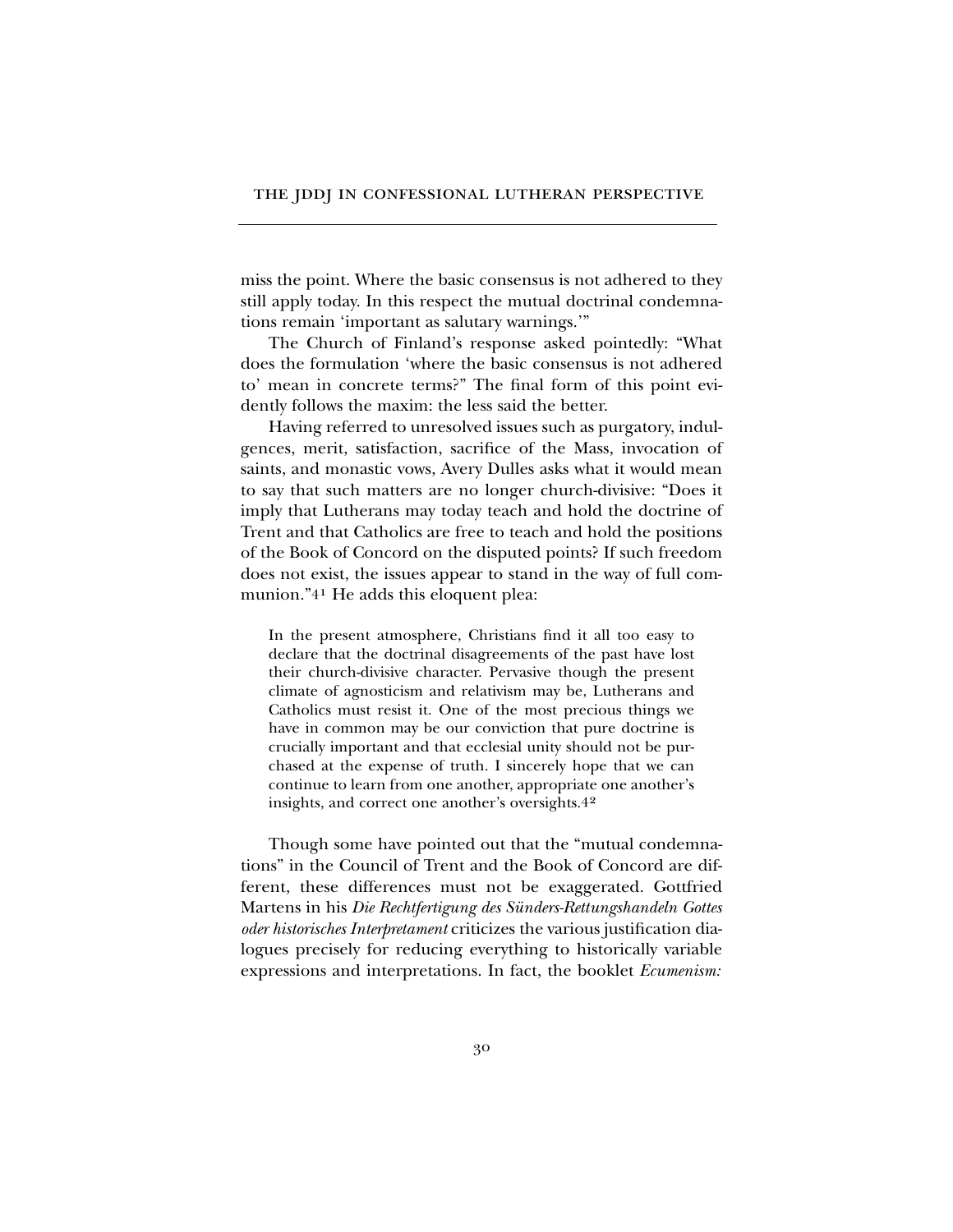miss the point. Where the basic consensus is not adhered to they still apply today. In this respect the mutual doctrinal condemnations remain 'important as salutary warnings.'"

The Church of Finland's response asked pointedly: "What does the formulation 'where the basic consensus is not adhered to' mean in concrete terms?" The final form of this point evidently follows the maxim: the less said the better.

Having referred to unresolved issues such as purgatory, indulgences, merit, satisfaction, sacrifice of the Mass, invocation of saints, and monastic vows, Avery Dulles asks what it would mean to say that such matters are no longer church-divisive: "Does it imply that Lutherans may today teach and hold the doctrine of Trent and that Catholics are free to teach and hold the positions of the Book of Concord on the disputed points? If such freedom does not exist, the issues appear to stand in the way of full communion."41 He adds this eloquent plea:

In the present atmosphere, Christians find it all too easy to declare that the doctrinal disagreements of the past have lost their church-divisive character. Pervasive though the present climate of agnosticism and relativism may be, Lutherans and Catholics must resist it. One of the most precious things we have in common may be our conviction that pure doctrine is crucially important and that ecclesial unity should not be purchased at the expense of truth. I sincerely hope that we can continue to learn from one another, appropriate one another's insights, and correct one another's oversights.42

Though some have pointed out that the "mutual condemnations" in the Council of Trent and the Book of Concord are different, these differences must not be exaggerated. Gottfried Martens in his *Die Rechtfertigung des Sünders-Rettungshandeln Gottes oder historisches Interpretament* criticizes the various justification dialogues precisely for reducing everything to historically variable expressions and interpretations. In fact, the booklet *Ecumenism:*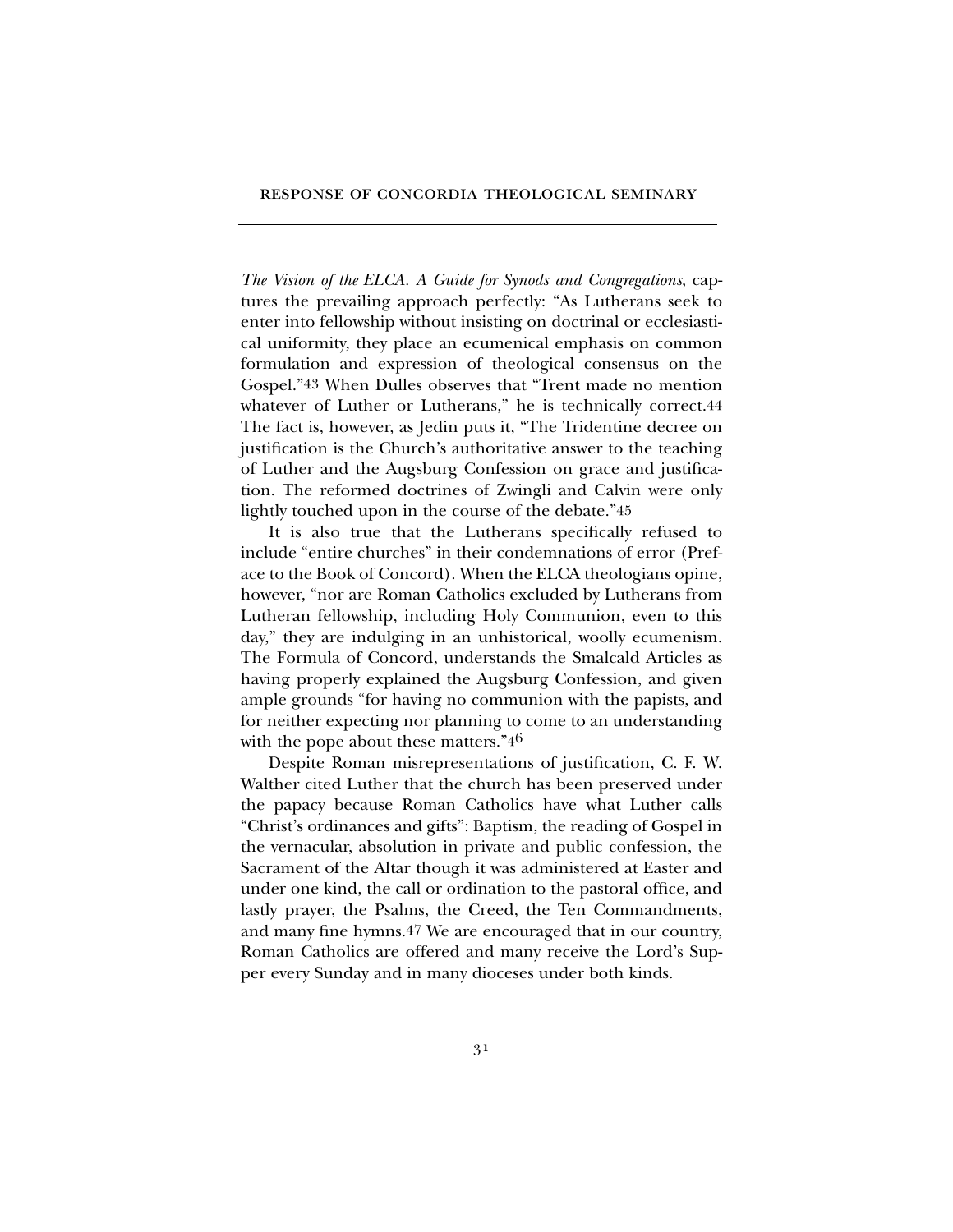### response of concordia theological seminary

*The Vision of the ELCA. A Guide for Synods and Congregations*, captures the prevailing approach perfectly: "As Lutherans seek to enter into fellowship without insisting on doctrinal or ecclesiastical uniformity, they place an ecumenical emphasis on common formulation and expression of theological consensus on the Gospel."43 When Dulles observes that "Trent made no mention whatever of Luther or Lutherans," he is technically correct.44 The fact is, however, as Jedin puts it, "The Tridentine decree on justification is the Church's authoritative answer to the teaching of Luther and the Augsburg Confession on grace and justification. The reformed doctrines of Zwingli and Calvin were only lightly touched upon in the course of the debate."45

It is also true that the Lutherans specifically refused to include "entire churches" in their condemnations of error (Preface to the Book of Concord). When the ELCA theologians opine, however, "nor are Roman Catholics excluded by Lutherans from Lutheran fellowship, including Holy Communion, even to this day," they are indulging in an unhistorical, woolly ecumenism. The Formula of Concord, understands the Smalcald Articles as having properly explained the Augsburg Confession, and given ample grounds "for having no communion with the papists, and for neither expecting nor planning to come to an understanding with the pope about these matters."4<sup>6</sup>

Despite Roman misrepresentations of justification, C. F. W. Walther cited Luther that the church has been preserved under the papacy because Roman Catholics have what Luther calls "Christ's ordinances and gifts": Baptism, the reading of Gospel in the vernacular, absolution in private and public confession, the Sacrament of the Altar though it was administered at Easter and under one kind, the call or ordination to the pastoral office, and lastly prayer, the Psalms, the Creed, the Ten Commandments, and many fine hymns.47 We are encouraged that in our country, Roman Catholics are offered and many receive the Lord's Supper every Sunday and in many dioceses under both kinds.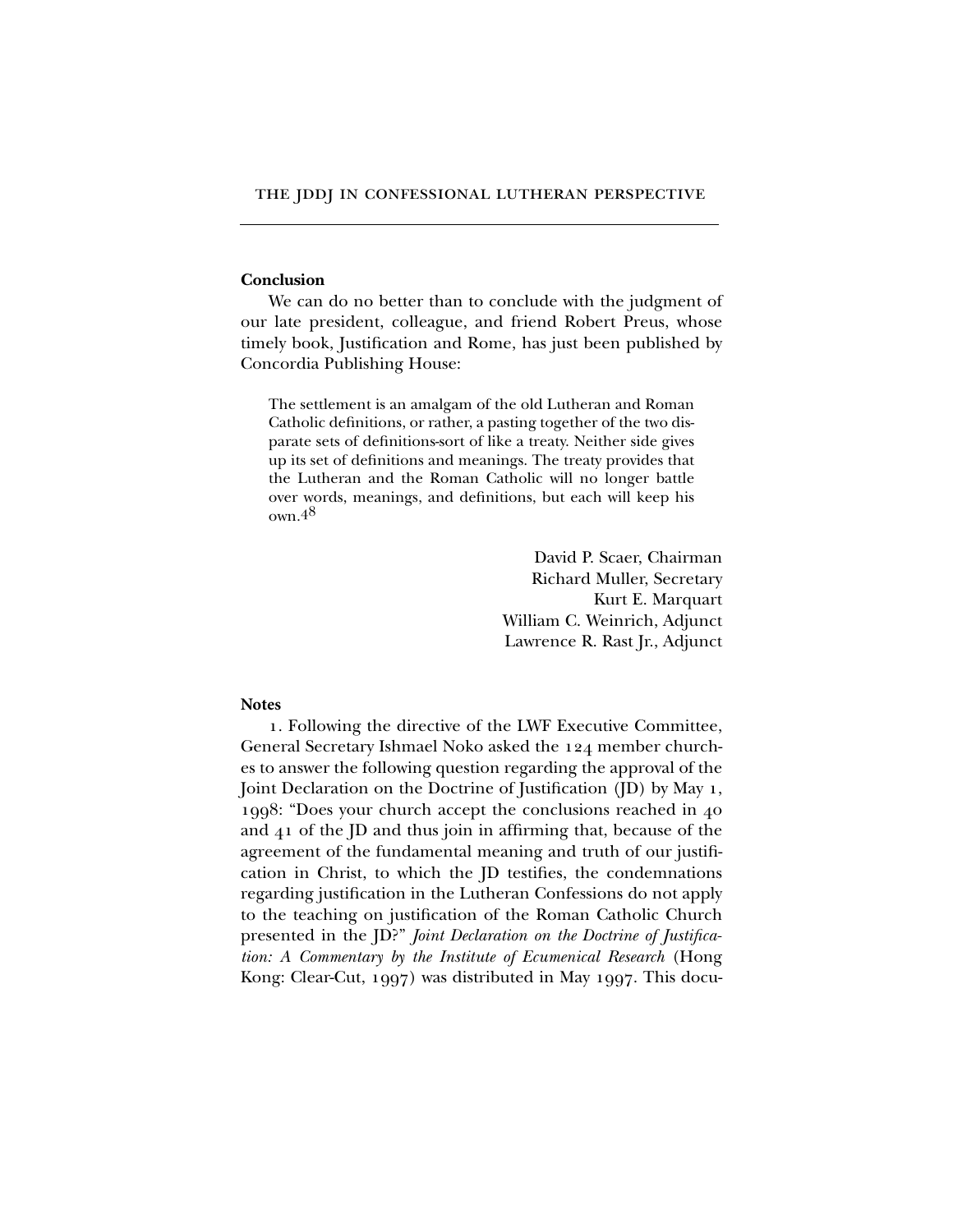the jddj in confessional lutheran perspective

## **Conclusion**

We can do no better than to conclude with the judgment of our late president, colleague, and friend Robert Preus, whose timely book, Justification and Rome, has just been published by Concordia Publishing House:

The settlement is an amalgam of the old Lutheran and Roman Catholic definitions, or rather, a pasting together of the two disparate sets of definitions-sort of like a treaty. Neither side gives up its set of definitions and meanings. The treaty provides that the Lutheran and the Roman Catholic will no longer battle over words, meanings, and definitions, but each will keep his own.48

> David P. Scaer, Chairman Richard Muller, Secretary Kurt E. Marquart William C. Weinrich, Adjunct Lawrence R. Rast Jr., Adjunct

## **Notes**

1. Following the directive of the LWF Executive Committee, General Secretary Ishmael Noko asked the 124 member churches to answer the following question regarding the approval of the Joint Declaration on the Doctrine of Justification (JD) by May 1, 1998: "Does your church accept the conclusions reached in 40 and 41 of the JD and thus join in affirming that, because of the agreement of the fundamental meaning and truth of our justification in Christ, to which the JD testifies, the condemnations regarding justification in the Lutheran Confessions do not apply to the teaching on justification of the Roman Catholic Church presented in the JD?" *Joint Declaration on the Doctrine of Justification: A Commentary by the Institute of Ecumenical Research* (Hong Kong: Clear-Cut, 1997) was distributed in May 1997. This docu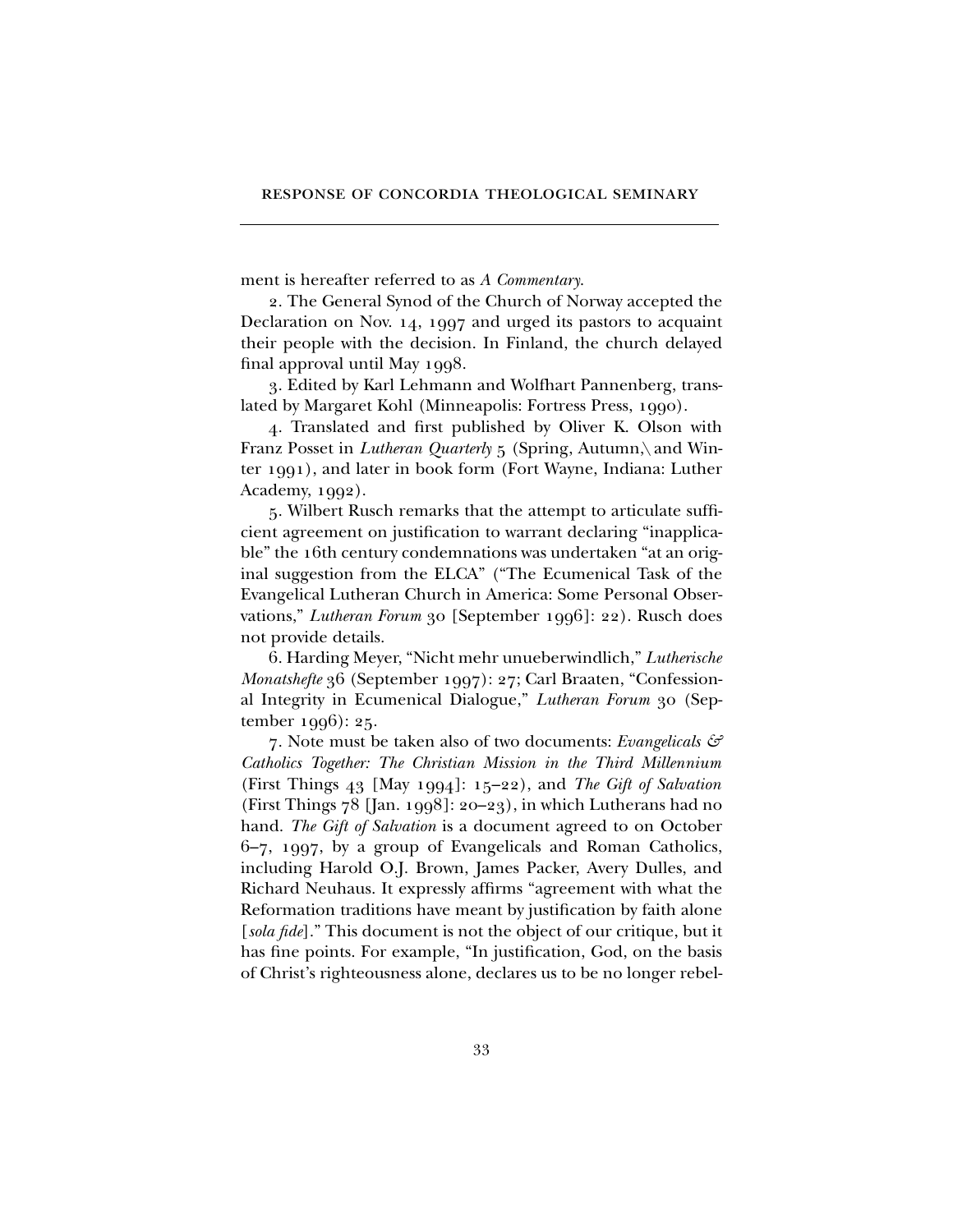ment is hereafter referred to as *A Commentary*.

2. The General Synod of the Church of Norway accepted the Declaration on Nov. 14, 1997 and urged its pastors to acquaint their people with the decision. In Finland, the church delayed final approval until May 1998.

3. Edited by Karl Lehmann and Wolfhart Pannenberg, translated by Margaret Kohl (Minneapolis: Fortress Press, 1990).

4. Translated and first published by Oliver K. Olson with Franz Posset in *Lutheran Quarterly* 5 (Spring, Autumn,\ and Winter 1991), and later in book form (Fort Wayne, Indiana: Luther Academy, 1992).

5. Wilbert Rusch remarks that the attempt to articulate sufficient agreement on justification to warrant declaring "inapplicable" the 16th century condemnations was undertaken "at an original suggestion from the ELCA" ("The Ecumenical Task of the Evangelical Lutheran Church in America: Some Personal Observations," *Lutheran Forum* 30 [September 1996]: 22). Rusch does not provide details.

6. Harding Meyer, "Nicht mehr unueberwindlich," *Lutherische Monatshefte* 36 (September 1997): 27; Carl Braaten, "Confessional Integrity in Ecumenical Dialogue," *Lutheran Forum* 30 (September 1996): 25.

7. Note must be taken also of two documents: *Evangelicals & Catholics Together: The Christian Mission in the Third Millennium* (First Things 43 [May 1994]: 15–22), and *The Gift of Salvation* (First Things 78 [Jan. 1998]: 20–23), in which Lutherans had no hand. *The Gift of Salvation* is a document agreed to on October 6–7, 1997, by a group of Evangelicals and Roman Catholics, including Harold O.J. Brown, James Packer, Avery Dulles, and Richard Neuhaus. It expressly affirms "agreement with what the Reformation traditions have meant by justification by faith alone [*sola fide*]." This document is not the object of our critique, but it has fine points. For example, "In justification, God, on the basis of Christ's righteousness alone, declares us to be no longer rebel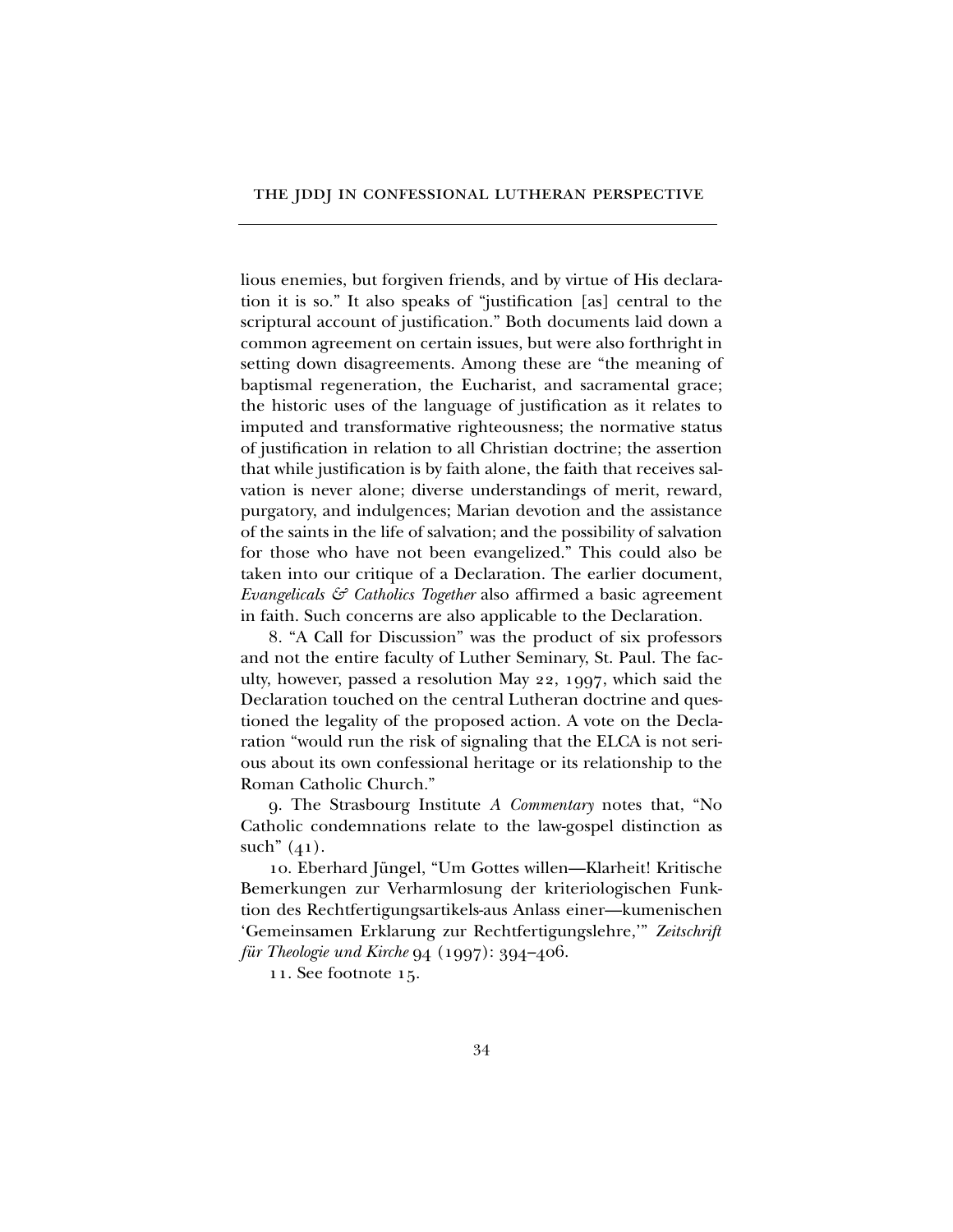lious enemies, but forgiven friends, and by virtue of His declaration it is so." It also speaks of "justification [as] central to the scriptural account of justification." Both documents laid down a common agreement on certain issues, but were also forthright in setting down disagreements. Among these are "the meaning of baptismal regeneration, the Eucharist, and sacramental grace; the historic uses of the language of justification as it relates to imputed and transformative righteousness; the normative status of justification in relation to all Christian doctrine; the assertion that while justification is by faith alone, the faith that receives salvation is never alone; diverse understandings of merit, reward, purgatory, and indulgences; Marian devotion and the assistance of the saints in the life of salvation; and the possibility of salvation for those who have not been evangelized." This could also be taken into our critique of a Declaration. The earlier document, *Evangelicals & Catholics Together* also affirmed a basic agreement in faith. Such concerns are also applicable to the Declaration.

8. "A Call for Discussion" was the product of six professors and not the entire faculty of Luther Seminary, St. Paul. The faculty, however, passed a resolution May 22, 1997, which said the Declaration touched on the central Lutheran doctrine and questioned the legality of the proposed action. A vote on the Declaration "would run the risk of signaling that the ELCA is not serious about its own confessional heritage or its relationship to the Roman Catholic Church."

9. The Strasbourg Institute *A Commentary* notes that, "No Catholic condemnations relate to the law-gospel distinction as such"  $(41)$ .

10. Eberhard Jüngel, "Um Gottes willen—Klarheit! Kritische Bemerkungen zur Verharmlosung der kriteriologischen Funktion des Rechtfertigungsartikels-aus Anlass einer—kumenischen 'Gemeinsamen Erklarung zur Rechtfertigungslehre,'" *Zeitschrift für Theologie und Kirche* 94 (1997): 394–406.

11. See footnote 15.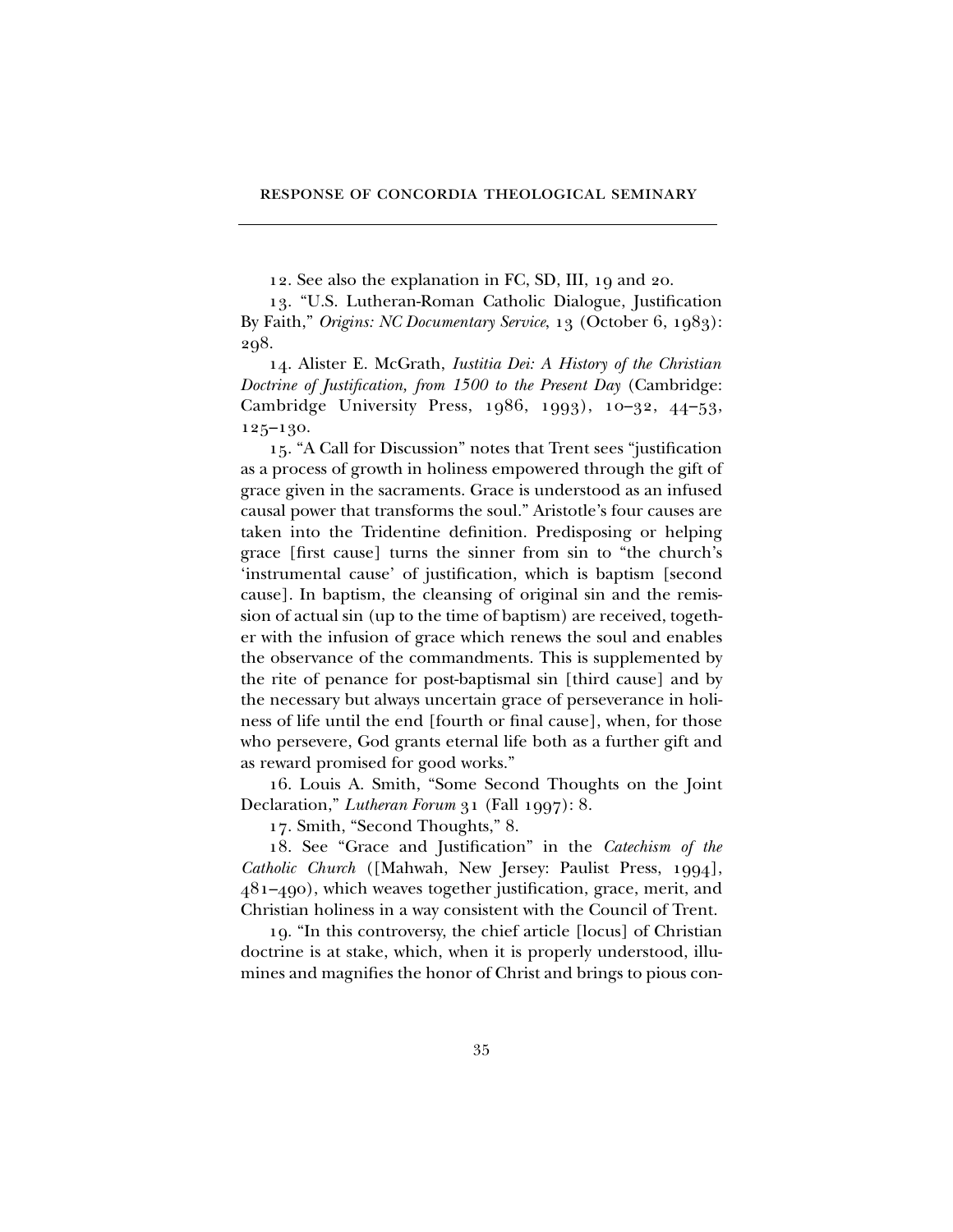12. See also the explanation in FC, SD, III, 19 and 20.

13. "U.S. Lutheran-Roman Catholic Dialogue, Justification By Faith," *Origins: NC Documentary Service*, 13 (October 6, 1983): 298.

14. Alister E. McGrath, *Iustitia Dei: A History of the Christian Doctrine of Justification, from 1500 to the Present Day* (Cambridge: Cambridge University Press, 1986, 1993), 10–32, 44–53, 125–130.

15. "A Call for Discussion" notes that Trent sees "justification as a process of growth in holiness empowered through the gift of grace given in the sacraments. Grace is understood as an infused causal power that transforms the soul." Aristotle's four causes are taken into the Tridentine definition. Predisposing or helping grace [first cause] turns the sinner from sin to "the church's 'instrumental cause' of justification, which is baptism [second cause]. In baptism, the cleansing of original sin and the remission of actual sin (up to the time of baptism) are received, together with the infusion of grace which renews the soul and enables the observance of the commandments. This is supplemented by the rite of penance for post-baptismal sin [third cause] and by the necessary but always uncertain grace of perseverance in holiness of life until the end [fourth or final cause], when, for those who persevere, God grants eternal life both as a further gift and as reward promised for good works."

16. Louis A. Smith, "Some Second Thoughts on the Joint Declaration," *Lutheran Forum* 31 (Fall 1997): 8.

17. Smith, "Second Thoughts," 8.

18. See "Grace and Justification" in the *Catechism of the Catholic Church* ([Mahwah, New Jersey: Paulist Press, 1994], 481–490), which weaves together justification, grace, merit, and Christian holiness in a way consistent with the Council of Trent.

19. "In this controversy, the chief article [locus] of Christian doctrine is at stake, which, when it is properly understood, illumines and magnifies the honor of Christ and brings to pious con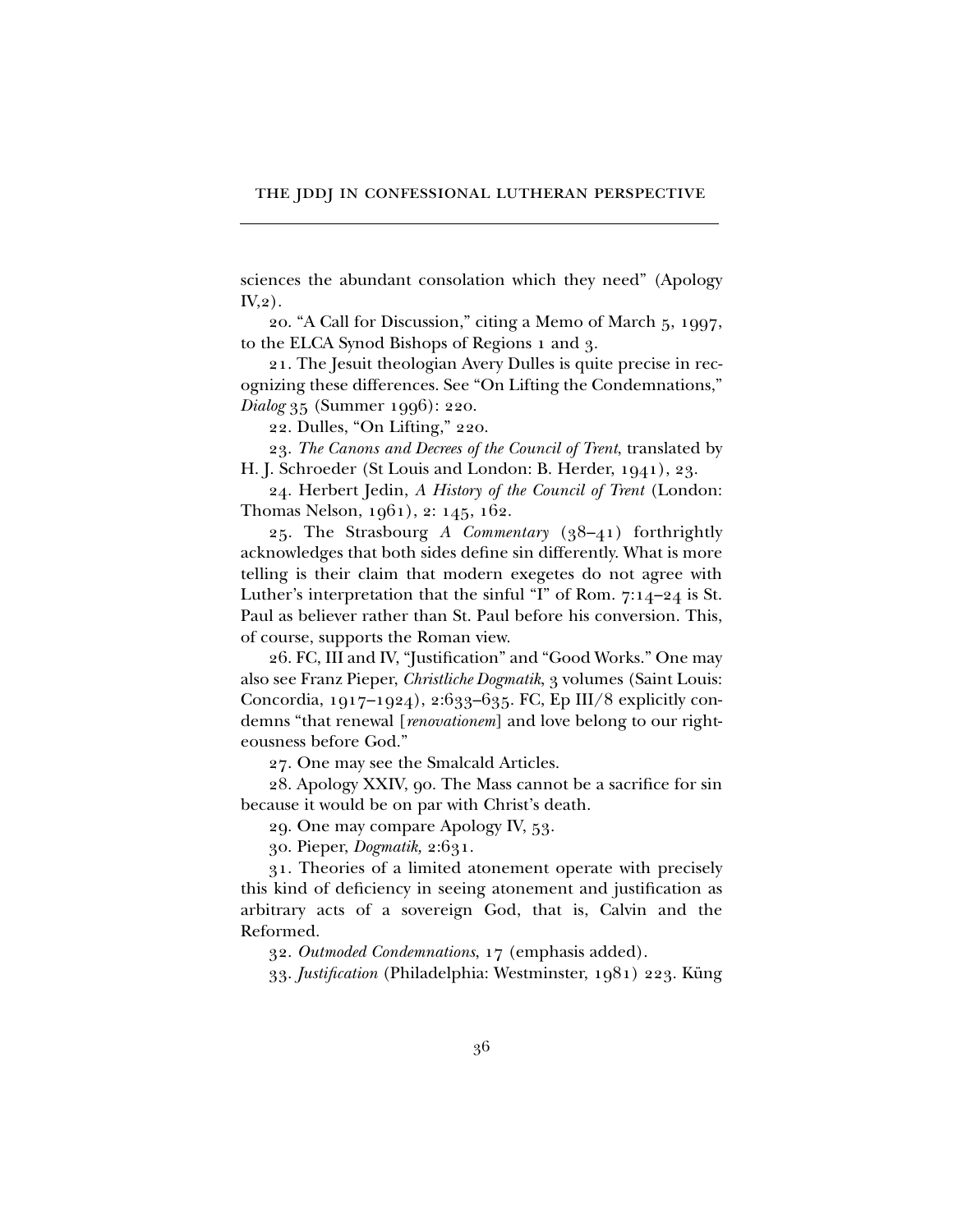sciences the abundant consolation which they need" (Apology  $IV<sub>2</sub>$ ).

20. "A Call for Discussion," citing a Memo of March 5, 1997, to the ELCA Synod Bishops of Regions 1 and 3.

21. The Jesuit theologian Avery Dulles is quite precise in recognizing these differences. See "On Lifting the Condemnations," *Dialog* 35 (Summer 1996): 220.

22. Dulles, "On Lifting," 220.

23. *The Canons and Decrees of the Council of Trent*, translated by H. J. Schroeder (St Louis and London: B. Herder, 1941), 23.

24. Herbert Jedin, *A History of the Council of Trent* (London: Thomas Nelson, 1961), 2: 145, 162.

25. The Strasbourg *A Commentary* (38–41) forthrightly acknowledges that both sides define sin differently. What is more telling is their claim that modern exegetes do not agree with Luther's interpretation that the sinful "I" of Rom. 7:14–24 is St. Paul as believer rather than St. Paul before his conversion. This, of course, supports the Roman view.

26. FC, III and IV, "Justification" and "Good Works." One may also see Franz Pieper, *Christliche Dogmatik*, 3 volumes (Saint Louis: Concordia, 1917–1924), 2:633–635. FC, Ep III/8 explicitly condemns "that renewal [*renovationem*] and love belong to our righteousness before God."

27. One may see the Smalcald Articles.

28. Apology XXIV, 90. The Mass cannot be a sacrifice for sin because it would be on par with Christ's death.

29. One may compare Apology IV, 53.

30. Pieper, *Dogmatik,* 2:631.

31. Theories of a limited atonement operate with precisely this kind of deficiency in seeing atonement and justification as arbitrary acts of a sovereign God, that is, Calvin and the Reformed.

32. *Outmoded Condemnations*, 17 (emphasis added).

33. *Justification* (Philadelphia: Westminster, 1981) 223. Küng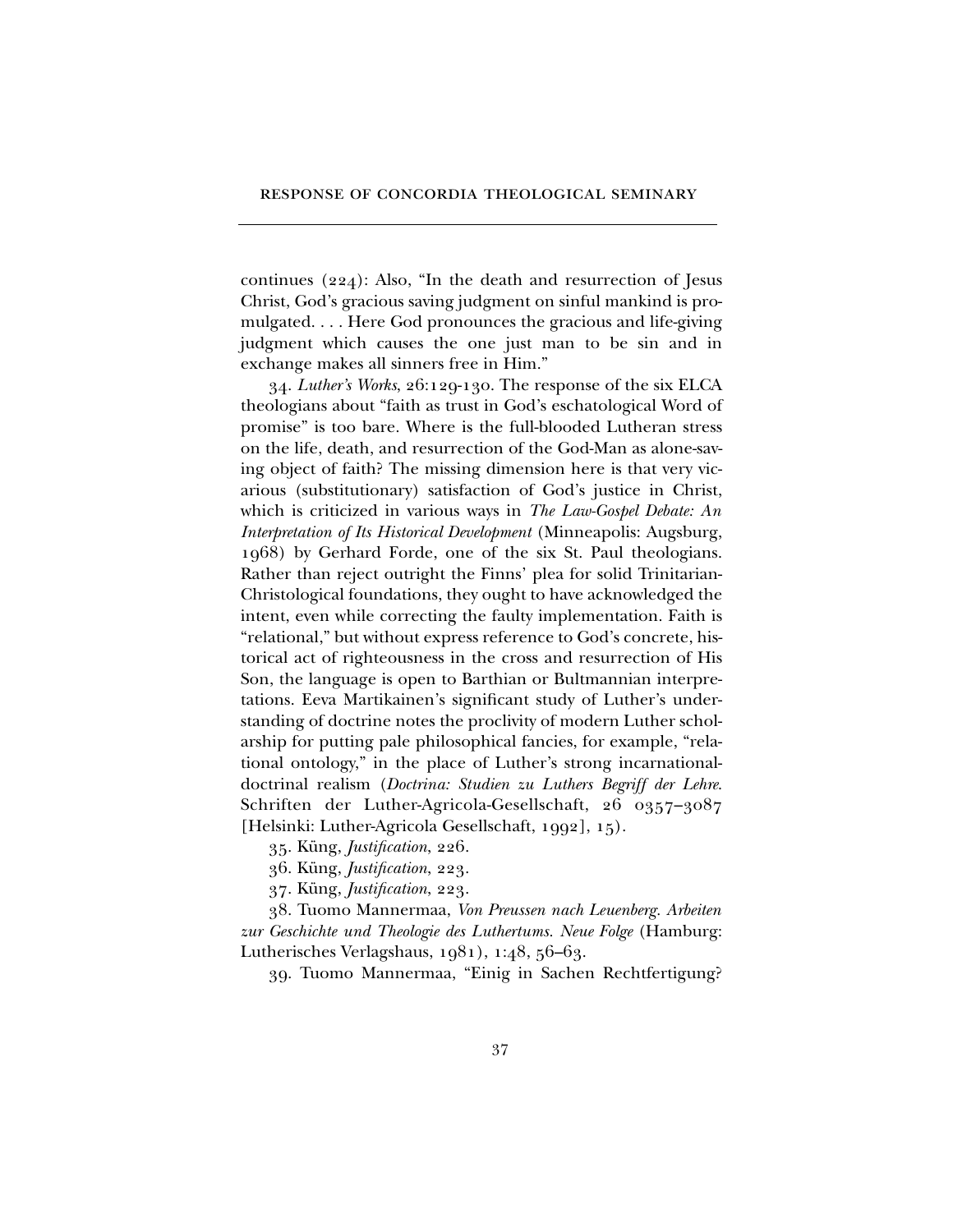continues (224): Also, "In the death and resurrection of Jesus Christ, God's gracious saving judgment on sinful mankind is promulgated. . . . Here God pronounces the gracious and life-giving judgment which causes the one just man to be sin and in exchange makes all sinners free in Him."

34. *Luther's Works*, 26:129-130. The response of the six ELCA theologians about "faith as trust in God's eschatological Word of promise" is too bare. Where is the full-blooded Lutheran stress on the life, death, and resurrection of the God-Man as alone-saving object of faith? The missing dimension here is that very vicarious (substitutionary) satisfaction of God's justice in Christ, which is criticized in various ways in *The Law-Gospel Debate: An Interpretation of Its Historical Development* (Minneapolis: Augsburg, 1968) by Gerhard Forde, one of the six St. Paul theologians. Rather than reject outright the Finns' plea for solid Trinitarian-Christological foundations, they ought to have acknowledged the intent, even while correcting the faulty implementation. Faith is "relational," but without express reference to God's concrete, historical act of righteousness in the cross and resurrection of His Son, the language is open to Barthian or Bultmannian interpretations. Eeva Martikainen's significant study of Luther's understanding of doctrine notes the proclivity of modern Luther scholarship for putting pale philosophical fancies, for example, "relational ontology," in the place of Luther's strong incarnationaldoctrinal realism (*Doctrina: Studien zu Luthers Begriff der Lehre*. Schriften der Luther-Agricola-Gesellschaft, 26 0357–3087 [Helsinki: Luther-Agricola Gesellschaft, 1992], 15).

35. Küng, *Justification*, 226.

36. Küng, *Justification*, 223.

37. Küng, *Justification*, 223.

38. Tuomo Mannermaa, *Von Preussen nach Leuenberg. Arbeiten zur Geschichte und Theologie des Luthertums. Neue Folge* (Hamburg: Lutherisches Verlagshaus, 1981), 1:48, 56–63.

39. Tuomo Mannermaa, "Einig in Sachen Rechtfertigung?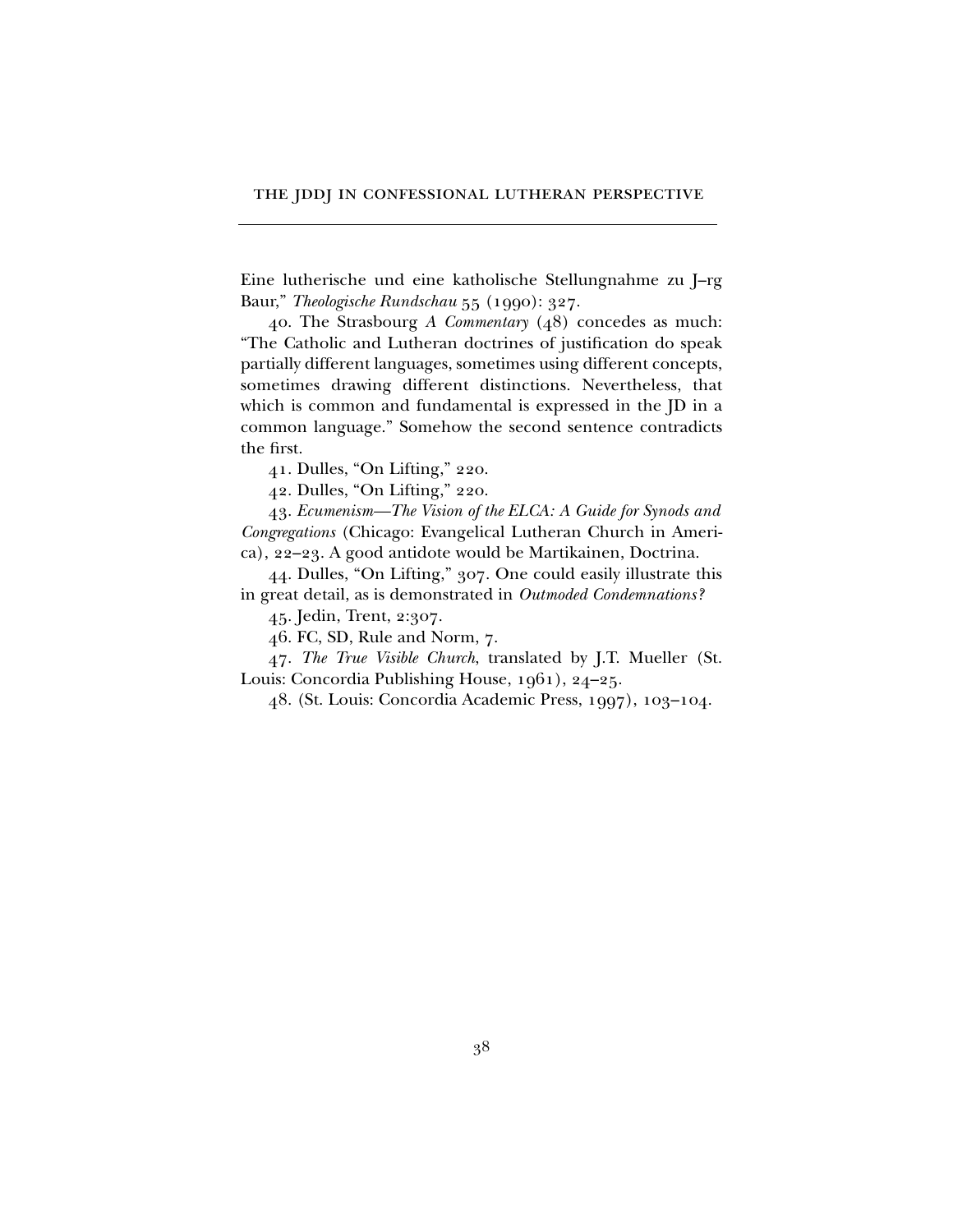Eine lutherische und eine katholische Stellungnahme zu J–rg Baur," *Theologische Rundschau* 55 (1990): 327.

40. The Strasbourg *A Commentary* (48) concedes as much: "The Catholic and Lutheran doctrines of justification do speak partially different languages, sometimes using different concepts, sometimes drawing different distinctions. Nevertheless, that which is common and fundamental is expressed in the JD in a common language." Somehow the second sentence contradicts the first.

41. Dulles, "On Lifting," 220.

42. Dulles, "On Lifting," 220.

43. *Ecumenism—The Vision of the ELCA: A Guide for Synods and Congregations* (Chicago: Evangelical Lutheran Church in America), 22–23. A good antidote would be Martikainen, Doctrina.

44. Dulles, "On Lifting," 307. One could easily illustrate this in great detail, as is demonstrated in *Outmoded Condemnations?*

45. Jedin, Trent, 2:307.

46. FC, SD, Rule and Norm, 7.

47. *The True Visible Church*, translated by J.T. Mueller (St. Louis: Concordia Publishing House, 1961), 24–25.

48. (St. Louis: Concordia Academic Press, 1997), 103–104.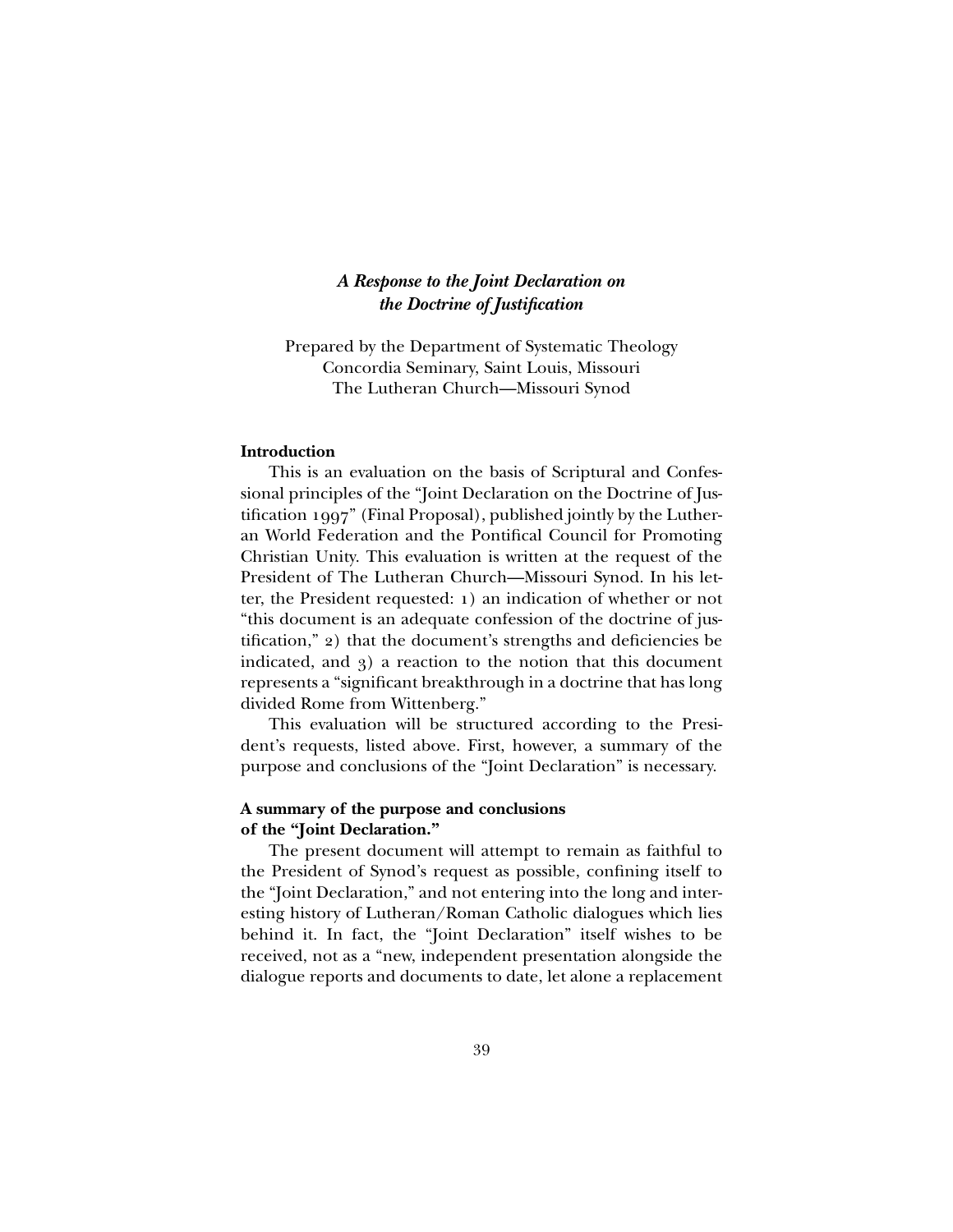## *A Response to the Joint Declaration on the Doctrine of Justification*

Prepared by the Department of Systematic Theology Concordia Seminary, Saint Louis, Missouri The Lutheran Church—Missouri Synod

## **Introduction**

This is an evaluation on the basis of Scriptural and Confessional principles of the "Joint Declaration on the Doctrine of Justification 1997" (Final Proposal), published jointly by the Lutheran World Federation and the Pontifical Council for Promoting Christian Unity. This evaluation is written at the request of the President of The Lutheran Church—Missouri Synod. In his letter, the President requested: 1) an indication of whether or not "this document is an adequate confession of the doctrine of justification," 2) that the document's strengths and deficiencies be indicated, and 3) a reaction to the notion that this document represents a "significant breakthrough in a doctrine that has long divided Rome from Wittenberg."

This evaluation will be structured according to the President's requests, listed above. First, however, a summary of the purpose and conclusions of the "Joint Declaration" is necessary.

## **A summary of the purpose and conclusions of the "Joint Declaration."**

The present document will attempt to remain as faithful to the President of Synod's request as possible, confining itself to the "Joint Declaration," and not entering into the long and interesting history of Lutheran/Roman Catholic dialogues which lies behind it. In fact, the "Joint Declaration" itself wishes to be received, not as a "new, independent presentation alongside the dialogue reports and documents to date, let alone a replacement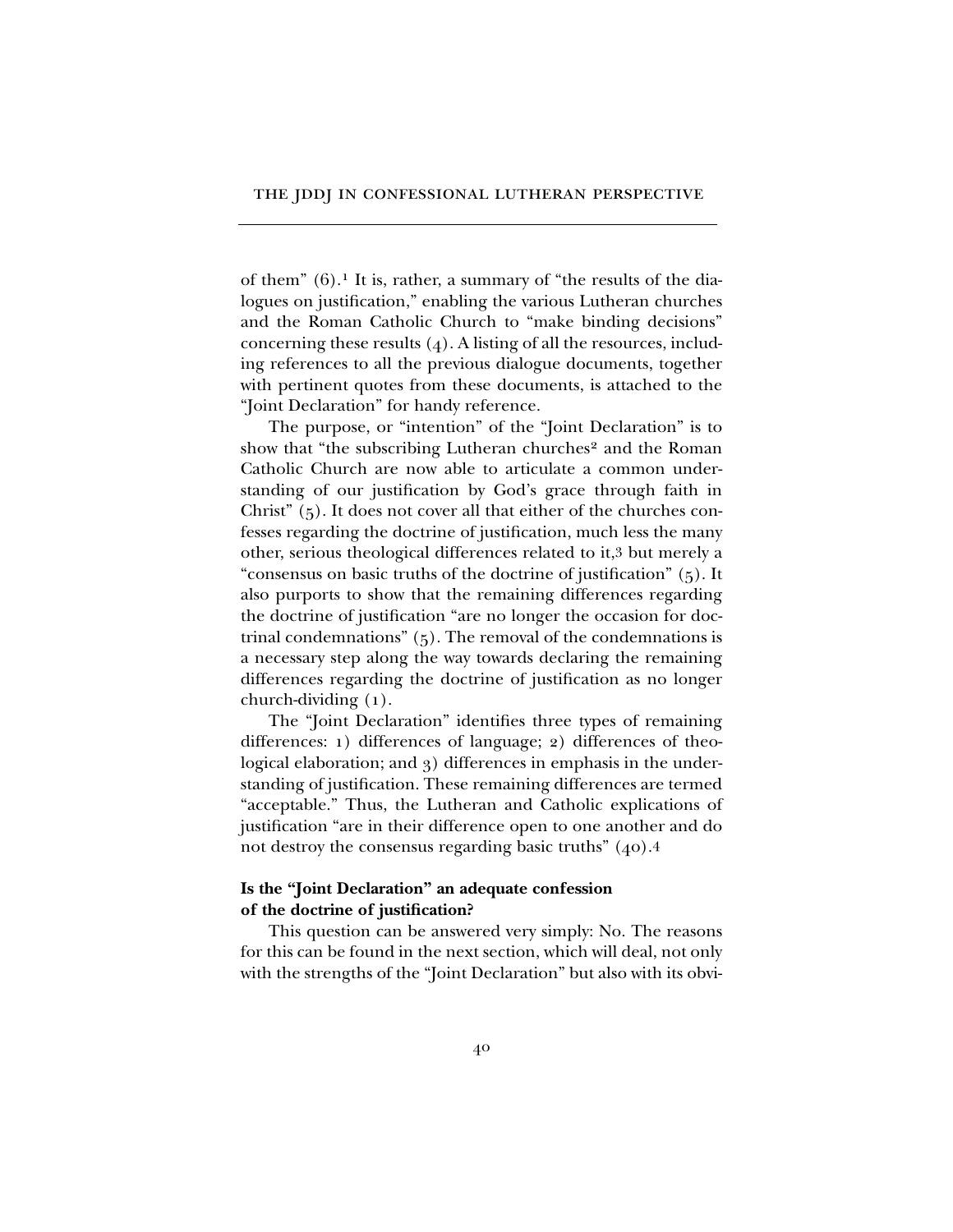of them"  $(6)$ .<sup>1</sup> It is, rather, a summary of "the results of the dialogues on justification," enabling the various Lutheran churches and the Roman Catholic Church to "make binding decisions" concerning these results  $(4)$ . A listing of all the resources, including references to all the previous dialogue documents, together with pertinent quotes from these documents, is attached to the "Joint Declaration" for handy reference.

The purpose, or "intention" of the "Joint Declaration" is to show that "the subscribing Lutheran churches<sup>2</sup> and the Roman Catholic Church are now able to articulate a common understanding of our justification by God's grace through faith in Christ" (5). It does not cover all that either of the churches confesses regarding the doctrine of justification, much less the many other, serious theological differences related to it,3 but merely a "consensus on basic truths of the doctrine of justification" (5). It also purports to show that the remaining differences regarding the doctrine of justification "are no longer the occasion for doctrinal condemnations"  $(5)$ . The removal of the condemnations is a necessary step along the way towards declaring the remaining differences regarding the doctrine of justification as no longer church-dividing (1).

The "Joint Declaration" identifies three types of remaining differences: 1) differences of language; 2) differences of theological elaboration; and 3) differences in emphasis in the understanding of justification. These remaining differences are termed "acceptable." Thus, the Lutheran and Catholic explications of justification "are in their difference open to one another and do not destroy the consensus regarding basic truths" (40).4

## **Is the "Joint Declaration" an adequate confession of the doctrine of justification?**

This question can be answered very simply: No. The reasons for this can be found in the next section, which will deal, not only with the strengths of the "Joint Declaration" but also with its obvi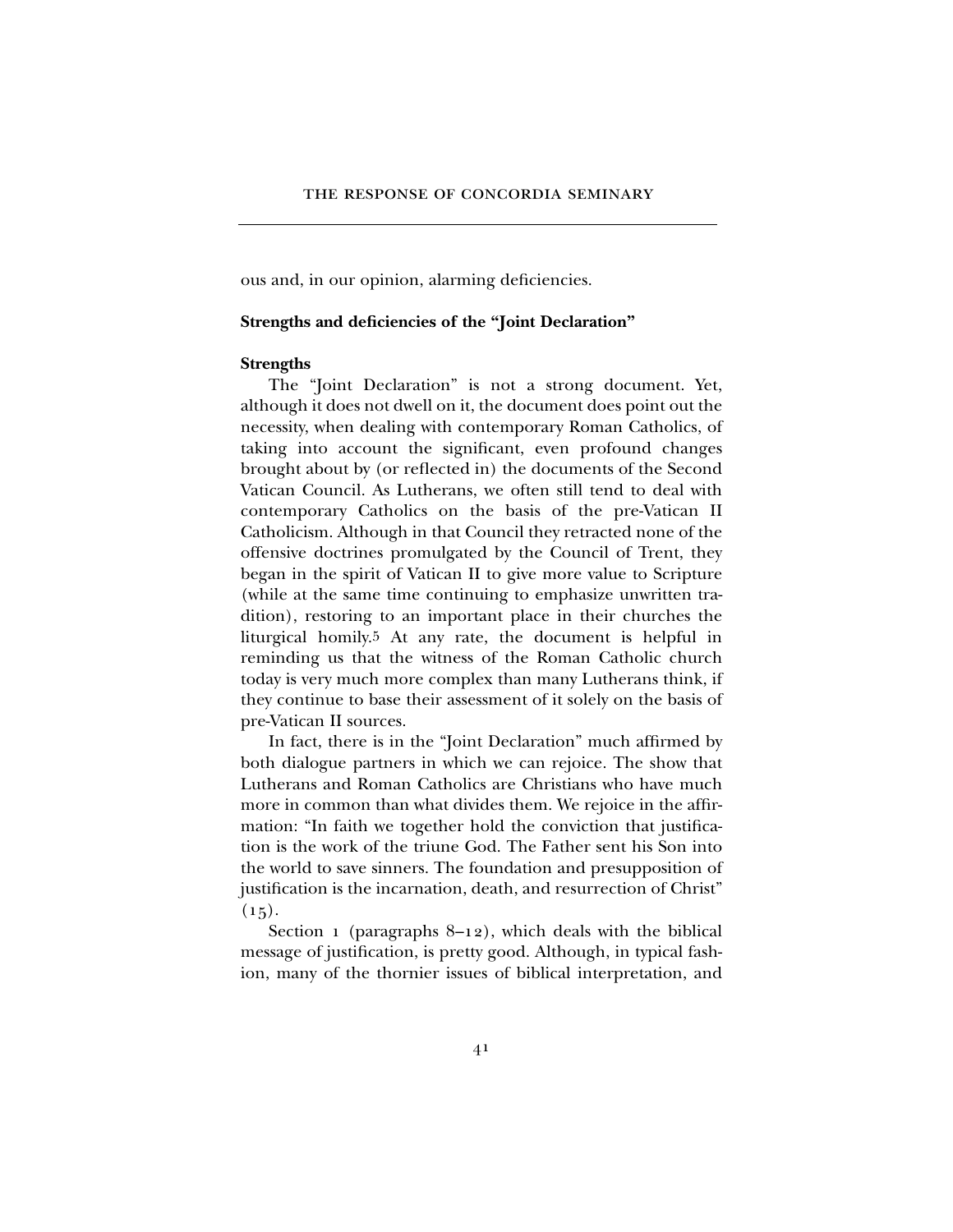ous and, in our opinion, alarming deficiencies.

### **Strengths and deficiencies of the "Joint Declaration"**

### **Strengths**

The "Joint Declaration" is not a strong document. Yet, although it does not dwell on it, the document does point out the necessity, when dealing with contemporary Roman Catholics, of taking into account the significant, even profound changes brought about by (or reflected in) the documents of the Second Vatican Council. As Lutherans, we often still tend to deal with contemporary Catholics on the basis of the pre-Vatican II Catholicism. Although in that Council they retracted none of the offensive doctrines promulgated by the Council of Trent, they began in the spirit of Vatican II to give more value to Scripture (while at the same time continuing to emphasize unwritten tradition), restoring to an important place in their churches the liturgical homily.5 At any rate, the document is helpful in reminding us that the witness of the Roman Catholic church today is very much more complex than many Lutherans think, if they continue to base their assessment of it solely on the basis of pre-Vatican II sources.

In fact, there is in the "Joint Declaration" much affirmed by both dialogue partners in which we can rejoice. The show that Lutherans and Roman Catholics are Christians who have much more in common than what divides them. We rejoice in the affirmation: "In faith we together hold the conviction that justification is the work of the triune God. The Father sent his Son into the world to save sinners. The foundation and presupposition of justification is the incarnation, death, and resurrection of Christ"  $(15).$ 

Section 1 (paragraphs 8–12), which deals with the biblical message of justification, is pretty good. Although, in typical fashion, many of the thornier issues of biblical interpretation, and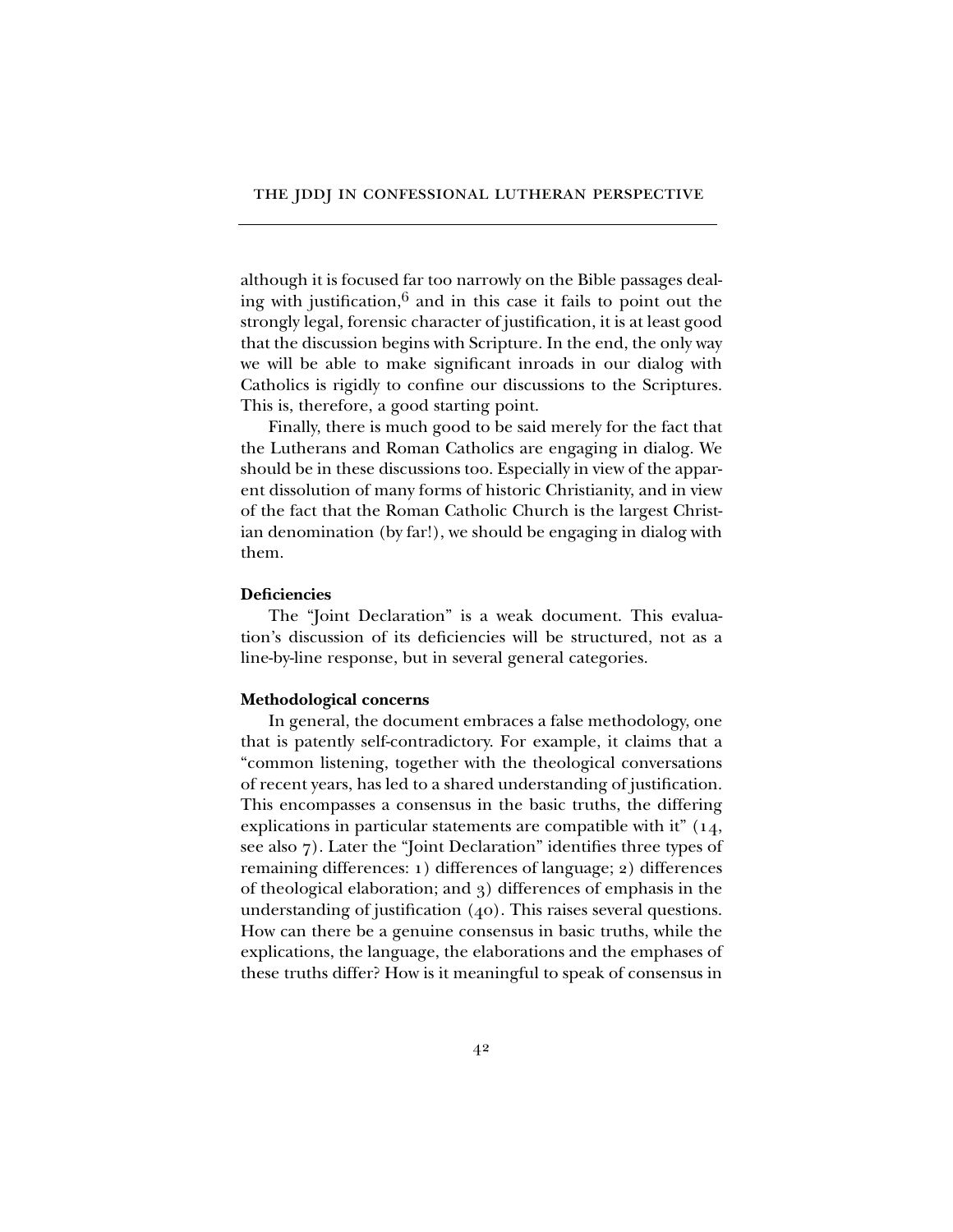although it is focused far too narrowly on the Bible passages dealing with justification,<sup>6</sup> and in this case it fails to point out the strongly legal, forensic character of justification, it is at least good that the discussion begins with Scripture. In the end, the only way we will be able to make significant inroads in our dialog with Catholics is rigidly to confine our discussions to the Scriptures. This is, therefore, a good starting point.

Finally, there is much good to be said merely for the fact that the Lutherans and Roman Catholics are engaging in dialog. We should be in these discussions too. Especially in view of the apparent dissolution of many forms of historic Christianity, and in view of the fact that the Roman Catholic Church is the largest Christian denomination (by far!), we should be engaging in dialog with them.

### **Deficiencies**

The "Joint Declaration" is a weak document. This evaluation's discussion of its deficiencies will be structured, not as a line-by-line response, but in several general categories.

### **Methodological concerns**

In general, the document embraces a false methodology, one that is patently self-contradictory. For example, it claims that a "common listening, together with the theological conversations of recent years, has led to a shared understanding of justification. This encompasses a consensus in the basic truths, the differing explications in particular statements are compatible with it" (14, see also 7). Later the "Joint Declaration" identifies three types of remaining differences: 1) differences of language; 2) differences of theological elaboration; and 3) differences of emphasis in the understanding of justification (40). This raises several questions. How can there be a genuine consensus in basic truths, while the explications, the language, the elaborations and the emphases of these truths differ? How is it meaningful to speak of consensus in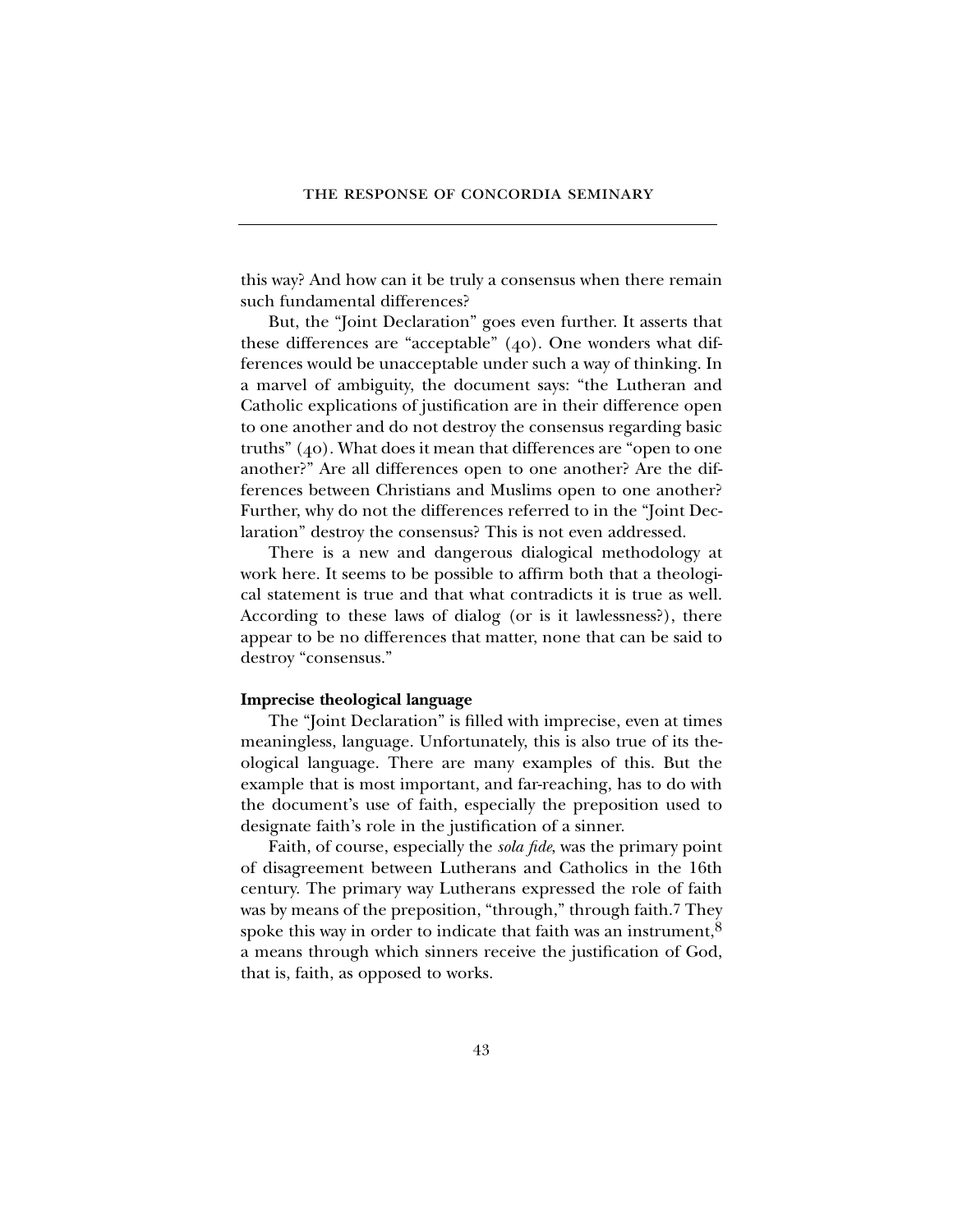this way? And how can it be truly a consensus when there remain such fundamental differences?

But, the "Joint Declaration" goes even further. It asserts that these differences are "acceptable" (40). One wonders what differences would be unacceptable under such a way of thinking. In a marvel of ambiguity, the document says: "the Lutheran and Catholic explications of justification are in their difference open to one another and do not destroy the consensus regarding basic truths" (40). What does it mean that differences are "open to one another?" Are all differences open to one another? Are the differences between Christians and Muslims open to one another? Further, why do not the differences referred to in the "Joint Declaration" destroy the consensus? This is not even addressed.

There is a new and dangerous dialogical methodology at work here. It seems to be possible to affirm both that a theological statement is true and that what contradicts it is true as well. According to these laws of dialog (or is it lawlessness?), there appear to be no differences that matter, none that can be said to destroy "consensus."

## **Imprecise theological language**

The "Joint Declaration" is filled with imprecise, even at times meaningless, language. Unfortunately, this is also true of its theological language. There are many examples of this. But the example that is most important, and far-reaching, has to do with the document's use of faith, especially the preposition used to designate faith's role in the justification of a sinner.

Faith, of course, especially the *sola fide*, was the primary point of disagreement between Lutherans and Catholics in the 16th century. The primary way Lutherans expressed the role of faith was by means of the preposition, "through," through faith.7 They spoke this way in order to indicate that faith was an instrument,  $8$ a means through which sinners receive the justification of God, that is, faith, as opposed to works.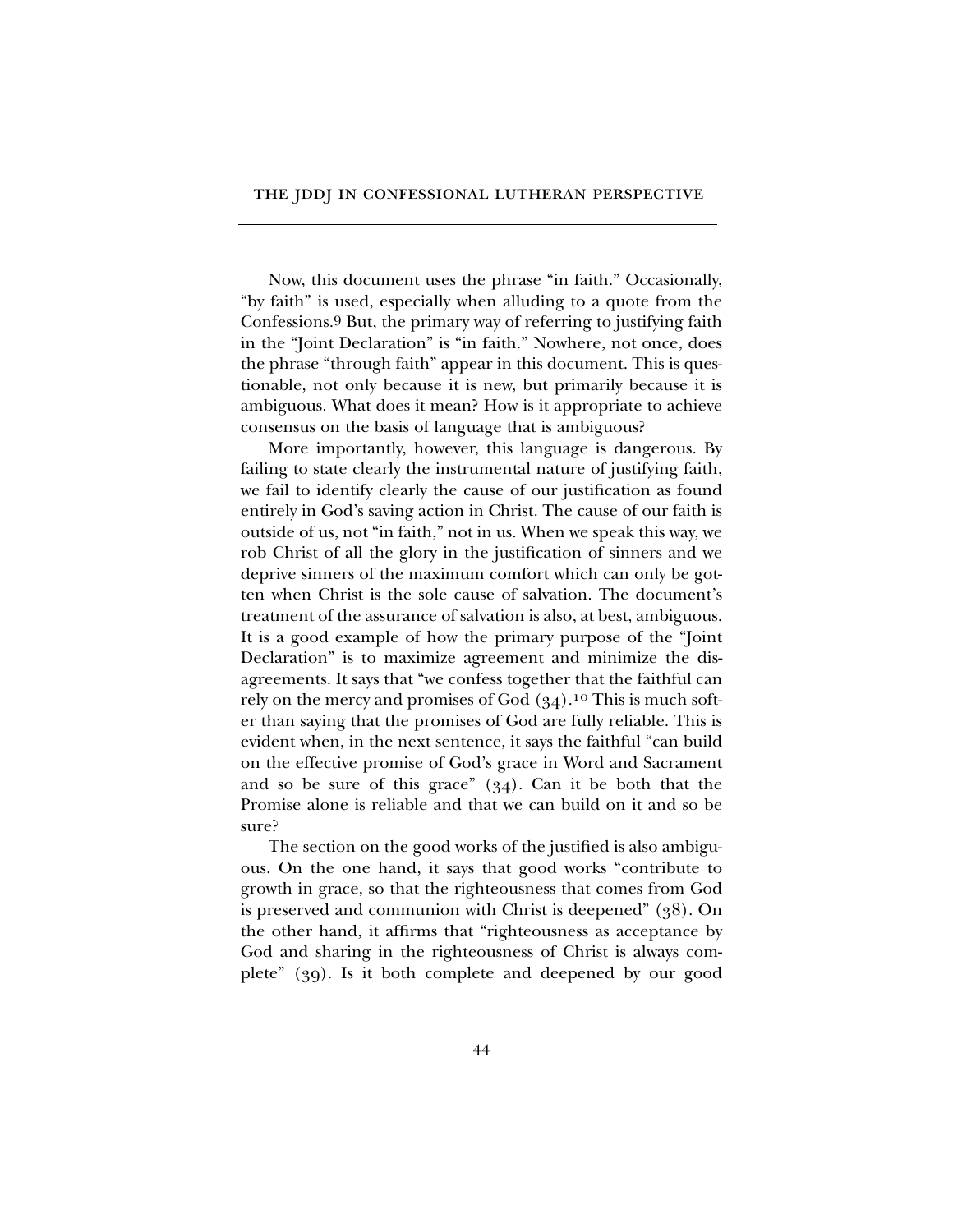Now, this document uses the phrase "in faith." Occasionally, "by faith" is used, especially when alluding to a quote from the Confessions.9 But, the primary way of referring to justifying faith in the "Joint Declaration" is "in faith." Nowhere, not once, does the phrase "through faith" appear in this document. This is questionable, not only because it is new, but primarily because it is ambiguous. What does it mean? How is it appropriate to achieve consensus on the basis of language that is ambiguous?

More importantly, however, this language is dangerous. By failing to state clearly the instrumental nature of justifying faith, we fail to identify clearly the cause of our justification as found entirely in God's saving action in Christ. The cause of our faith is outside of us, not "in faith," not in us. When we speak this way, we rob Christ of all the glory in the justification of sinners and we deprive sinners of the maximum comfort which can only be gotten when Christ is the sole cause of salvation. The document's treatment of the assurance of salvation is also, at best, ambiguous. It is a good example of how the primary purpose of the "Joint Declaration" is to maximize agreement and minimize the disagreements. It says that "we confess together that the faithful can rely on the mercy and promises of God  $(34)$ .<sup>10</sup> This is much softer than saying that the promises of God are fully reliable. This is evident when, in the next sentence, it says the faithful "can build on the effective promise of God's grace in Word and Sacrament and so be sure of this grace" (34). Can it be both that the Promise alone is reliable and that we can build on it and so be sure?

The section on the good works of the justified is also ambiguous. On the one hand, it says that good works "contribute to growth in grace, so that the righteousness that comes from God is preserved and communion with Christ is deepened" (38). On the other hand, it affirms that "righteousness as acceptance by God and sharing in the righteousness of Christ is always complete" (39). Is it both complete and deepened by our good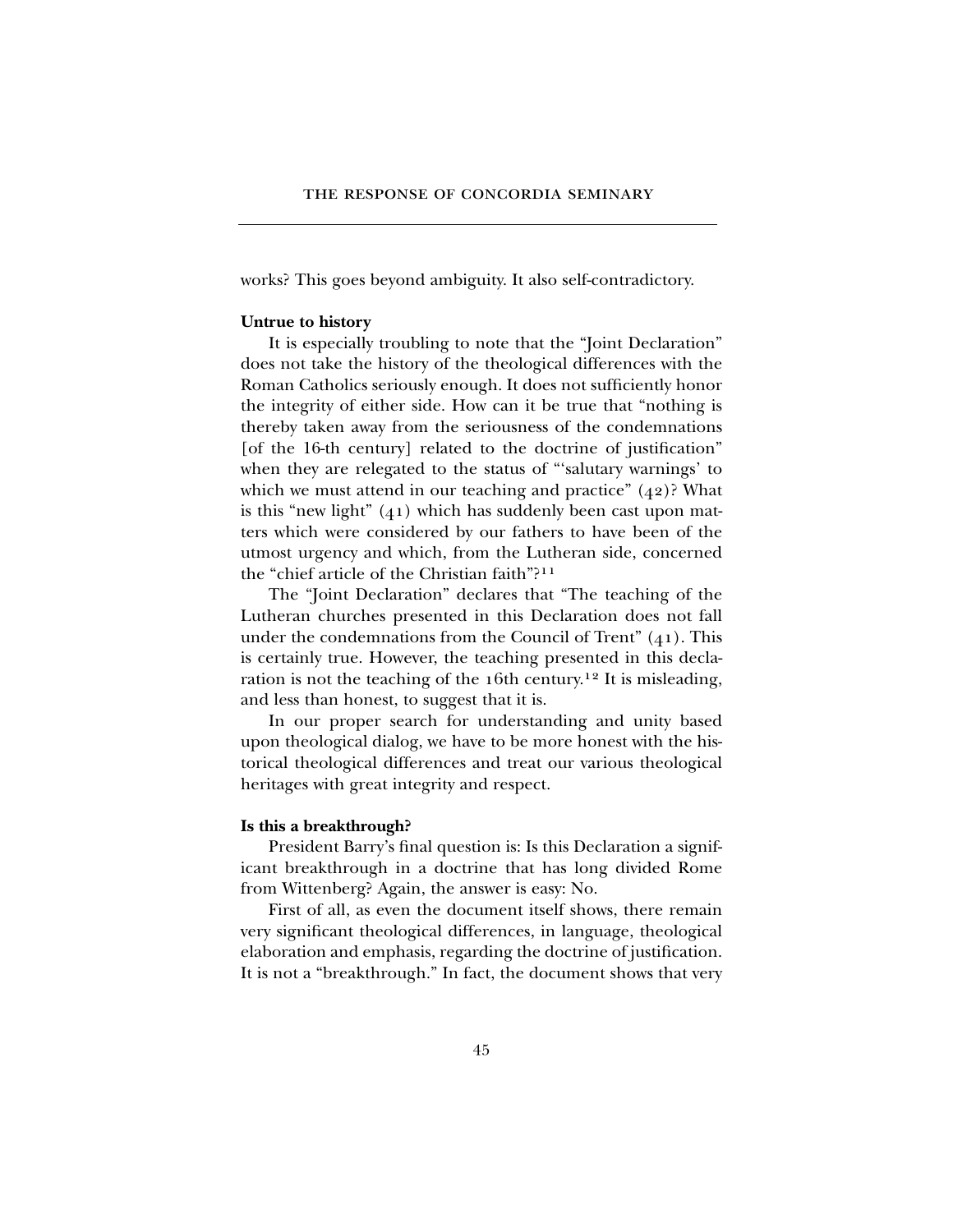works? This goes beyond ambiguity. It also self-contradictory.

## **Untrue to history**

It is especially troubling to note that the "Joint Declaration" does not take the history of the theological differences with the Roman Catholics seriously enough. It does not sufficiently honor the integrity of either side. How can it be true that "nothing is thereby taken away from the seriousness of the condemnations [of the 16-th century] related to the doctrine of justification" when they are relegated to the status of "'salutary warnings' to which we must attend in our teaching and practice"  $(42)$ ? What is this "new light" (41) which has suddenly been cast upon matters which were considered by our fathers to have been of the utmost urgency and which, from the Lutheran side, concerned the "chief article of the Christian faith"?11

The "Joint Declaration" declares that "The teaching of the Lutheran churches presented in this Declaration does not fall under the condemnations from the Council of Trent"  $(41)$ . This is certainly true. However, the teaching presented in this declaration is not the teaching of the 16th century.12 It is misleading, and less than honest, to suggest that it is.

In our proper search for understanding and unity based upon theological dialog, we have to be more honest with the historical theological differences and treat our various theological heritages with great integrity and respect.

### **Is this a breakthrough?**

President Barry's final question is: Is this Declaration a significant breakthrough in a doctrine that has long divided Rome from Wittenberg? Again, the answer is easy: No.

First of all, as even the document itself shows, there remain very significant theological differences, in language, theological elaboration and emphasis, regarding the doctrine of justification. It is not a "breakthrough." In fact, the document shows that very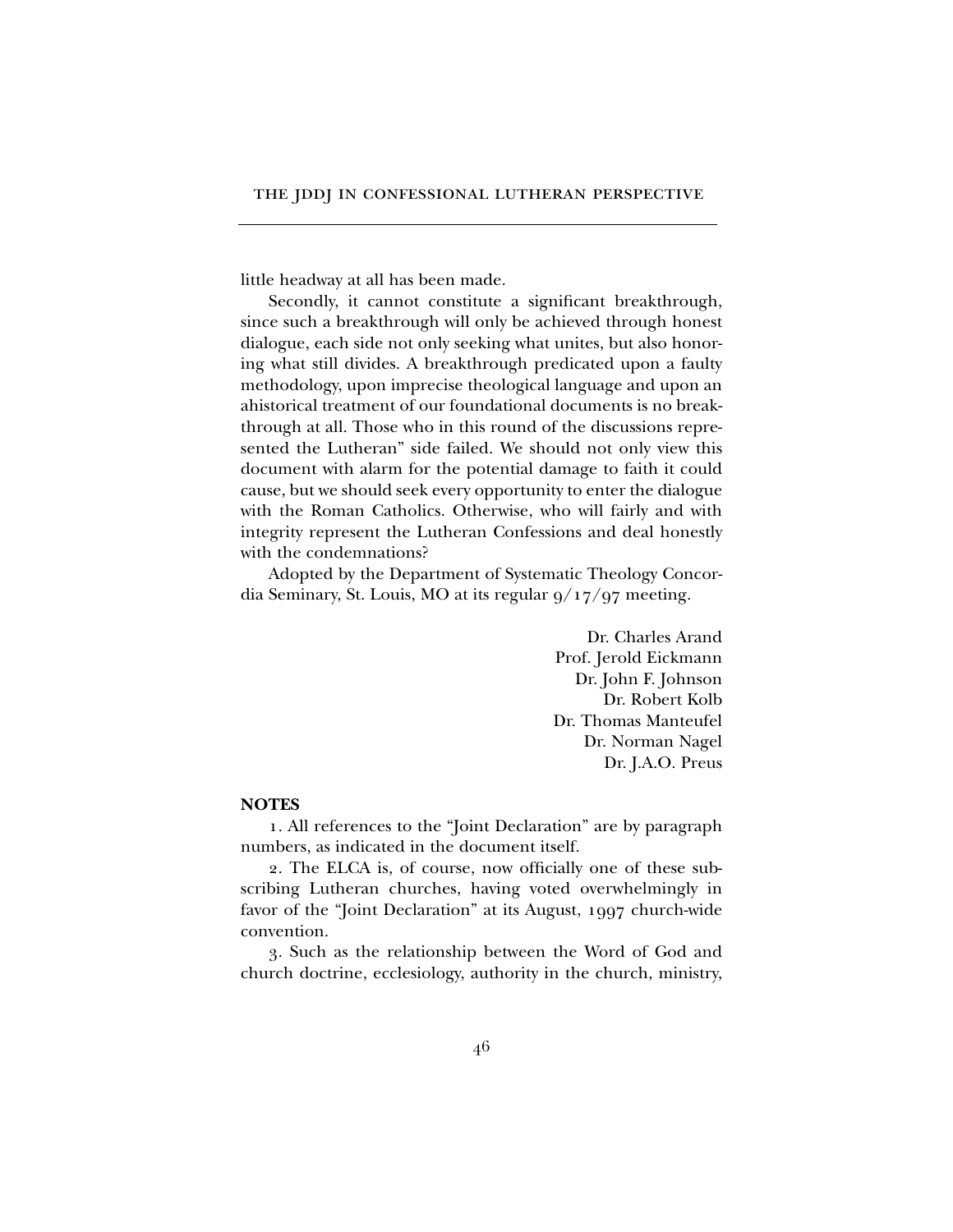little headway at all has been made.

Secondly, it cannot constitute a significant breakthrough, since such a breakthrough will only be achieved through honest dialogue, each side not only seeking what unites, but also honoring what still divides. A breakthrough predicated upon a faulty methodology, upon imprecise theological language and upon an ahistorical treatment of our foundational documents is no breakthrough at all. Those who in this round of the discussions represented the Lutheran" side failed. We should not only view this document with alarm for the potential damage to faith it could cause, but we should seek every opportunity to enter the dialogue with the Roman Catholics. Otherwise, who will fairly and with integrity represent the Lutheran Confessions and deal honestly with the condemnations?

Adopted by the Department of Systematic Theology Concordia Seminary, St. Louis, MO at its regular 9/17/97 meeting.

> Dr. Charles Arand Prof. Jerold Eickmann Dr. John F. Johnson Dr. Robert Kolb Dr. Thomas Manteufel Dr. Norman Nagel Dr. J.A.O. Preus

## **NOTES**

1. All references to the "Joint Declaration" are by paragraph numbers, as indicated in the document itself.

2. The ELCA is, of course, now officially one of these subscribing Lutheran churches, having voted overwhelmingly in favor of the "Joint Declaration" at its August, 1997 church-wide convention.

3. Such as the relationship between the Word of God and church doctrine, ecclesiology, authority in the church, ministry,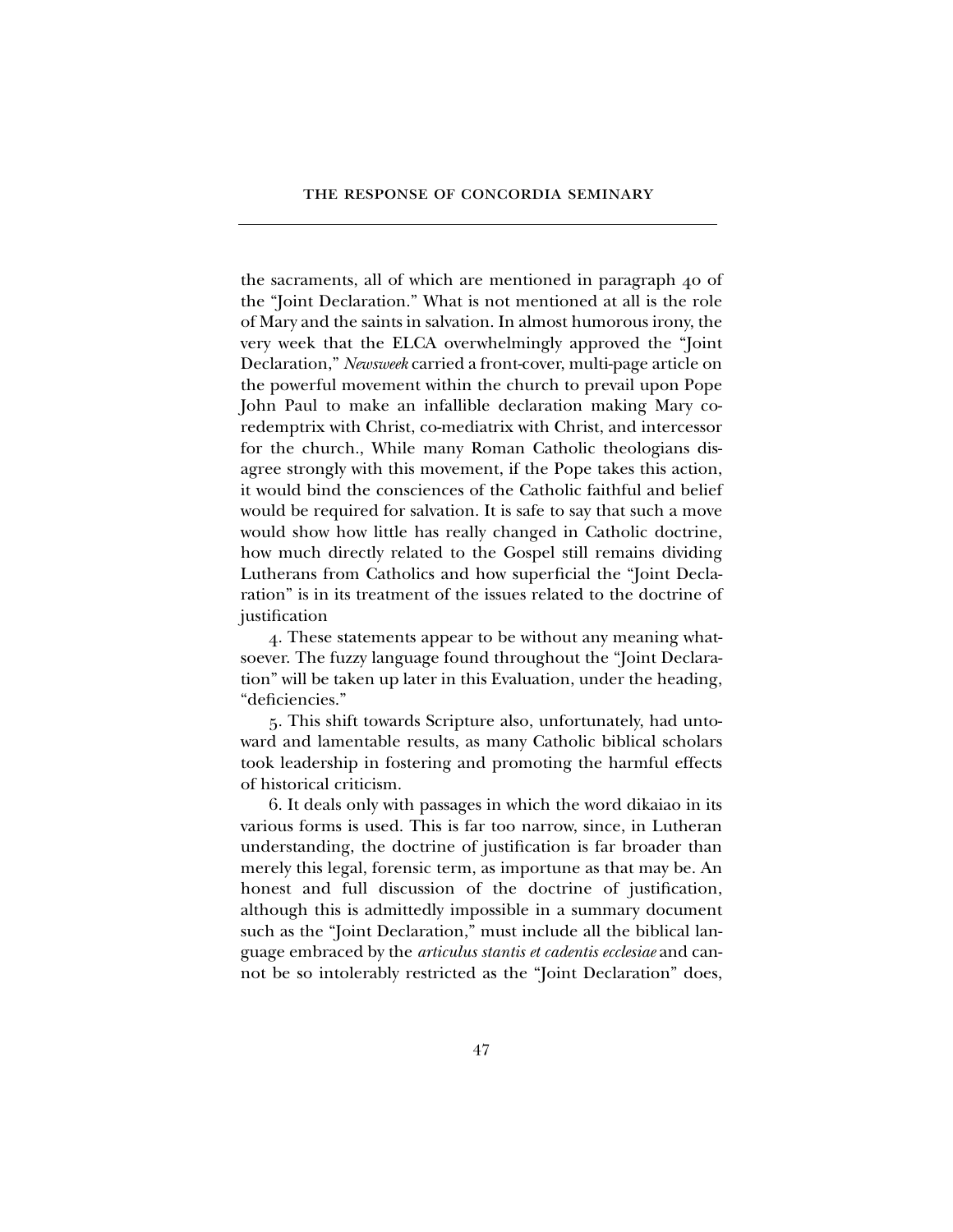the sacraments, all of which are mentioned in paragraph 40 of the "Joint Declaration." What is not mentioned at all is the role of Mary and the saints in salvation. In almost humorous irony, the very week that the ELCA overwhelmingly approved the "Joint Declaration," *Newsweek* carried a front-cover, multi-page article on the powerful movement within the church to prevail upon Pope John Paul to make an infallible declaration making Mary coredemptrix with Christ, co-mediatrix with Christ, and intercessor for the church., While many Roman Catholic theologians disagree strongly with this movement, if the Pope takes this action, it would bind the consciences of the Catholic faithful and belief would be required for salvation. It is safe to say that such a move would show how little has really changed in Catholic doctrine, how much directly related to the Gospel still remains dividing Lutherans from Catholics and how superficial the "Joint Declaration" is in its treatment of the issues related to the doctrine of justification

4. These statements appear to be without any meaning whatsoever. The fuzzy language found throughout the "Joint Declaration" will be taken up later in this Evaluation, under the heading, "deficiencies."

5. This shift towards Scripture also, unfortunately, had untoward and lamentable results, as many Catholic biblical scholars took leadership in fostering and promoting the harmful effects of historical criticism.

6. It deals only with passages in which the word dikaiao in its various forms is used. This is far too narrow, since, in Lutheran understanding, the doctrine of justification is far broader than merely this legal, forensic term, as importune as that may be. An honest and full discussion of the doctrine of justification, although this is admittedly impossible in a summary document such as the "Joint Declaration," must include all the biblical language embraced by the *articulus stantis et cadentis ecclesiae* and cannot be so intolerably restricted as the "Joint Declaration" does,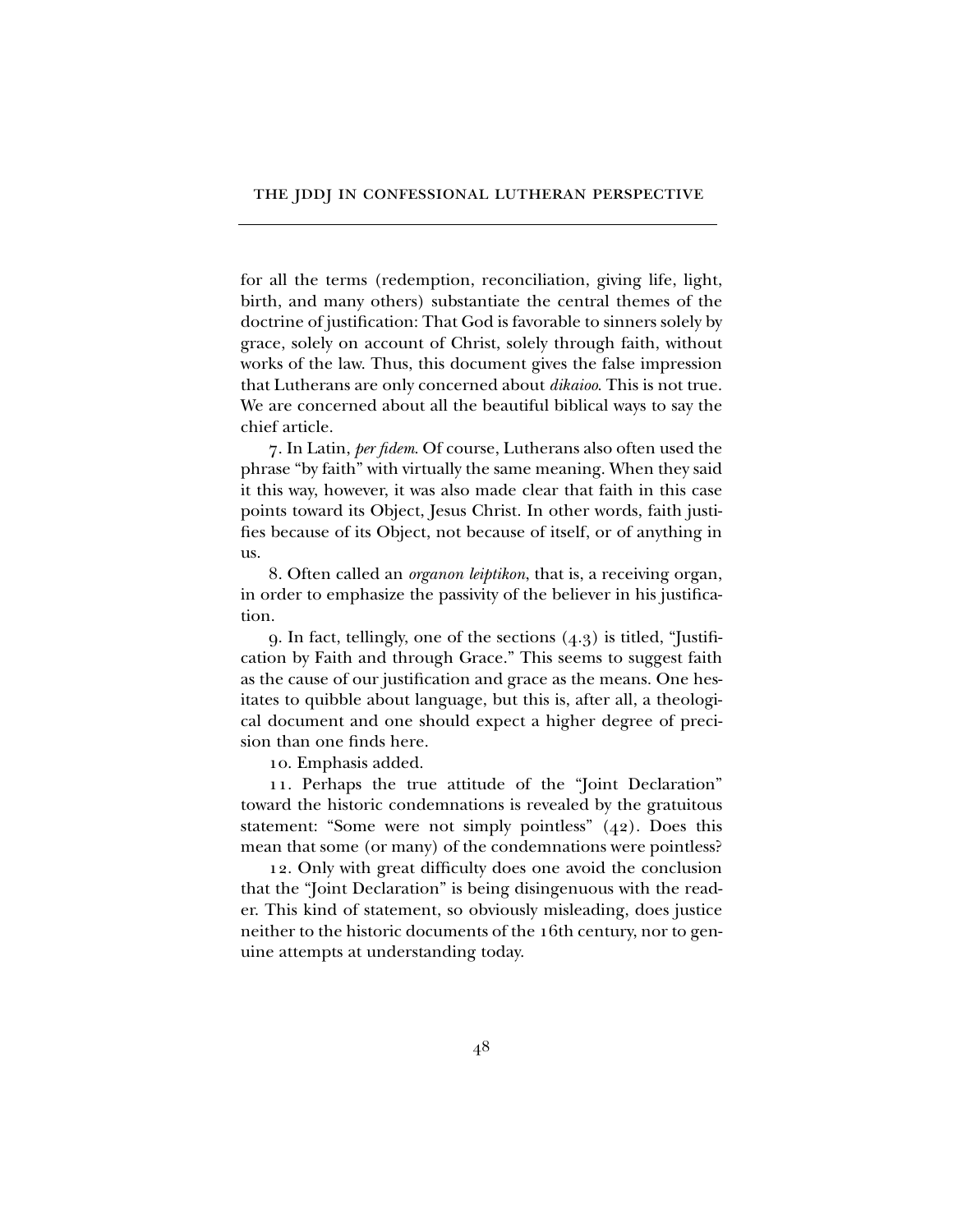for all the terms (redemption, reconciliation, giving life, light, birth, and many others) substantiate the central themes of the doctrine of justification: That God is favorable to sinners solely by grace, solely on account of Christ, solely through faith, without works of the law. Thus, this document gives the false impression that Lutherans are only concerned about *dikaioo*. This is not true. We are concerned about all the beautiful biblical ways to say the chief article.

7. In Latin, *per fidem*. Of course, Lutherans also often used the phrase "by faith" with virtually the same meaning. When they said it this way, however, it was also made clear that faith in this case points toward its Object, Jesus Christ. In other words, faith justifies because of its Object, not because of itself, or of anything in us.

8. Often called an *organon leiptikon*, that is, a receiving organ, in order to emphasize the passivity of the believer in his justification.

9. In fact, tellingly, one of the sections (4.3) is titled, "Justification by Faith and through Grace." This seems to suggest faith as the cause of our justification and grace as the means. One hesitates to quibble about language, but this is, after all, a theological document and one should expect a higher degree of precision than one finds here.

10. Emphasis added.

11. Perhaps the true attitude of the "Joint Declaration" toward the historic condemnations is revealed by the gratuitous statement: "Some were not simply pointless" (42). Does this mean that some (or many) of the condemnations were pointless?

12. Only with great difficulty does one avoid the conclusion that the "Joint Declaration" is being disingenuous with the reader. This kind of statement, so obviously misleading, does justice neither to the historic documents of the 16th century, nor to genuine attempts at understanding today.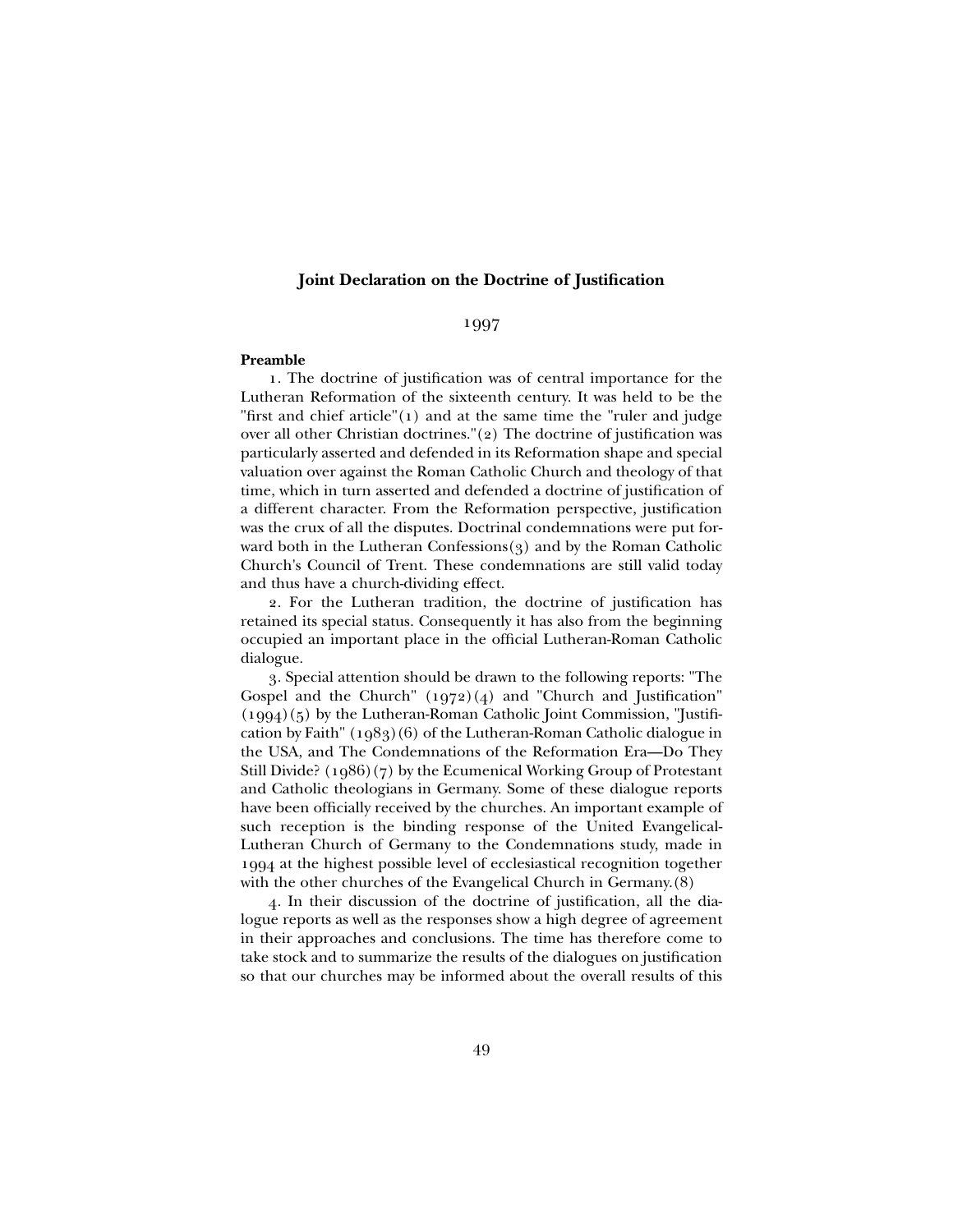## **Joint Declaration on the Doctrine of Justification**

### 1997

#### **Preamble**

1. The doctrine of justification was of central importance for the Lutheran Reformation of the sixteenth century. It was held to be the "first and chief article"(1) and at the same time the "ruler and judge over all other Christian doctrines."(2) The doctrine of justification was particularly asserted and defended in its Reformation shape and special valuation over against the Roman Catholic Church and theology of that time, which in turn asserted and defended a doctrine of justification of a different character. From the Reformation perspective, justification was the crux of all the disputes. Doctrinal condemnations were put forward both in the Lutheran Confessions(3) and by the Roman Catholic Church's Council of Trent. These condemnations are still valid today and thus have a church-dividing effect.

2. For the Lutheran tradition, the doctrine of justification has retained its special status. Consequently it has also from the beginning occupied an important place in the official Lutheran-Roman Catholic dialogue.

3. Special attention should be drawn to the following reports: "The Gospel and the Church"  $(1972)(4)$  and "Church and Justification"  $(1994)(5)$  by the Lutheran-Roman Catholic Joint Commission, "Justification by Faith" (1983)(6) of the Lutheran-Roman Catholic dialogue in the USA, and The Condemnations of the Reformation Era—Do They Still Divide? (1986)(7) by the Ecumenical Working Group of Protestant and Catholic theologians in Germany. Some of these dialogue reports have been officially received by the churches. An important example of such reception is the binding response of the United Evangelical-Lutheran Church of Germany to the Condemnations study, made in 1994 at the highest possible level of ecclesiastical recognition together with the other churches of the Evangelical Church in Germany.(8)

4. In their discussion of the doctrine of justification, all the dialogue reports as well as the responses show a high degree of agreement in their approaches and conclusions. The time has therefore come to take stock and to summarize the results of the dialogues on justification so that our churches may be informed about the overall results of this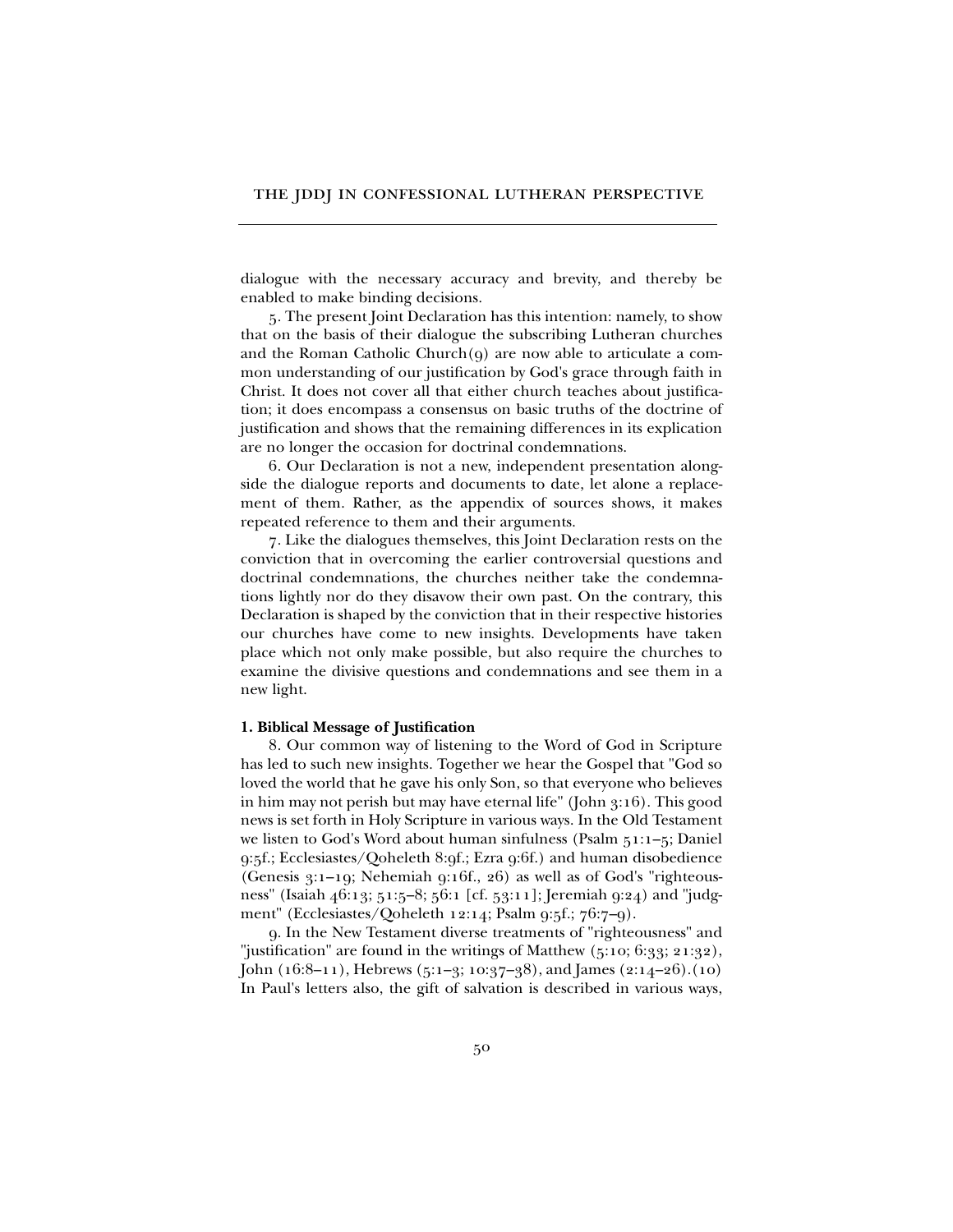dialogue with the necessary accuracy and brevity, and thereby be enabled to make binding decisions.

5. The present Joint Declaration has this intention: namely, to show that on the basis of their dialogue the subscribing Lutheran churches and the Roman Catholic Church(9) are now able to articulate a common understanding of our justification by God's grace through faith in Christ. It does not cover all that either church teaches about justification; it does encompass a consensus on basic truths of the doctrine of justification and shows that the remaining differences in its explication are no longer the occasion for doctrinal condemnations.

6. Our Declaration is not a new, independent presentation alongside the dialogue reports and documents to date, let alone a replacement of them. Rather, as the appendix of sources shows, it makes repeated reference to them and their arguments.

7. Like the dialogues themselves, this Joint Declaration rests on the conviction that in overcoming the earlier controversial questions and doctrinal condemnations, the churches neither take the condemnations lightly nor do they disavow their own past. On the contrary, this Declaration is shaped by the conviction that in their respective histories our churches have come to new insights. Developments have taken place which not only make possible, but also require the churches to examine the divisive questions and condemnations and see them in a new light.

### **1. Biblical Message of Justification**

8. Our common way of listening to the Word of God in Scripture has led to such new insights. Together we hear the Gospel that "God so loved the world that he gave his only Son, so that everyone who believes in him may not perish but may have eternal life" (John 3:16). This good news is set forth in Holy Scripture in various ways. In the Old Testament we listen to God's Word about human sinfulness (Psalm 51:1–5; Daniel 9:5f.; Ecclesiastes/Qoheleth 8:9f.; Ezra 9:6f.) and human disobedience (Genesis 3:1–19; Nehemiah 9:16f., 26) as well as of God's "righteousness" (Isaiah 46:13; 51:5–8; 56:1 [cf. 53:11]; Jeremiah 9:24) and "judgment" (Ecclesiastes/Qoheleth 12:14; Psalm 9:5f.; 76:7–9).

9. In the New Testament diverse treatments of "righteousness" and "justification" are found in the writings of Matthew (5:10; 6:33; 21:32), John (16:8–11), Hebrews (5:1–3; 10:37–38), and James (2:14–26).(10) In Paul's letters also, the gift of salvation is described in various ways,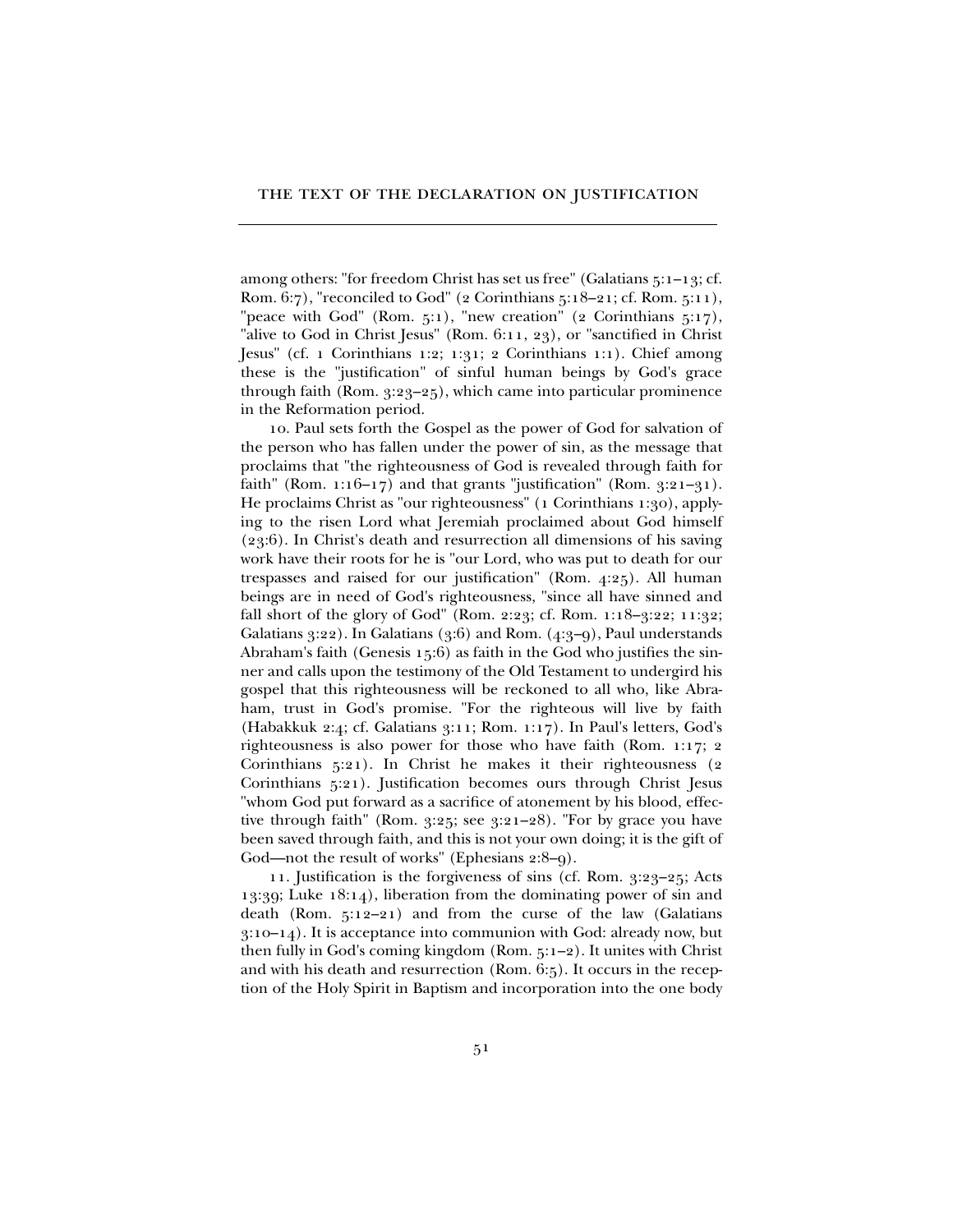among others: "for freedom Christ has set us free" (Galatians  $5:1-13$ ; cf. Rom. 6:7), "reconciled to God" (2 Corinthians 5:18–21; cf. Rom. 5:11), "peace with God" (Rom. 5:1), "new creation" (2 Corinthians 5:17), "alive to God in Christ Jesus" (Rom. 6:11, 23), or "sanctified in Christ Jesus" (cf. 1 Corinthians 1:2; 1:31; 2 Corinthians 1:1). Chief among these is the "justification" of sinful human beings by God's grace through faith (Rom.  $3:23-25$ ), which came into particular prominence in the Reformation period.

10. Paul sets forth the Gospel as the power of God for salvation of the person who has fallen under the power of sin, as the message that proclaims that "the righteousness of God is revealed through faith for faith" (Rom. 1:16–17) and that grants "justification" (Rom.  $3:21-31$ ). He proclaims Christ as "our righteousness" (1 Corinthians 1:30), applying to the risen Lord what Jeremiah proclaimed about God himself (23:6). In Christ's death and resurrection all dimensions of his saving work have their roots for he is "our Lord, who was put to death for our trespasses and raised for our justification" (Rom. 4:25). All human beings are in need of God's righteousness, "since all have sinned and fall short of the glory of God" (Rom. 2:23; cf. Rom. 1:18–3:22; 11:32; Galatians  $3:22$ ). In Galatians ( $3:6$ ) and Rom. ( $4:3-9$ ), Paul understands Abraham's faith (Genesis 15:6) as faith in the God who justifies the sinner and calls upon the testimony of the Old Testament to undergird his gospel that this righteousness will be reckoned to all who, like Abraham, trust in God's promise. "For the righteous will live by faith (Habakkuk 2:4; cf. Galatians 3:11; Rom. 1:17). In Paul's letters, God's righteousness is also power for those who have faith (Rom. 1:17; 2 Corinthians 5:21). In Christ he makes it their righteousness (2 Corinthians 5:21). Justification becomes ours through Christ Jesus "whom God put forward as a sacrifice of atonement by his blood, effective through faith" (Rom.  $3:25$ ; see  $3:21-28$ ). "For by grace you have been saved through faith, and this is not your own doing; it is the gift of God—not the result of works" (Ephesians 2:8–9).

11. Justification is the forgiveness of sins (cf. Rom. 3:23–25; Acts 13:39; Luke 18:14), liberation from the dominating power of sin and death (Rom. 5:12–21) and from the curse of the law (Galatians 3:10–14). It is acceptance into communion with God: already now, but then fully in God's coming kingdom (Rom. 5:1–2). It unites with Christ and with his death and resurrection (Rom. 6:5). It occurs in the reception of the Holy Spirit in Baptism and incorporation into the one body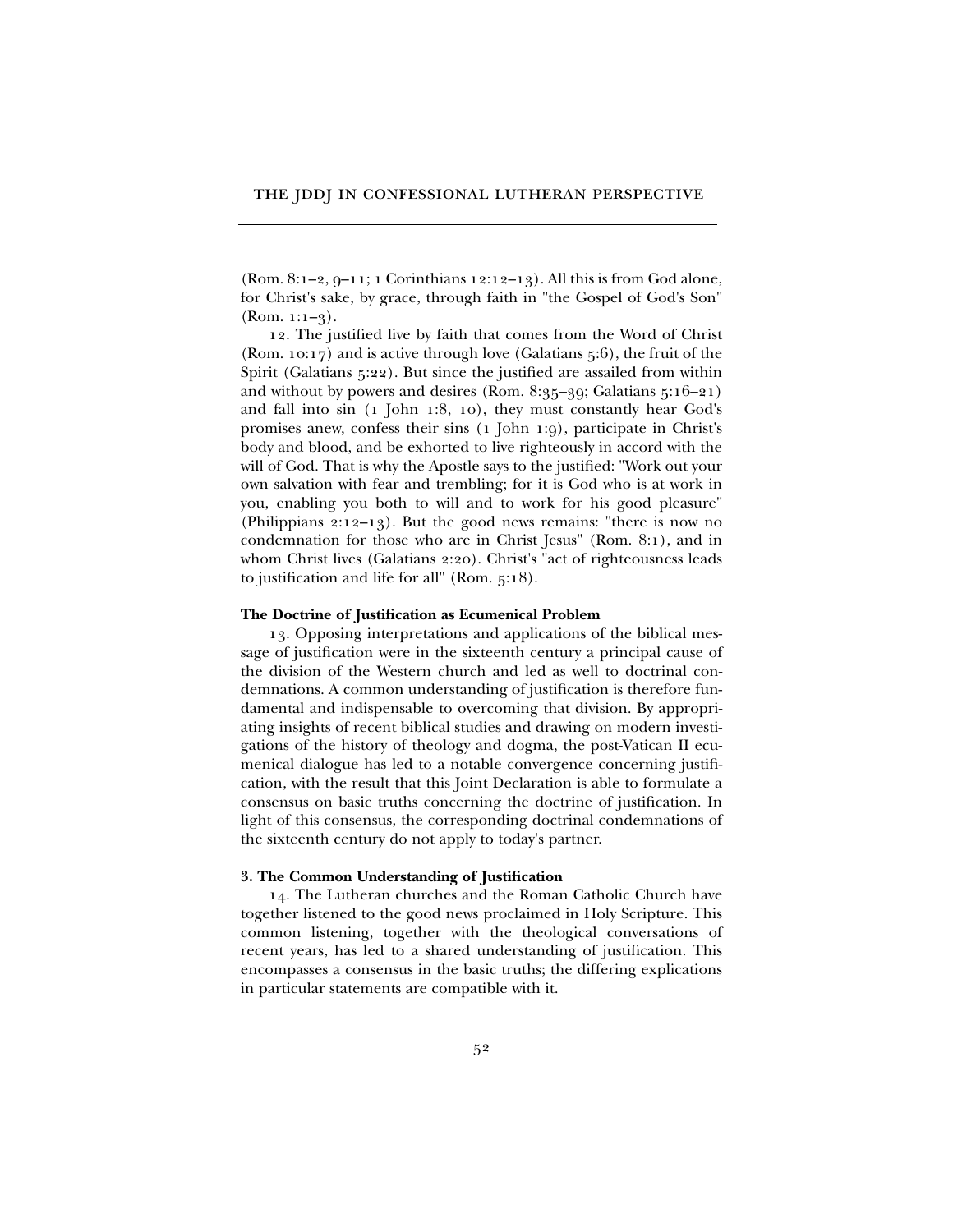(Rom. 8:1–2,  $q-11$ ; 1 Corinthians  $12:12-13$ ). All this is from God alone, for Christ's sake, by grace, through faith in "the Gospel of God's Son"  $(Rom. 1:1-3).$ 

12. The justified live by faith that comes from the Word of Christ (Rom. 10:17) and is active through love (Galatians 5:6), the fruit of the Spirit (Galatians  $5:22$ ). But since the justified are assailed from within and without by powers and desires (Rom. 8:35–39; Galatians 5:16–21) and fall into sin (1 John 1:8, 10), they must constantly hear God's promises anew, confess their sins (1 John 1:9), participate in Christ's body and blood, and be exhorted to live righteously in accord with the will of God. That is why the Apostle says to the justified: "Work out your own salvation with fear and trembling; for it is God who is at work in you, enabling you both to will and to work for his good pleasure" (Philippians 2:12–13). But the good news remains: "there is now no condemnation for those who are in Christ Jesus" (Rom. 8:1), and in whom Christ lives (Galatians 2:20). Christ's "act of righteousness leads to justification and life for all" (Rom. 5:18).

#### **The Doctrine of Justification as Ecumenical Problem**

13. Opposing interpretations and applications of the biblical message of justification were in the sixteenth century a principal cause of the division of the Western church and led as well to doctrinal condemnations. A common understanding of justification is therefore fundamental and indispensable to overcoming that division. By appropriating insights of recent biblical studies and drawing on modern investigations of the history of theology and dogma, the post-Vatican II ecumenical dialogue has led to a notable convergence concerning justification, with the result that this Joint Declaration is able to formulate a consensus on basic truths concerning the doctrine of justification. In light of this consensus, the corresponding doctrinal condemnations of the sixteenth century do not apply to today's partner.

### **3. The Common Understanding of Justification**

14. The Lutheran churches and the Roman Catholic Church have together listened to the good news proclaimed in Holy Scripture. This common listening, together with the theological conversations of recent years, has led to a shared understanding of justification. This encompasses a consensus in the basic truths; the differing explications in particular statements are compatible with it.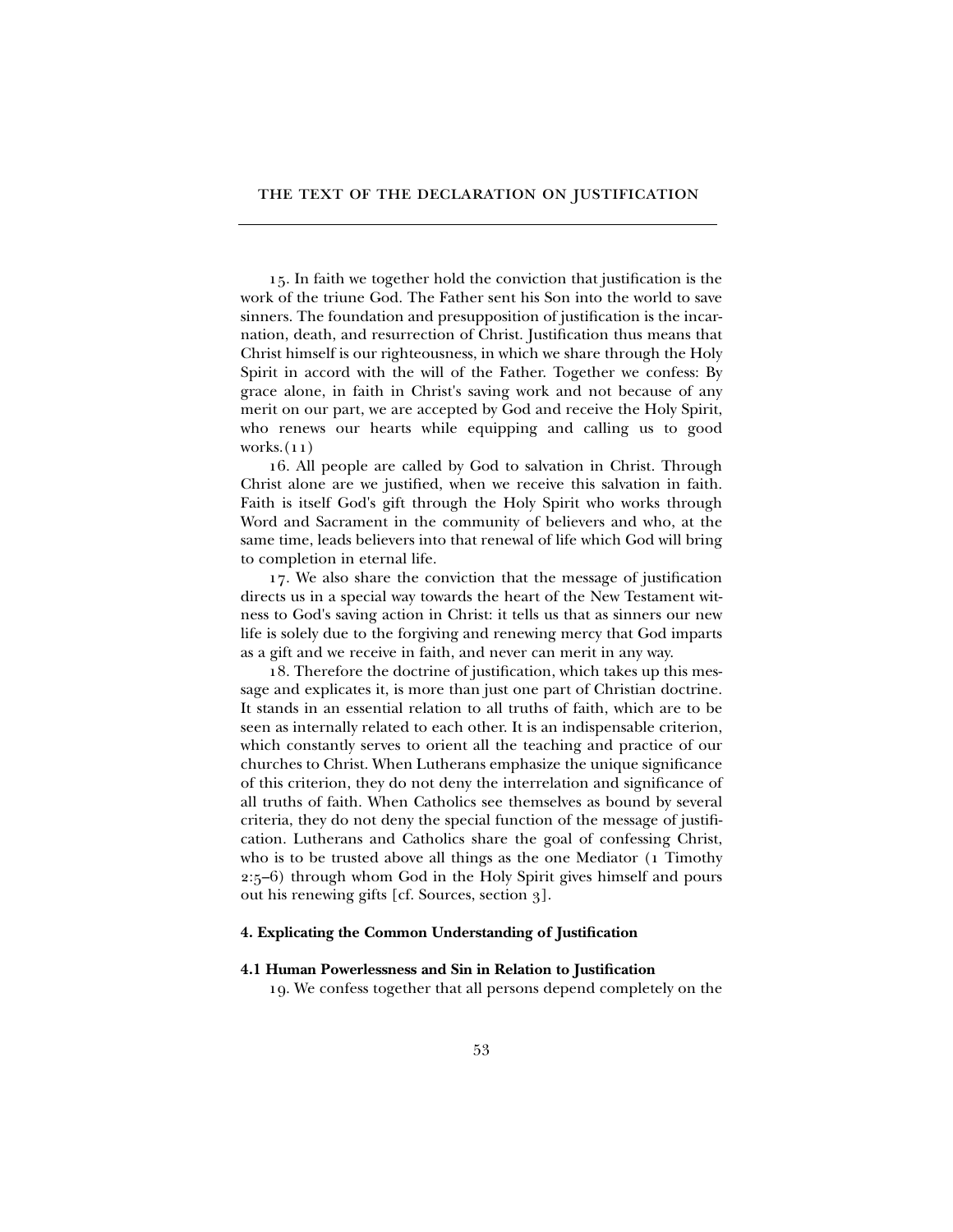15. In faith we together hold the conviction that justification is the work of the triune God. The Father sent his Son into the world to save sinners. The foundation and presupposition of justification is the incarnation, death, and resurrection of Christ. Justification thus means that Christ himself is our righteousness, in which we share through the Holy Spirit in accord with the will of the Father. Together we confess: By grace alone, in faith in Christ's saving work and not because of any merit on our part, we are accepted by God and receive the Holy Spirit, who renews our hearts while equipping and calling us to good works. $(11)$ 

16. All people are called by God to salvation in Christ. Through Christ alone are we justified, when we receive this salvation in faith. Faith is itself God's gift through the Holy Spirit who works through Word and Sacrament in the community of believers and who, at the same time, leads believers into that renewal of life which God will bring to completion in eternal life.

17. We also share the conviction that the message of justification directs us in a special way towards the heart of the New Testament witness to God's saving action in Christ: it tells us that as sinners our new life is solely due to the forgiving and renewing mercy that God imparts as a gift and we receive in faith, and never can merit in any way.

18. Therefore the doctrine of justification, which takes up this message and explicates it, is more than just one part of Christian doctrine. It stands in an essential relation to all truths of faith, which are to be seen as internally related to each other. It is an indispensable criterion, which constantly serves to orient all the teaching and practice of our churches to Christ. When Lutherans emphasize the unique significance of this criterion, they do not deny the interrelation and significance of all truths of faith. When Catholics see themselves as bound by several criteria, they do not deny the special function of the message of justification. Lutherans and Catholics share the goal of confessing Christ, who is to be trusted above all things as the one Mediator (1 Timothy 2:5–6) through whom God in the Holy Spirit gives himself and pours out his renewing gifts [cf. Sources, section 3].

### **4. Explicating the Common Understanding of Justification**

#### **4.1 Human Powerlessness and Sin in Relation to Justification**

19. We confess together that all persons depend completely on the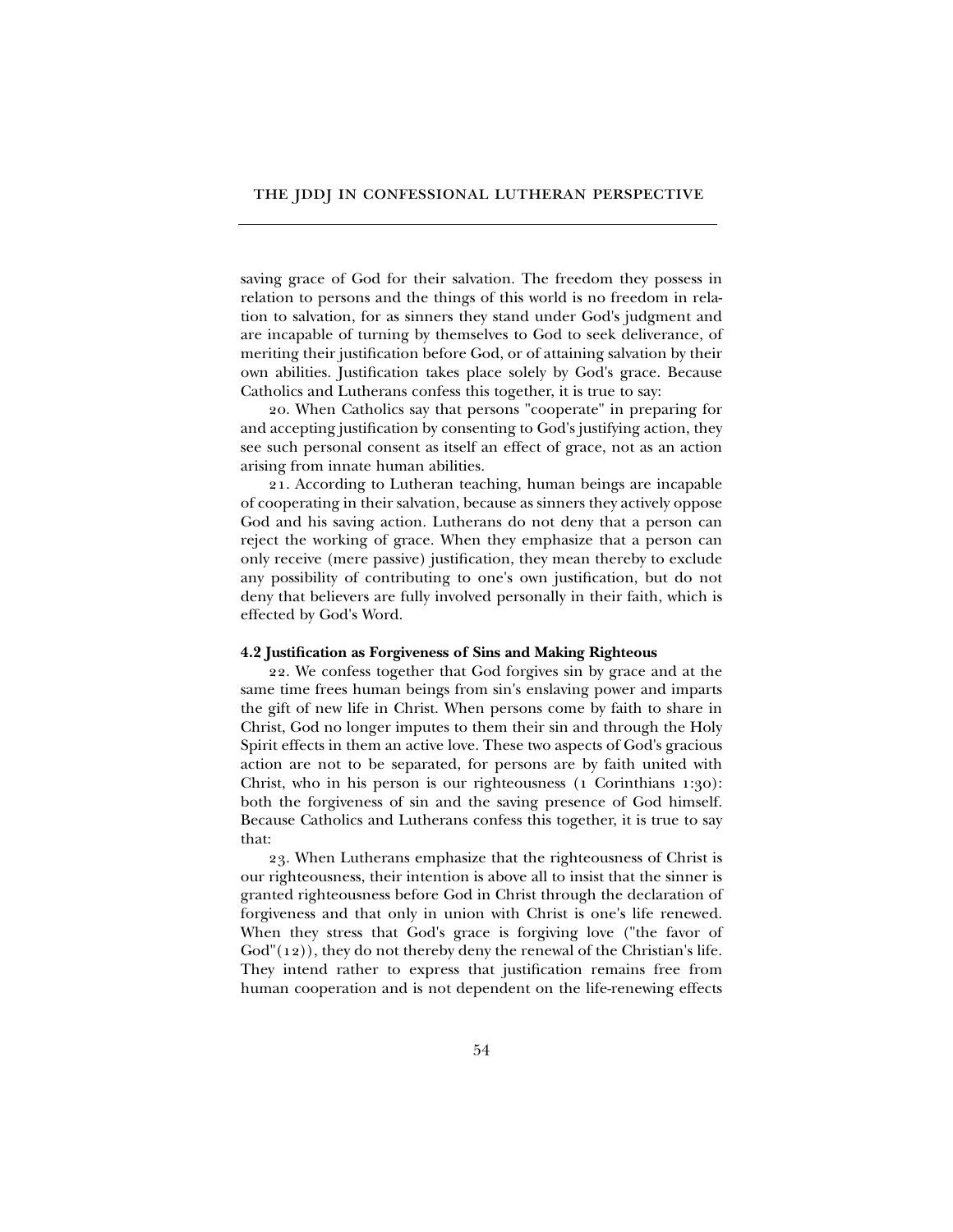saving grace of God for their salvation. The freedom they possess in relation to persons and the things of this world is no freedom in relation to salvation, for as sinners they stand under God's judgment and are incapable of turning by themselves to God to seek deliverance, of meriting their justification before God, or of attaining salvation by their own abilities. Justification takes place solely by God's grace. Because Catholics and Lutherans confess this together, it is true to say:

20. When Catholics say that persons "cooperate" in preparing for and accepting justification by consenting to God's justifying action, they see such personal consent as itself an effect of grace, not as an action arising from innate human abilities.

21. According to Lutheran teaching, human beings are incapable of cooperating in their salvation, because as sinners they actively oppose God and his saving action. Lutherans do not deny that a person can reject the working of grace. When they emphasize that a person can only receive (mere passive) justification, they mean thereby to exclude any possibility of contributing to one's own justification, but do not deny that believers are fully involved personally in their faith, which is effected by God's Word.

#### **4.2 Justification as Forgiveness of Sins and Making Righteous**

22. We confess together that God forgives sin by grace and at the same time frees human beings from sin's enslaving power and imparts the gift of new life in Christ. When persons come by faith to share in Christ, God no longer imputes to them their sin and through the Holy Spirit effects in them an active love. These two aspects of God's gracious action are not to be separated, for persons are by faith united with Christ, who in his person is our righteousness (1 Corinthians 1:30): both the forgiveness of sin and the saving presence of God himself. Because Catholics and Lutherans confess this together, it is true to say that:

23. When Lutherans emphasize that the righteousness of Christ is our righteousness, their intention is above all to insist that the sinner is granted righteousness before God in Christ through the declaration of forgiveness and that only in union with Christ is one's life renewed. When they stress that God's grace is forgiving love ("the favor of  $God''(12)$ , they do not thereby deny the renewal of the Christian's life. They intend rather to express that justification remains free from human cooperation and is not dependent on the life-renewing effects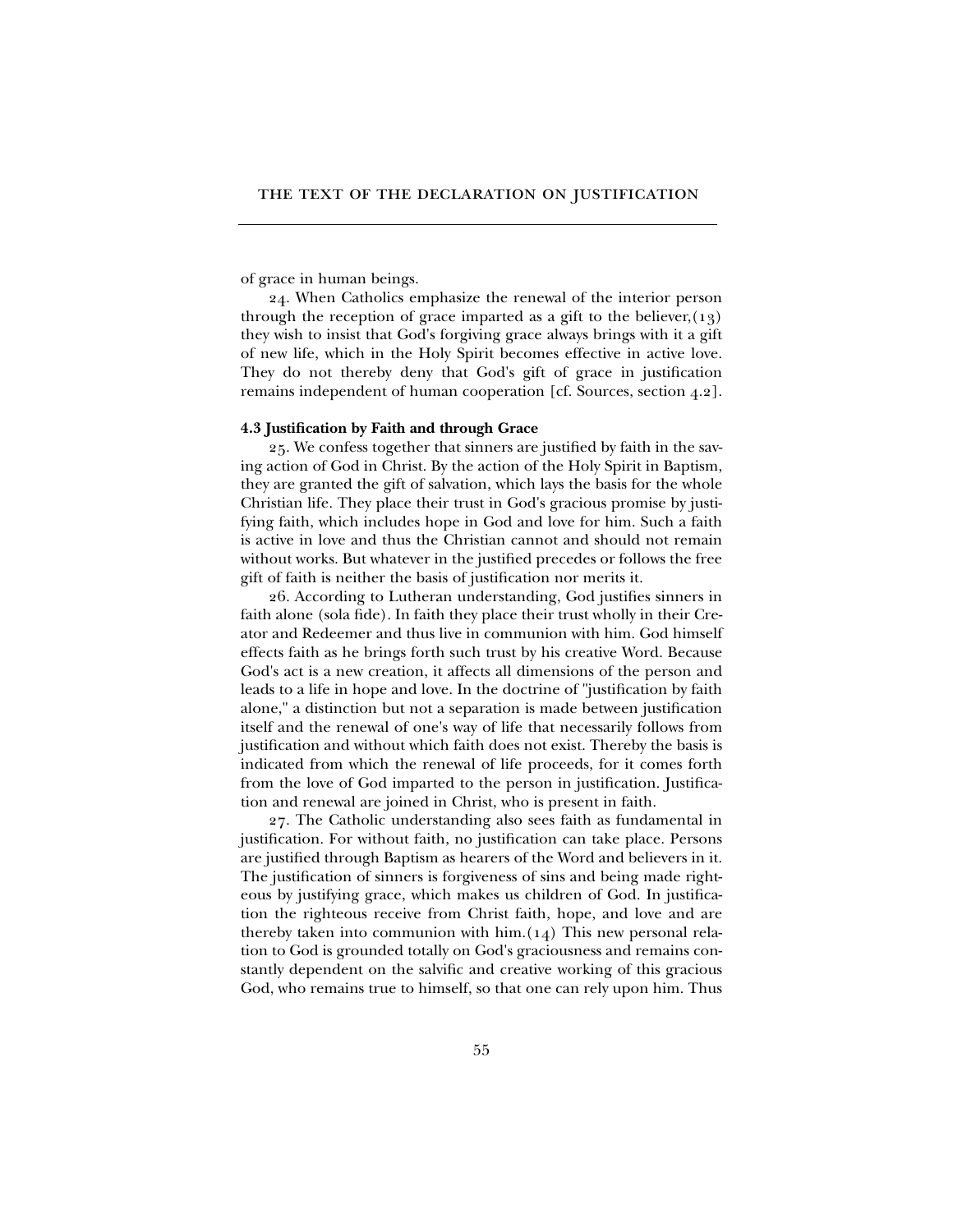of grace in human beings.

24. When Catholics emphasize the renewal of the interior person through the reception of grace imparted as a gift to the believer,  $(13)$ they wish to insist that God's forgiving grace always brings with it a gift of new life, which in the Holy Spirit becomes effective in active love. They do not thereby deny that God's gift of grace in justification remains independent of human cooperation [cf. Sources, section 4.2].

### **4.3 Justification by Faith and through Grace**

25. We confess together that sinners are justified by faith in the saving action of God in Christ. By the action of the Holy Spirit in Baptism, they are granted the gift of salvation, which lays the basis for the whole Christian life. They place their trust in God's gracious promise by justifying faith, which includes hope in God and love for him. Such a faith is active in love and thus the Christian cannot and should not remain without works. But whatever in the justified precedes or follows the free gift of faith is neither the basis of justification nor merits it.

26. According to Lutheran understanding, God justifies sinners in faith alone (sola fide). In faith they place their trust wholly in their Creator and Redeemer and thus live in communion with him. God himself effects faith as he brings forth such trust by his creative Word. Because God's act is a new creation, it affects all dimensions of the person and leads to a life in hope and love. In the doctrine of "justification by faith alone," a distinction but not a separation is made between justification itself and the renewal of one's way of life that necessarily follows from justification and without which faith does not exist. Thereby the basis is indicated from which the renewal of life proceeds, for it comes forth from the love of God imparted to the person in justification. Justification and renewal are joined in Christ, who is present in faith.

27. The Catholic understanding also sees faith as fundamental in justification. For without faith, no justification can take place. Persons are justified through Baptism as hearers of the Word and believers in it. The justification of sinners is forgiveness of sins and being made righteous by justifying grace, which makes us children of God. In justification the righteous receive from Christ faith, hope, and love and are thereby taken into communion with him.(14) This new personal relation to God is grounded totally on God's graciousness and remains constantly dependent on the salvific and creative working of this gracious God, who remains true to himself, so that one can rely upon him. Thus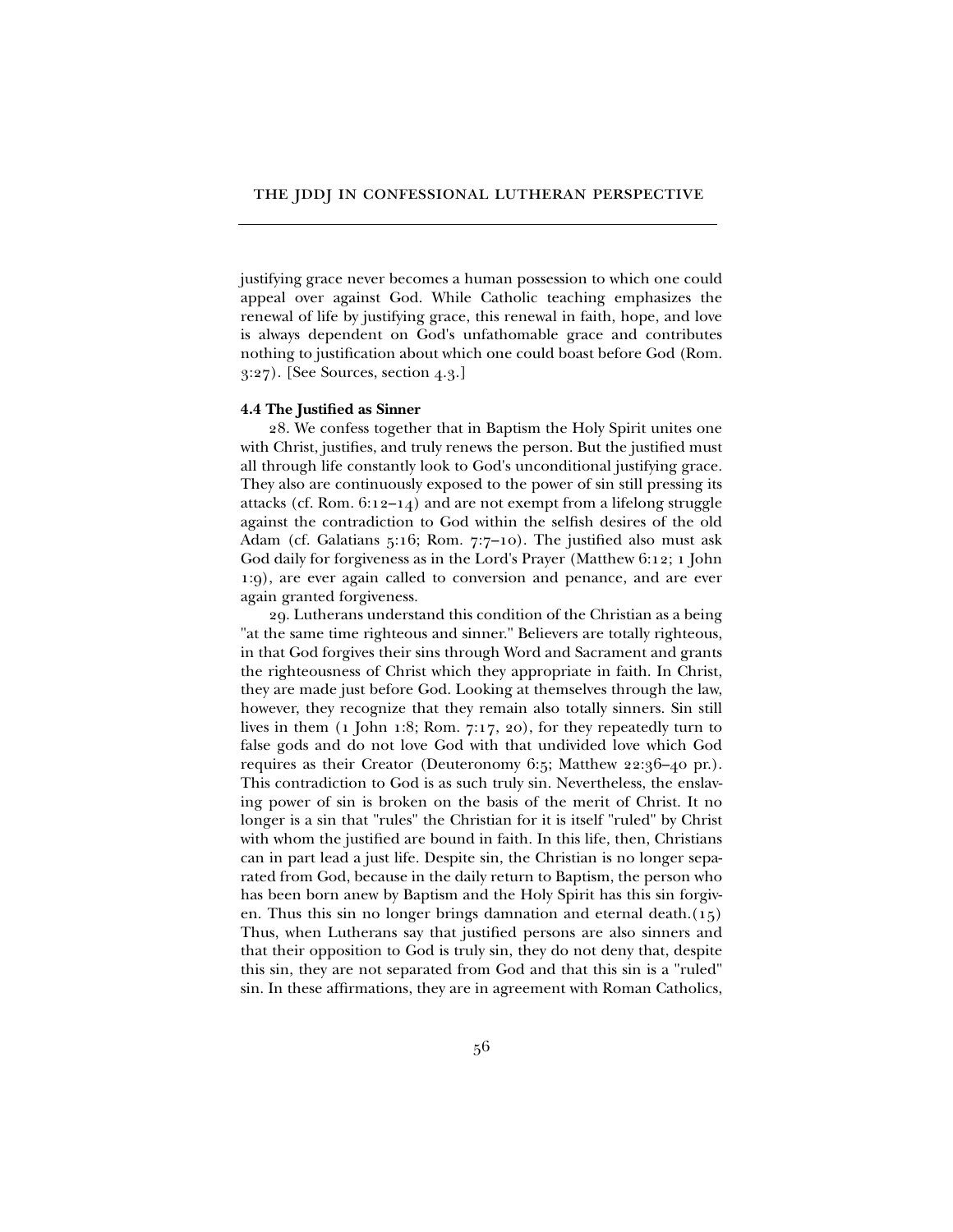justifying grace never becomes a human possession to which one could appeal over against God. While Catholic teaching emphasizes the renewal of life by justifying grace, this renewal in faith, hope, and love is always dependent on God's unfathomable grace and contributes nothing to justification about which one could boast before God (Rom. 3:27). [See Sources, section 4.3.]

## **4.4 The Justified as Sinner**

28. We confess together that in Baptism the Holy Spirit unites one with Christ, justifies, and truly renews the person. But the justified must all through life constantly look to God's unconditional justifying grace. They also are continuously exposed to the power of sin still pressing its attacks (cf. Rom.  $6:12-14$ ) and are not exempt from a lifelong struggle against the contradiction to God within the selfish desires of the old Adam (cf. Galatians  $5:16$ ; Rom.  $7:7-10$ ). The justified also must ask God daily for forgiveness as in the Lord's Prayer (Matthew 6:12; 1 John 1:9), are ever again called to conversion and penance, and are ever again granted forgiveness.

29. Lutherans understand this condition of the Christian as a being "at the same time righteous and sinner." Believers are totally righteous, in that God forgives their sins through Word and Sacrament and grants the righteousness of Christ which they appropriate in faith. In Christ, they are made just before God. Looking at themselves through the law, however, they recognize that they remain also totally sinners. Sin still lives in them (1 John 1:8; Rom. 7:17, 20), for they repeatedly turn to false gods and do not love God with that undivided love which God requires as their Creator (Deuteronomy 6:5; Matthew 22:36–40 pr.). This contradiction to God is as such truly sin. Nevertheless, the enslaving power of sin is broken on the basis of the merit of Christ. It no longer is a sin that "rules" the Christian for it is itself "ruled" by Christ with whom the justified are bound in faith. In this life, then, Christians can in part lead a just life. Despite sin, the Christian is no longer separated from God, because in the daily return to Baptism, the person who has been born anew by Baptism and the Holy Spirit has this sin forgiven. Thus this sin no longer brings damnation and eternal death.(15) Thus, when Lutherans say that justified persons are also sinners and that their opposition to God is truly sin, they do not deny that, despite this sin, they are not separated from God and that this sin is a "ruled" sin. In these affirmations, they are in agreement with Roman Catholics,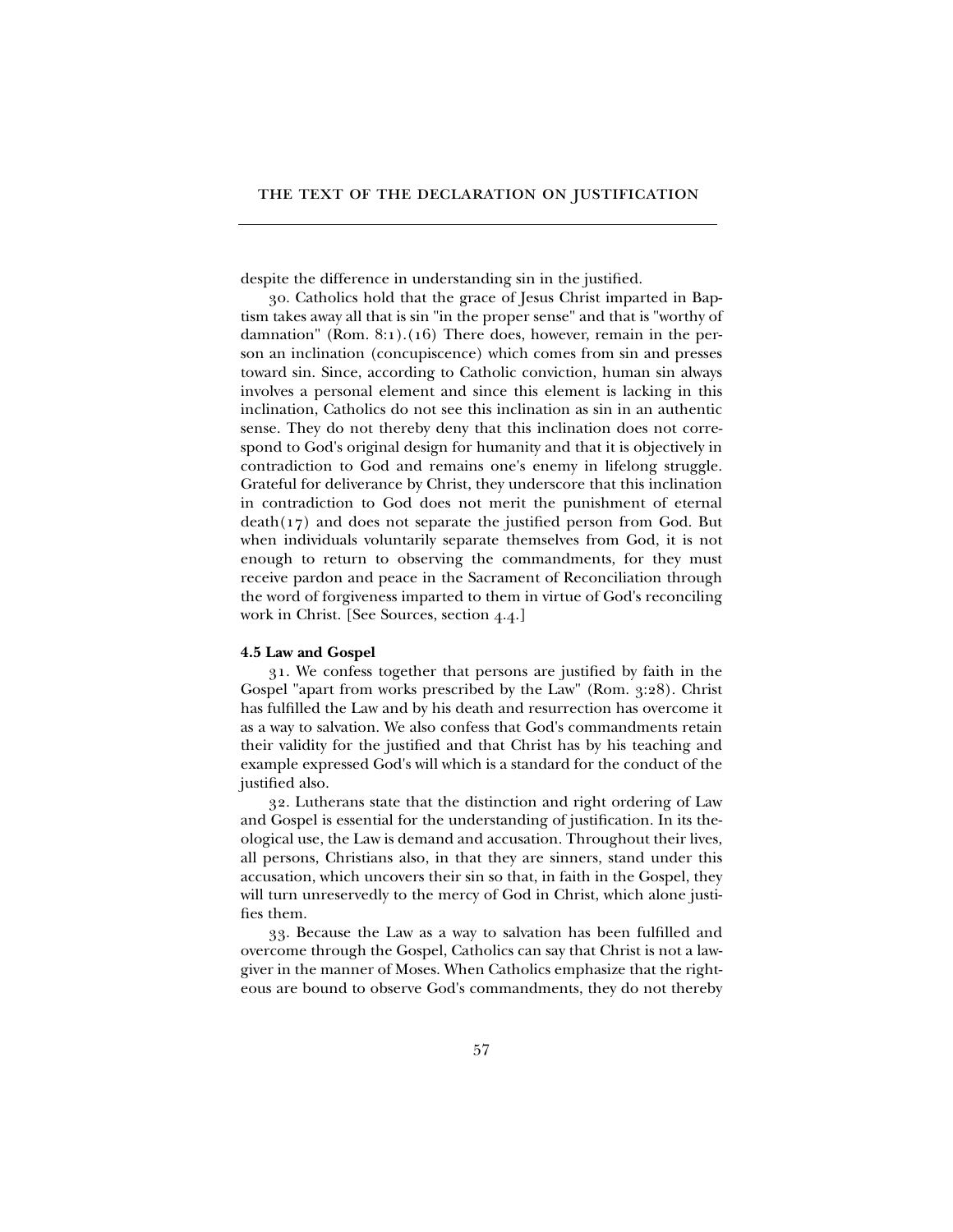despite the difference in understanding sin in the justified.

30. Catholics hold that the grace of Jesus Christ imparted in Baptism takes away all that is sin "in the proper sense" and that is "worthy of damnation" (Rom. 8:1).(16) There does, however, remain in the person an inclination (concupiscence) which comes from sin and presses toward sin. Since, according to Catholic conviction, human sin always involves a personal element and since this element is lacking in this inclination, Catholics do not see this inclination as sin in an authentic sense. They do not thereby deny that this inclination does not correspond to God's original design for humanity and that it is objectively in contradiction to God and remains one's enemy in lifelong struggle. Grateful for deliverance by Christ, they underscore that this inclination in contradiction to God does not merit the punishment of eternal  $death(17)$  and does not separate the justified person from God. But when individuals voluntarily separate themselves from God, it is not enough to return to observing the commandments, for they must receive pardon and peace in the Sacrament of Reconciliation through the word of forgiveness imparted to them in virtue of God's reconciling work in Christ. [See Sources, section 4.4.]

#### **4.5 Law and Gospel**

31. We confess together that persons are justified by faith in the Gospel "apart from works prescribed by the Law" (Rom. 3:28). Christ has fulfilled the Law and by his death and resurrection has overcome it as a way to salvation. We also confess that God's commandments retain their validity for the justified and that Christ has by his teaching and example expressed God's will which is a standard for the conduct of the justified also.

32. Lutherans state that the distinction and right ordering of Law and Gospel is essential for the understanding of justification. In its theological use, the Law is demand and accusation. Throughout their lives, all persons, Christians also, in that they are sinners, stand under this accusation, which uncovers their sin so that, in faith in the Gospel, they will turn unreservedly to the mercy of God in Christ, which alone justifies them.

33. Because the Law as a way to salvation has been fulfilled and overcome through the Gospel, Catholics can say that Christ is not a lawgiver in the manner of Moses. When Catholics emphasize that the righteous are bound to observe God's commandments, they do not thereby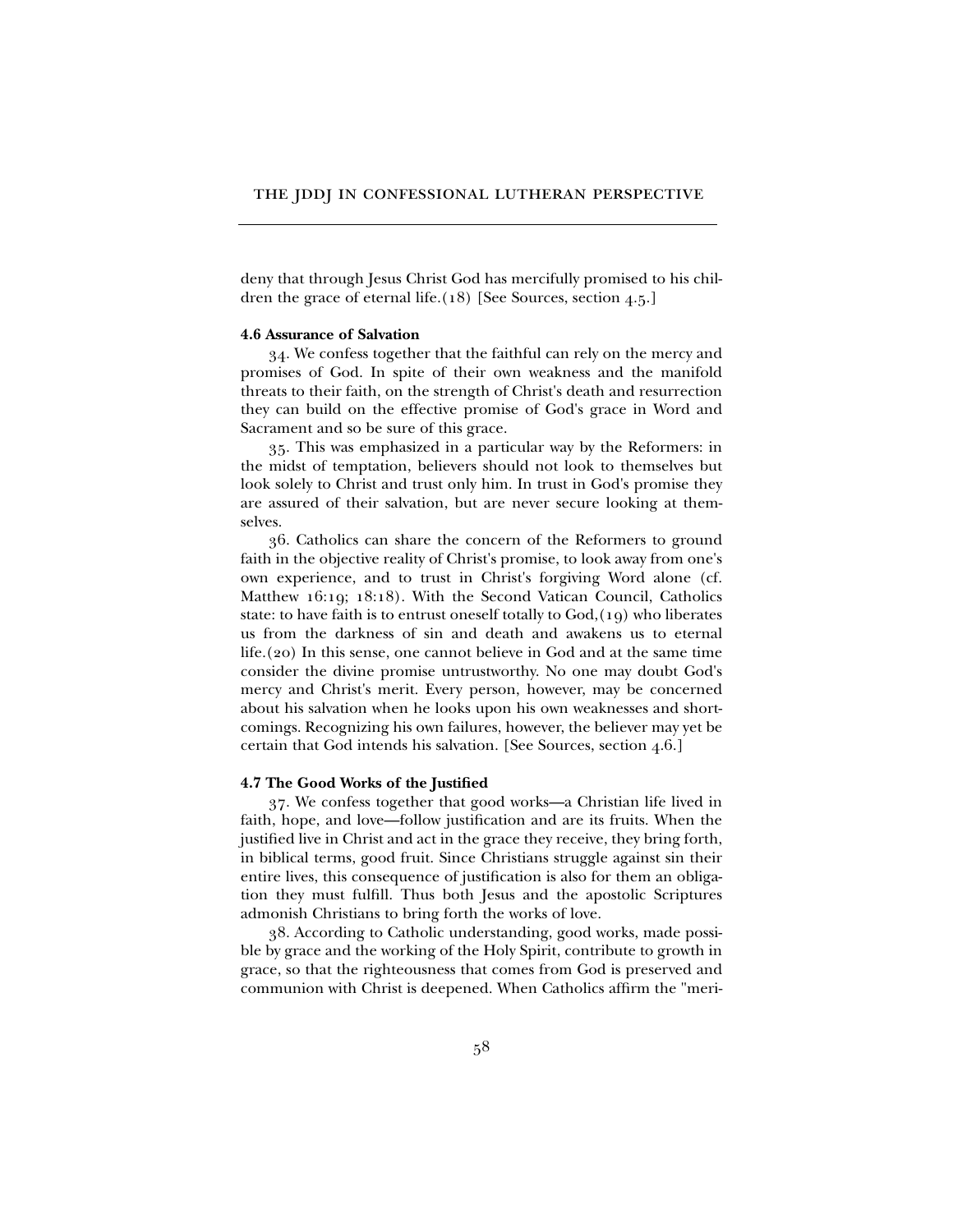deny that through Jesus Christ God has mercifully promised to his children the grace of eternal life.(18) [See Sources, section 4.5.]

#### **4.6 Assurance of Salvation**

34. We confess together that the faithful can rely on the mercy and promises of God. In spite of their own weakness and the manifold threats to their faith, on the strength of Christ's death and resurrection they can build on the effective promise of God's grace in Word and Sacrament and so be sure of this grace.

35. This was emphasized in a particular way by the Reformers: in the midst of temptation, believers should not look to themselves but look solely to Christ and trust only him. In trust in God's promise they are assured of their salvation, but are never secure looking at themselves.

36. Catholics can share the concern of the Reformers to ground faith in the objective reality of Christ's promise, to look away from one's own experience, and to trust in Christ's forgiving Word alone (cf. Matthew 16:19; 18:18). With the Second Vatican Council, Catholics state: to have faith is to entrust oneself totally to  $God$ ,  $(19)$  who liberates us from the darkness of sin and death and awakens us to eternal life.(20) In this sense, one cannot believe in God and at the same time consider the divine promise untrustworthy. No one may doubt God's mercy and Christ's merit. Every person, however, may be concerned about his salvation when he looks upon his own weaknesses and shortcomings. Recognizing his own failures, however, the believer may yet be certain that God intends his salvation. [See Sources, section 4.6.]

### **4.7 The Good Works of the Justified**

37. We confess together that good works—a Christian life lived in faith, hope, and love—follow justification and are its fruits. When the justified live in Christ and act in the grace they receive, they bring forth, in biblical terms, good fruit. Since Christians struggle against sin their entire lives, this consequence of justification is also for them an obligation they must fulfill. Thus both Jesus and the apostolic Scriptures admonish Christians to bring forth the works of love.

38. According to Catholic understanding, good works, made possible by grace and the working of the Holy Spirit, contribute to growth in grace, so that the righteousness that comes from God is preserved and communion with Christ is deepened. When Catholics affirm the "meri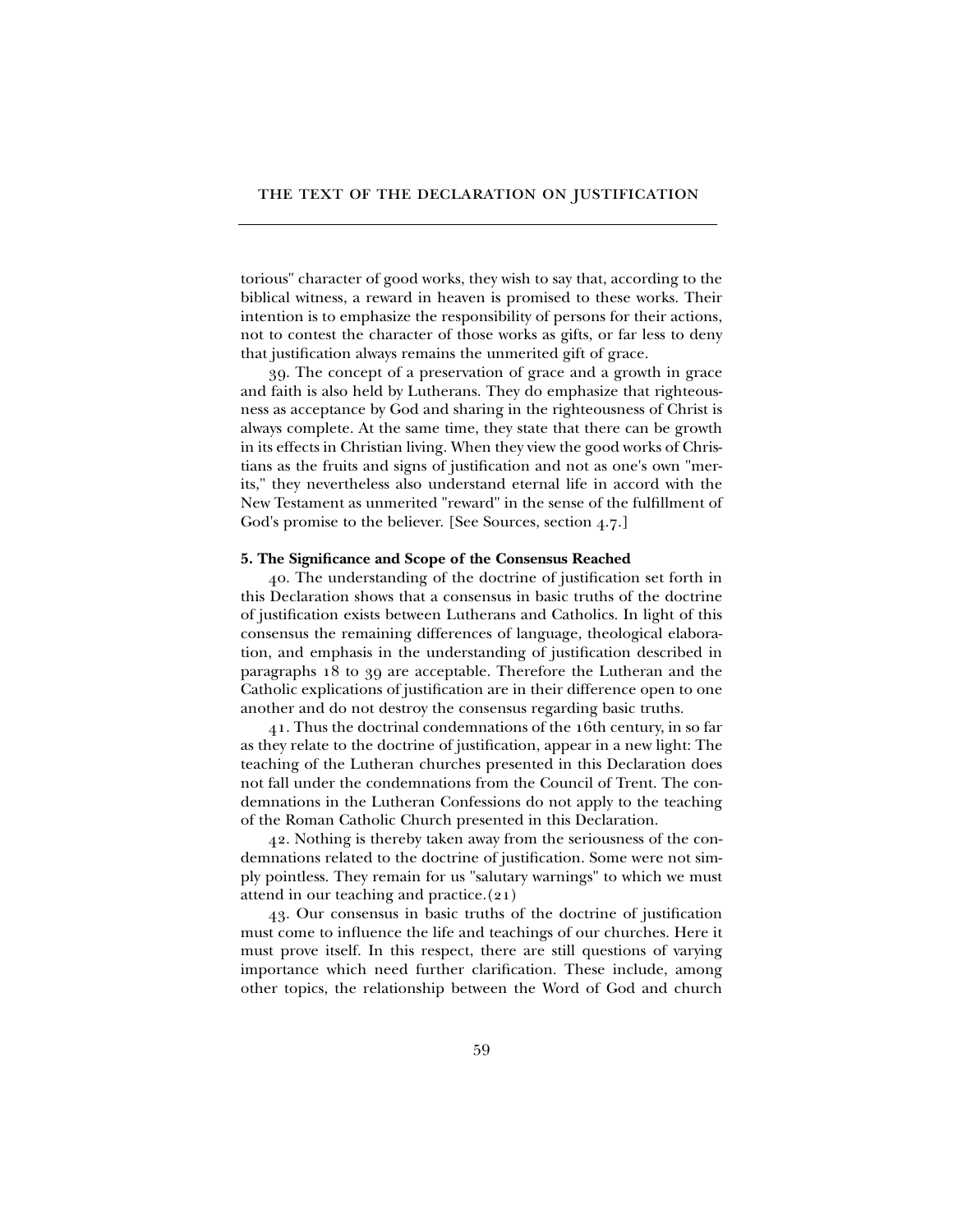torious" character of good works, they wish to say that, according to the biblical witness, a reward in heaven is promised to these works. Their intention is to emphasize the responsibility of persons for their actions, not to contest the character of those works as gifts, or far less to deny that justification always remains the unmerited gift of grace.

39. The concept of a preservation of grace and a growth in grace and faith is also held by Lutherans. They do emphasize that righteousness as acceptance by God and sharing in the righteousness of Christ is always complete. At the same time, they state that there can be growth in its effects in Christian living. When they view the good works of Christians as the fruits and signs of justification and not as one's own "merits," they nevertheless also understand eternal life in accord with the New Testament as unmerited "reward" in the sense of the fulfillment of God's promise to the believer. [See Sources, section 4.7.]

#### **5. The Significance and Scope of the Consensus Reached**

40. The understanding of the doctrine of justification set forth in this Declaration shows that a consensus in basic truths of the doctrine of justification exists between Lutherans and Catholics. In light of this consensus the remaining differences of language, theological elaboration, and emphasis in the understanding of justification described in paragraphs 18 to 39 are acceptable. Therefore the Lutheran and the Catholic explications of justification are in their difference open to one another and do not destroy the consensus regarding basic truths.

41. Thus the doctrinal condemnations of the 16th century, in so far as they relate to the doctrine of justification, appear in a new light: The teaching of the Lutheran churches presented in this Declaration does not fall under the condemnations from the Council of Trent. The condemnations in the Lutheran Confessions do not apply to the teaching of the Roman Catholic Church presented in this Declaration.

42. Nothing is thereby taken away from the seriousness of the condemnations related to the doctrine of justification. Some were not simply pointless. They remain for us "salutary warnings" to which we must attend in our teaching and practice.(21)

43. Our consensus in basic truths of the doctrine of justification must come to influence the life and teachings of our churches. Here it must prove itself. In this respect, there are still questions of varying importance which need further clarification. These include, among other topics, the relationship between the Word of God and church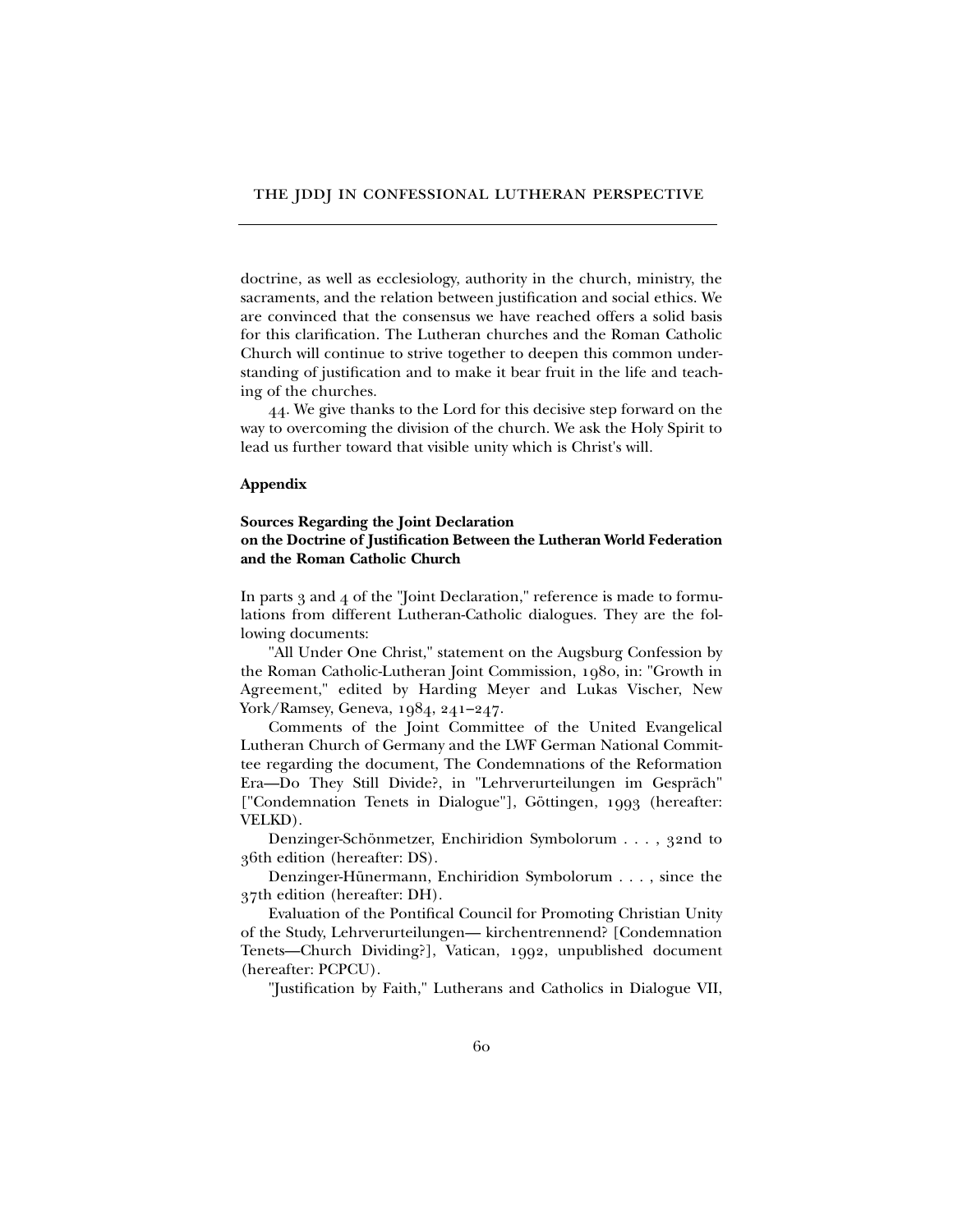doctrine, as well as ecclesiology, authority in the church, ministry, the sacraments, and the relation between justification and social ethics. We are convinced that the consensus we have reached offers a solid basis for this clarification. The Lutheran churches and the Roman Catholic Church will continue to strive together to deepen this common understanding of justification and to make it bear fruit in the life and teaching of the churches.

44. We give thanks to the Lord for this decisive step forward on the way to overcoming the division of the church. We ask the Holy Spirit to lead us further toward that visible unity which is Christ's will.

### **Appendix**

## **Sources Regarding the Joint Declaration on the Doctrine of Justification Between the Lutheran World Federation and the Roman Catholic Church**

In parts 3 and 4 of the "Joint Declaration," reference is made to formulations from different Lutheran-Catholic dialogues. They are the following documents:

"All Under One Christ," statement on the Augsburg Confession by the Roman Catholic-Lutheran Joint Commission, 1980, in: "Growth in Agreement," edited by Harding Meyer and Lukas Vischer, New York/Ramsey, Geneva, 1984, 241–247.

Comments of the Joint Committee of the United Evangelical Lutheran Church of Germany and the LWF German National Committee regarding the document, The Condemnations of the Reformation Era—Do They Still Divide?, in "Lehrverurteilungen im Gespräch" ["Condemnation Tenets in Dialogue"], Göttingen, 1993 (hereafter: VELKD).

Denzinger-Schönmetzer, Enchiridion Symbolorum . . . , 32nd to 36th edition (hereafter: DS).

Denzinger-Hünermann, Enchiridion Symbolorum . . . , since the 37th edition (hereafter: DH).

Evaluation of the Pontifical Council for Promoting Christian Unity of the Study, Lehrverurteilungen— kirchentrennend? [Condemnation Tenets—Church Dividing?], Vatican, 1992, unpublished document (hereafter: PCPCU).

"Justification by Faith," Lutherans and Catholics in Dialogue VII,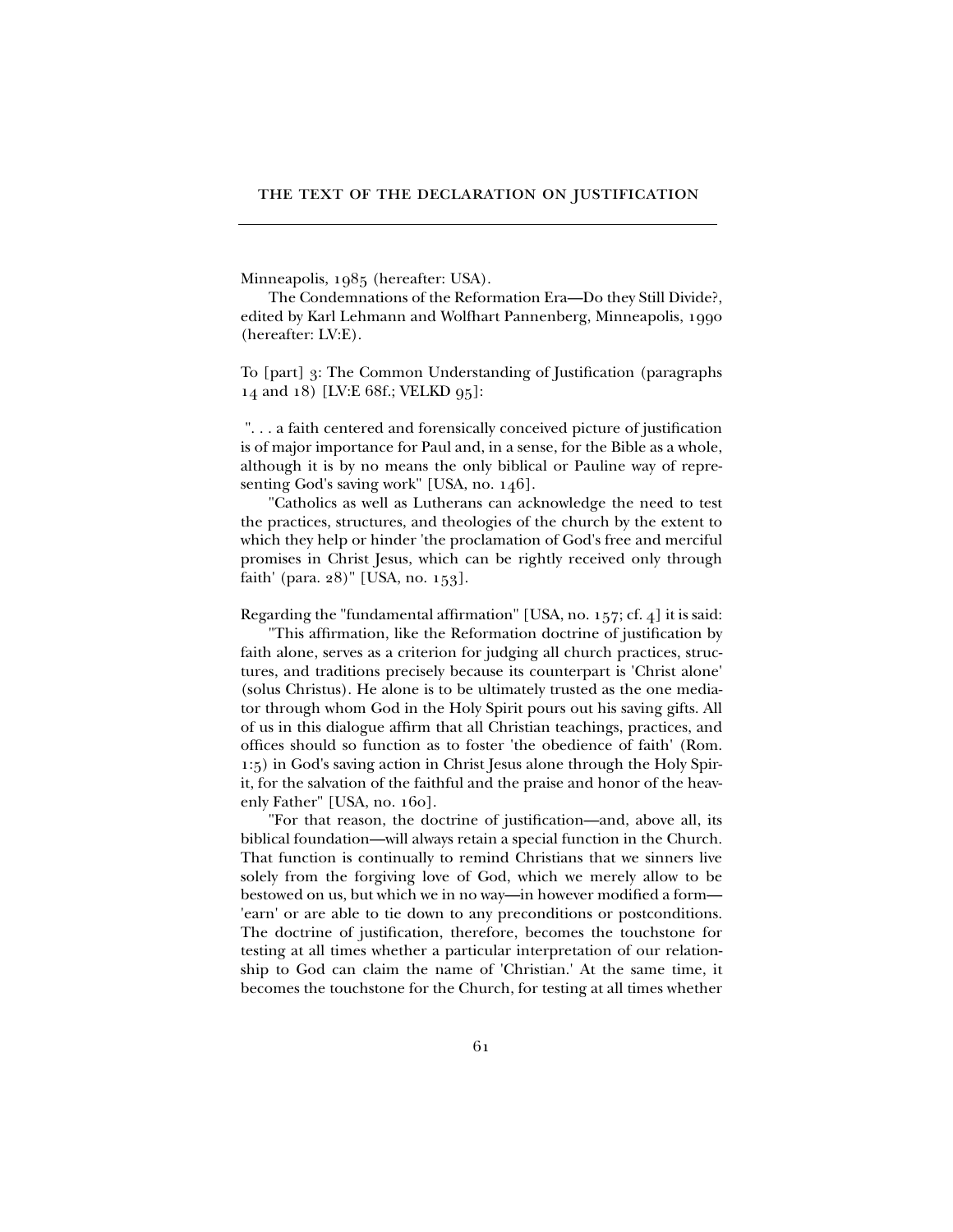Minneapolis, 1985 (hereafter: USA).

The Condemnations of the Reformation Era—Do they Still Divide?, edited by Karl Lehmann and Wolfhart Pannenberg, Minneapolis, 1990 (hereafter: LV:E).

To [part] 3: The Common Understanding of Justification (paragraphs 14 and 18) [LV:E 68f.; VELKD 95]:

". . . a faith centered and forensically conceived picture of justification is of major importance for Paul and, in a sense, for the Bible as a whole, although it is by no means the only biblical or Pauline way of representing God's saving work" [USA, no. 146].

"Catholics as well as Lutherans can acknowledge the need to test the practices, structures, and theologies of the church by the extent to which they help or hinder 'the proclamation of God's free and merciful promises in Christ Jesus, which can be rightly received only through faith' (para. 28)" [USA, no. 153].

Regarding the "fundamental affirmation" [USA, no. 157; cf. 4] it is said:

"This affirmation, like the Reformation doctrine of justification by faith alone, serves as a criterion for judging all church practices, structures, and traditions precisely because its counterpart is 'Christ alone' (solus Christus). He alone is to be ultimately trusted as the one mediator through whom God in the Holy Spirit pours out his saving gifts. All of us in this dialogue affirm that all Christian teachings, practices, and offices should so function as to foster 'the obedience of faith' (Rom. 1:5) in God's saving action in Christ Jesus alone through the Holy Spirit, for the salvation of the faithful and the praise and honor of the heavenly Father" [USA, no. 160].

"For that reason, the doctrine of justification—and, above all, its biblical foundation—will always retain a special function in the Church. That function is continually to remind Christians that we sinners live solely from the forgiving love of God, which we merely allow to be bestowed on us, but which we in no way—in however modified a form— 'earn' or are able to tie down to any preconditions or postconditions. The doctrine of justification, therefore, becomes the touchstone for testing at all times whether a particular interpretation of our relationship to God can claim the name of 'Christian.' At the same time, it becomes the touchstone for the Church, for testing at all times whether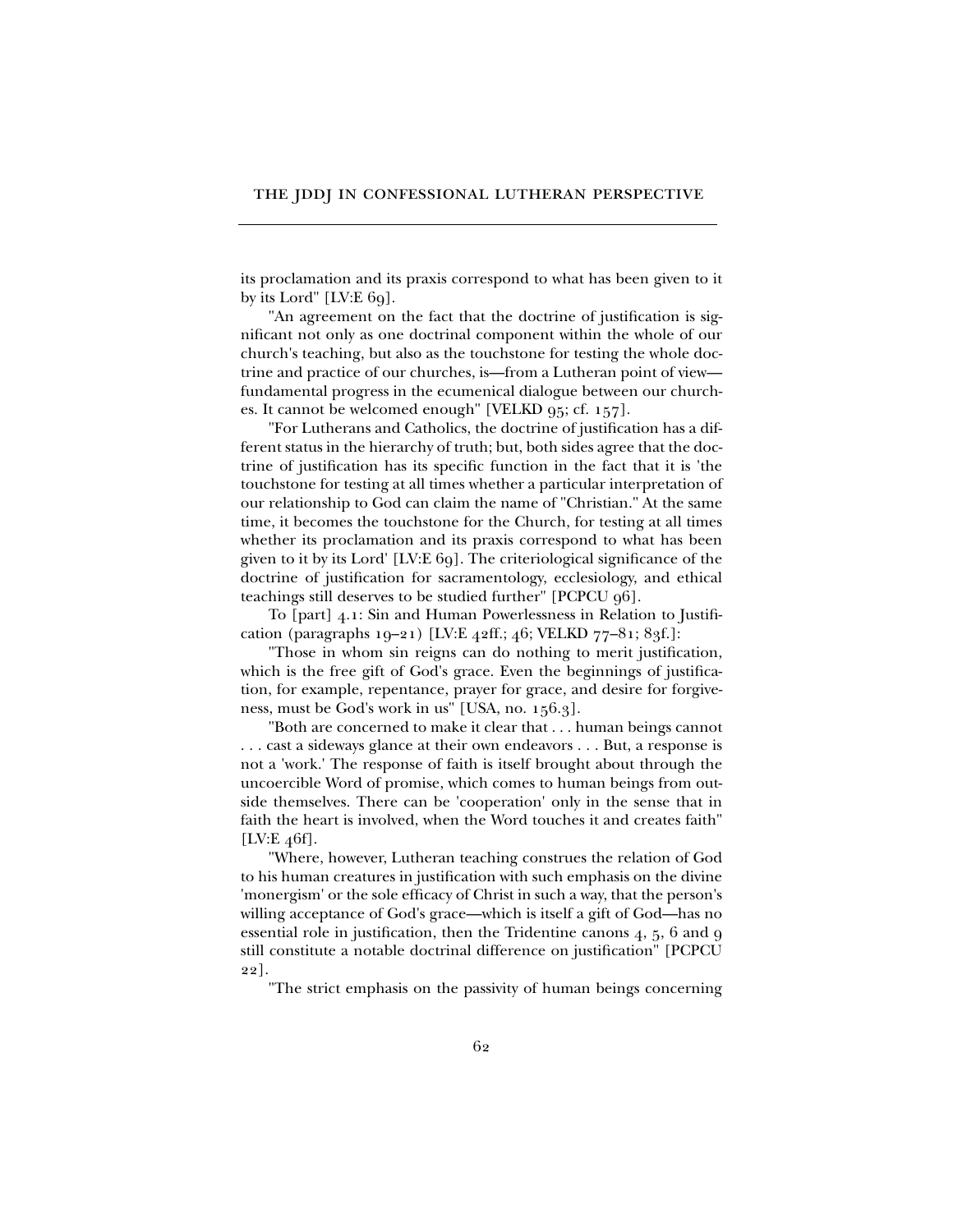its proclamation and its praxis correspond to what has been given to it by its Lord" [LV:E 69].

"An agreement on the fact that the doctrine of justification is significant not only as one doctrinal component within the whole of our church's teaching, but also as the touchstone for testing the whole doctrine and practice of our churches, is—from a Lutheran point of view fundamental progress in the ecumenical dialogue between our churches. It cannot be welcomed enough" [VELKD 95; cf. 157].

"For Lutherans and Catholics, the doctrine of justification has a different status in the hierarchy of truth; but, both sides agree that the doctrine of justification has its specific function in the fact that it is 'the touchstone for testing at all times whether a particular interpretation of our relationship to God can claim the name of "Christian." At the same time, it becomes the touchstone for the Church, for testing at all times whether its proclamation and its praxis correspond to what has been given to it by its Lord' [LV:E 69]. The criteriological significance of the doctrine of justification for sacramentology, ecclesiology, and ethical teachings still deserves to be studied further" [PCPCU 96].

To [part] 4.1: Sin and Human Powerlessness in Relation to Justification (paragraphs 19–21) [LV:E 42ff.; 46; VELKD 77–81; 83f.]:

"Those in whom sin reigns can do nothing to merit justification, which is the free gift of God's grace. Even the beginnings of justification, for example, repentance, prayer for grace, and desire for forgiveness, must be God's work in us" [USA, no. 156.3].

"Both are concerned to make it clear that . . . human beings cannot . . . cast a sideways glance at their own endeavors . . . But, a response is not a 'work.' The response of faith is itself brought about through the uncoercible Word of promise, which comes to human beings from outside themselves. There can be 'cooperation' only in the sense that in faith the heart is involved, when the Word touches it and creates faith"  $[LV:E_46f]$ .

"Where, however, Lutheran teaching construes the relation of God to his human creatures in justification with such emphasis on the divine 'monergism' or the sole efficacy of Christ in such a way, that the person's willing acceptance of God's grace—which is itself a gift of God—has no essential role in justification, then the Tridentine canons 4, 5, 6 and 9 still constitute a notable doctrinal difference on justification" [PCPCU 22].

"The strict emphasis on the passivity of human beings concerning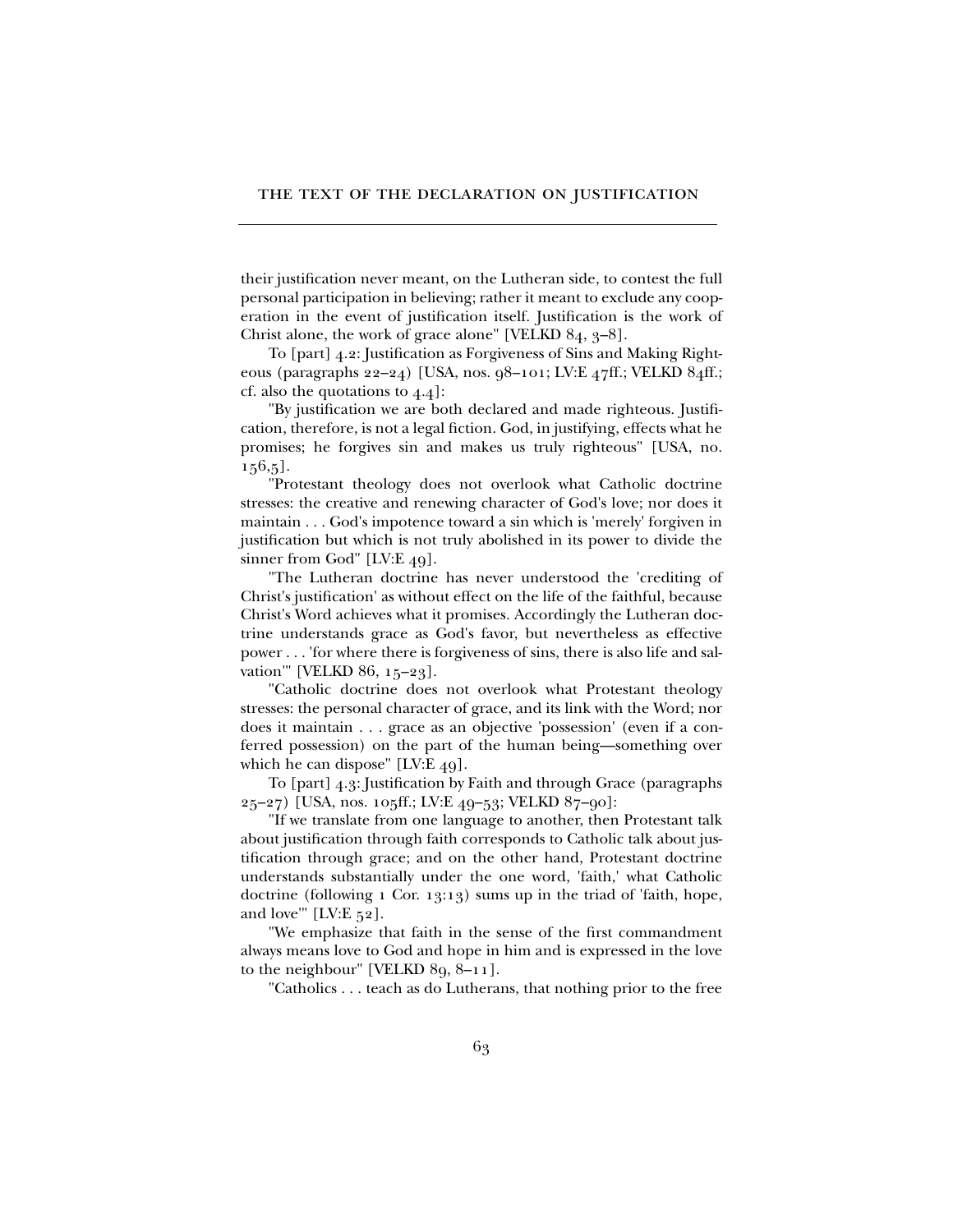their justification never meant, on the Lutheran side, to contest the full personal participation in believing; rather it meant to exclude any cooperation in the event of justification itself. Justification is the work of Christ alone, the work of grace alone" [VELKD 84, 3–8].

To [part] 4.2: Justification as Forgiveness of Sins and Making Righteous (paragraphs 22–24) [USA, nos.  $98-101$ ; LV:E 47ff.; VELKD  $84$ ff.; cf. also the quotations to 4.4]:

"By justification we are both declared and made righteous. Justification, therefore, is not a legal fiction. God, in justifying, effects what he promises; he forgives sin and makes us truly righteous" [USA, no.  $156,5$ .

"Protestant theology does not overlook what Catholic doctrine stresses: the creative and renewing character of God's love; nor does it maintain . . . God's impotence toward a sin which is 'merely' forgiven in justification but which is not truly abolished in its power to divide the sinner from God" [LV:E 49].

"The Lutheran doctrine has never understood the 'crediting of Christ's justification' as without effect on the life of the faithful, because Christ's Word achieves what it promises. Accordingly the Lutheran doctrine understands grace as God's favor, but nevertheless as effective power . . . 'for where there is forgiveness of sins, there is also life and salvation'" [VELKD 86, 15–23].

"Catholic doctrine does not overlook what Protestant theology stresses: the personal character of grace, and its link with the Word; nor does it maintain . . . grace as an objective 'possession' (even if a conferred possession) on the part of the human being—something over which he can dispose" [LV:E 49].

To [part] 4.3: Justification by Faith and through Grace (paragraphs 25–27) [USA, nos. 105ff.; LV:E 49–53; VELKD 87–90]:

"If we translate from one language to another, then Protestant talk about justification through faith corresponds to Catholic talk about justification through grace; and on the other hand, Protestant doctrine understands substantially under the one word, 'faith,' what Catholic doctrine (following 1 Cor. 13:13) sums up in the triad of 'faith, hope, and love'"  $[LV:E 52]$ .

"We emphasize that faith in the sense of the first commandment always means love to God and hope in him and is expressed in the love to the neighbour" [VELKD  $8q, 8-11$ ].

"Catholics . . . teach as do Lutherans, that nothing prior to the free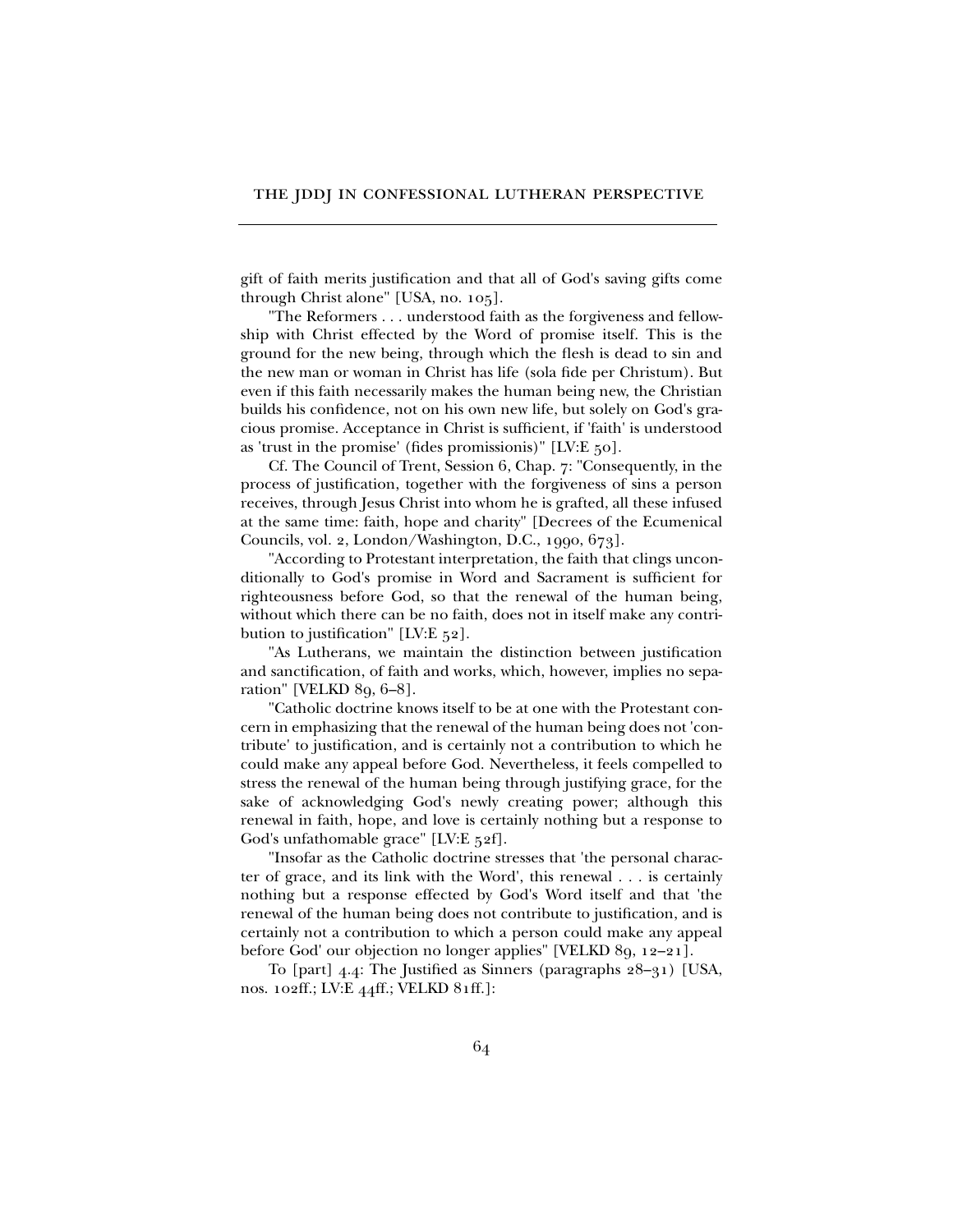gift of faith merits justification and that all of God's saving gifts come through Christ alone" [USA, no. 105].

"The Reformers . . . understood faith as the forgiveness and fellowship with Christ effected by the Word of promise itself. This is the ground for the new being, through which the flesh is dead to sin and the new man or woman in Christ has life (sola fide per Christum). But even if this faith necessarily makes the human being new, the Christian builds his confidence, not on his own new life, but solely on God's gracious promise. Acceptance in Christ is sufficient, if 'faith' is understood as 'trust in the promise' (fides promissionis)" [LV:E 50].

Cf. The Council of Trent, Session 6, Chap. 7: "Consequently, in the process of justification, together with the forgiveness of sins a person receives, through Jesus Christ into whom he is grafted, all these infused at the same time: faith, hope and charity" [Decrees of the Ecumenical Councils, vol. 2, London/Washington, D.C., 1990, 673].

"According to Protestant interpretation, the faith that clings unconditionally to God's promise in Word and Sacrament is sufficient for righteousness before God, so that the renewal of the human being, without which there can be no faith, does not in itself make any contribution to justification" [LV:E 52].

"As Lutherans, we maintain the distinction between justification and sanctification, of faith and works, which, however, implies no separation" [VELKD 89, 6–8].

"Catholic doctrine knows itself to be at one with the Protestant concern in emphasizing that the renewal of the human being does not 'contribute' to justification, and is certainly not a contribution to which he could make any appeal before God. Nevertheless, it feels compelled to stress the renewal of the human being through justifying grace, for the sake of acknowledging God's newly creating power; although this renewal in faith, hope, and love is certainly nothing but a response to God's unfathomable grace" [LV:E 52f].

"Insofar as the Catholic doctrine stresses that 'the personal character of grace, and its link with the Word', this renewal . . . is certainly nothing but a response effected by God's Word itself and that 'the renewal of the human being does not contribute to justification, and is certainly not a contribution to which a person could make any appeal before God' our objection no longer applies" [VELKD 89, 12–21].

To [part] 4.4: The Justified as Sinners (paragraphs 28–31) [USA, nos. 102ff.; LV:E 44ff.; VELKD 81ff.]: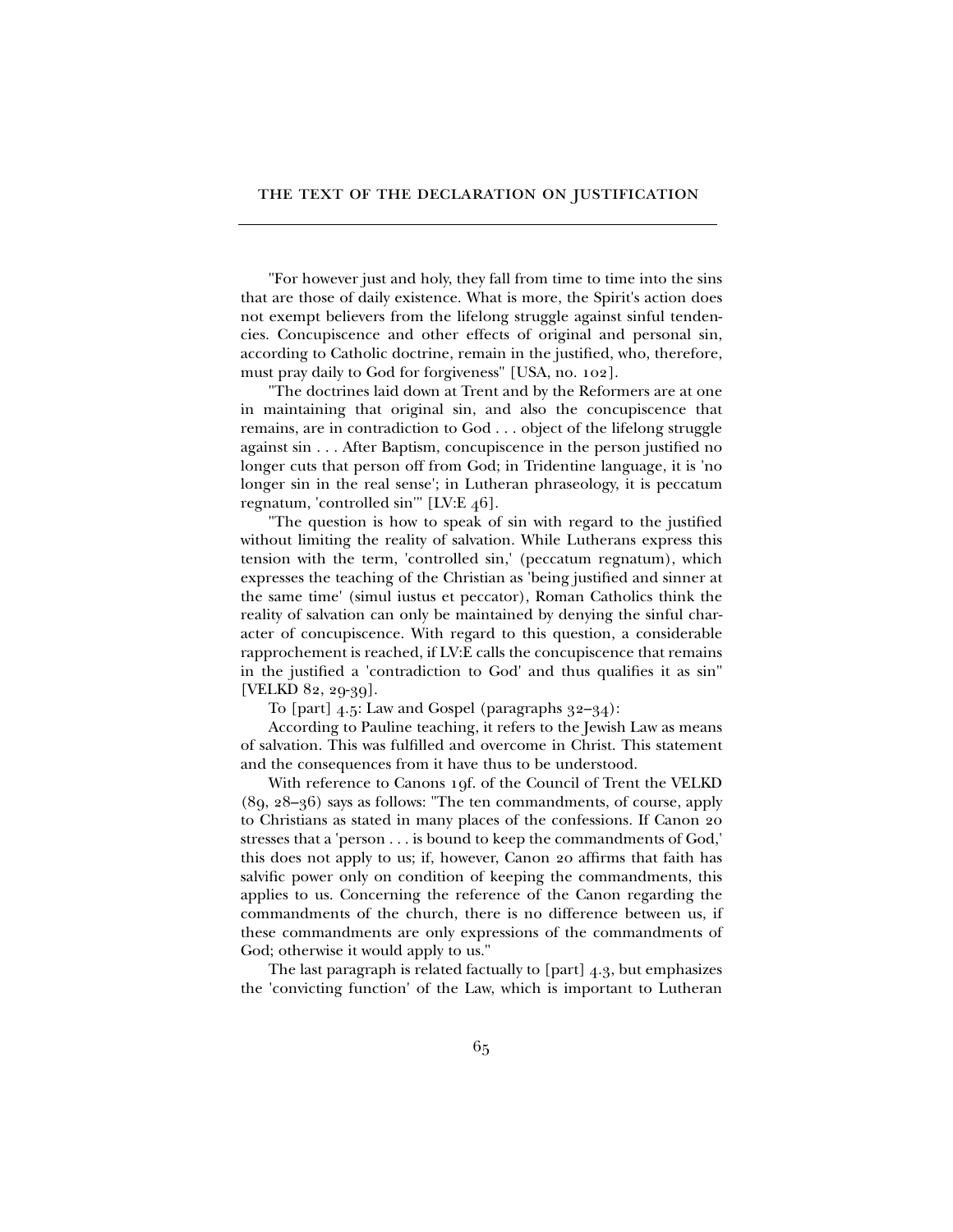"For however just and holy, they fall from time to time into the sins that are those of daily existence. What is more, the Spirit's action does not exempt believers from the lifelong struggle against sinful tendencies. Concupiscence and other effects of original and personal sin, according to Catholic doctrine, remain in the justified, who, therefore, must pray daily to God for forgiveness" [USA, no. 102].

"The doctrines laid down at Trent and by the Reformers are at one in maintaining that original sin, and also the concupiscence that remains, are in contradiction to God . . . object of the lifelong struggle against sin . . . After Baptism, concupiscence in the person justified no longer cuts that person off from God; in Tridentine language, it is 'no longer sin in the real sense'; in Lutheran phraseology, it is peccatum regnatum, 'controlled sin'" [LV:E 46].

"The question is how to speak of sin with regard to the justified without limiting the reality of salvation. While Lutherans express this tension with the term, 'controlled sin,' (peccatum regnatum), which expresses the teaching of the Christian as 'being justified and sinner at the same time' (simul iustus et peccator), Roman Catholics think the reality of salvation can only be maintained by denying the sinful character of concupiscence. With regard to this question, a considerable rapprochement is reached, if LV:E calls the concupiscence that remains in the justified a 'contradiction to God' and thus qualifies it as sin" [VELKD 82, 29-39].

To [part]  $4.5$ : Law and Gospel (paragraphs  $32-34$ ):

According to Pauline teaching, it refers to the Jewish Law as means of salvation. This was fulfilled and overcome in Christ. This statement and the consequences from it have thus to be understood.

With reference to Canons 19f. of the Council of Trent the VELKD (89, 28–36) says as follows: "The ten commandments, of course, apply to Christians as stated in many places of the confessions. If Canon 20 stresses that a 'person . . . is bound to keep the commandments of God,' this does not apply to us; if, however, Canon 20 affirms that faith has salvific power only on condition of keeping the commandments, this applies to us. Concerning the reference of the Canon regarding the commandments of the church, there is no difference between us, if these commandments are only expressions of the commandments of God; otherwise it would apply to us."

The last paragraph is related factually to [part] 4.3, but emphasizes the 'convicting function' of the Law, which is important to Lutheran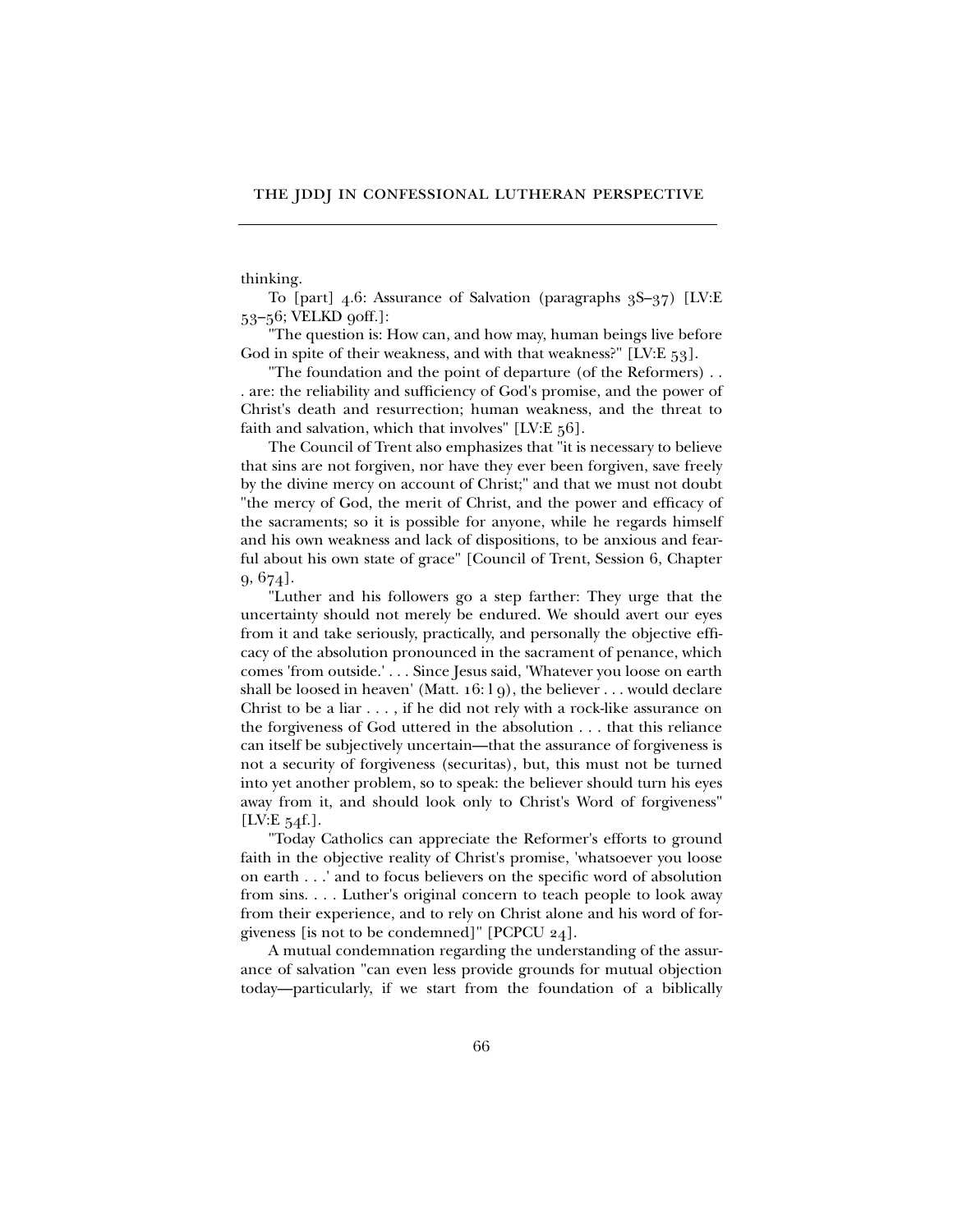thinking.

To [part] 4.6: Assurance of Salvation (paragraphs 3S–37) [LV:E 53–56; VELKD 90ff.]:

"The question is: How can, and how may, human beings live before God in spite of their weakness, and with that weakness?" [LV:E 53].

"The foundation and the point of departure (of the Reformers) . . . are: the reliability and sufficiency of God's promise, and the power of Christ's death and resurrection; human weakness, and the threat to faith and salvation, which that involves" [LV:E 56].

The Council of Trent also emphasizes that "it is necessary to believe that sins are not forgiven, nor have they ever been forgiven, save freely by the divine mercy on account of Christ;" and that we must not doubt "the mercy of God, the merit of Christ, and the power and efficacy of the sacraments; so it is possible for anyone, while he regards himself and his own weakness and lack of dispositions, to be anxious and fearful about his own state of grace" [Council of Trent, Session 6, Chapter 9, 674].

"Luther and his followers go a step farther: They urge that the uncertainty should not merely be endured. We should avert our eyes from it and take seriously, practically, and personally the objective efficacy of the absolution pronounced in the sacrament of penance, which comes 'from outside.' . . . Since Jesus said, 'Whatever you loose on earth shall be loosed in heaven' (Matt.  $16:19$ ), the believer ... would declare Christ to be a liar . . . , if he did not rely with a rock-like assurance on the forgiveness of God uttered in the absolution . . . that this reliance can itself be subjectively uncertain—that the assurance of forgiveness is not a security of forgiveness (securitas), but, this must not be turned into yet another problem, so to speak: the believer should turn his eyes away from it, and should look only to Christ's Word of forgiveness" [LV: $E$  54f.].

"Today Catholics can appreciate the Reformer's efforts to ground faith in the objective reality of Christ's promise, 'whatsoever you loose on earth . . .' and to focus believers on the specific word of absolution from sins. . . . Luther's original concern to teach people to look away from their experience, and to rely on Christ alone and his word of forgiveness [is not to be condemned]" [PCPCU 24].

A mutual condemnation regarding the understanding of the assurance of salvation "can even less provide grounds for mutual objection today—particularly, if we start from the foundation of a biblically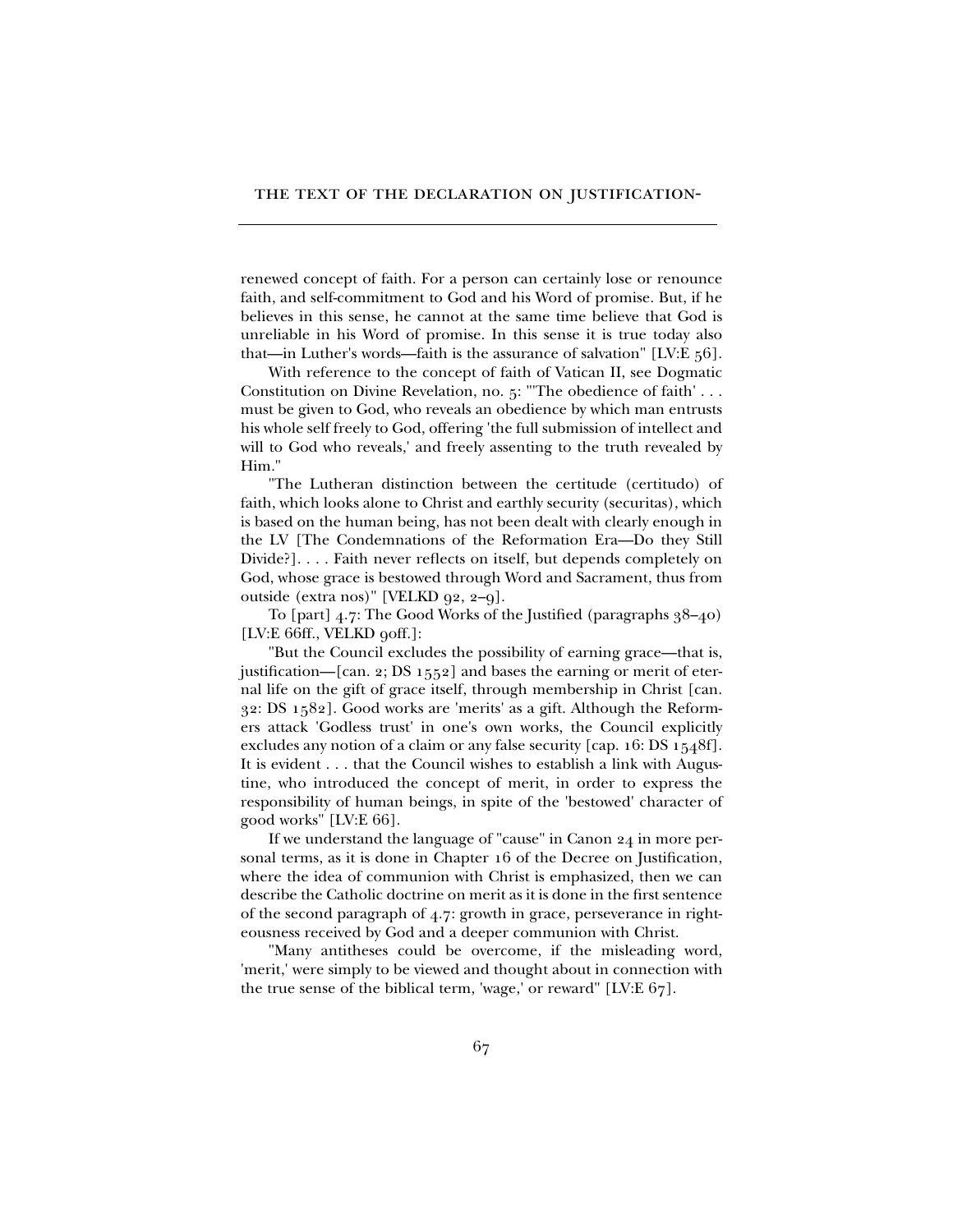renewed concept of faith. For a person can certainly lose or renounce faith, and self-commitment to God and his Word of promise. But, if he believes in this sense, he cannot at the same time believe that God is unreliable in his Word of promise. In this sense it is true today also that—in Luther's words—faith is the assurance of salvation" [LV:E 56].

With reference to the concept of faith of Vatican II, see Dogmatic Constitution on Divine Revelation, no. 5: "'The obedience of faith' . . . must be given to God, who reveals an obedience by which man entrusts his whole self freely to God, offering 'the full submission of intellect and will to God who reveals,' and freely assenting to the truth revealed by Him."

"The Lutheran distinction between the certitude (certitudo) of faith, which looks alone to Christ and earthly security (securitas), which is based on the human being, has not been dealt with clearly enough in the LV [The Condemnations of the Reformation Era—Do they Still Divide?]. . . . Faith never reflects on itself, but depends completely on God, whose grace is bestowed through Word and Sacrament, thus from outside (extra nos)" [VELKD 92, 2–9].

To [part] 4.7: The Good Works of the Justified (paragraphs 38–40) [LV:E 66ff., VELKD 90ff.]:

"But the Council excludes the possibility of earning grace—that is, justification—[can. 2; DS 1552] and bases the earning or merit of eternal life on the gift of grace itself, through membership in Christ [can. 32: DS 1582]. Good works are 'merits' as a gift. Although the Reformers attack 'Godless trust' in one's own works, the Council explicitly excludes any notion of a claim or any false security [cap. 16: DS 1548f]. It is evident . . . that the Council wishes to establish a link with Augustine, who introduced the concept of merit, in order to express the responsibility of human beings, in spite of the 'bestowed' character of good works" [LV:E 66].

If we understand the language of "cause" in Canon 24 in more personal terms, as it is done in Chapter 16 of the Decree on Justification, where the idea of communion with Christ is emphasized, then we can describe the Catholic doctrine on merit as it is done in the first sentence of the second paragraph of 4.7: growth in grace, perseverance in righteousness received by God and a deeper communion with Christ.

"Many antitheses could be overcome, if the misleading word, 'merit,' were simply to be viewed and thought about in connection with the true sense of the biblical term, 'wage,' or reward"  $[LV:E 67]$ .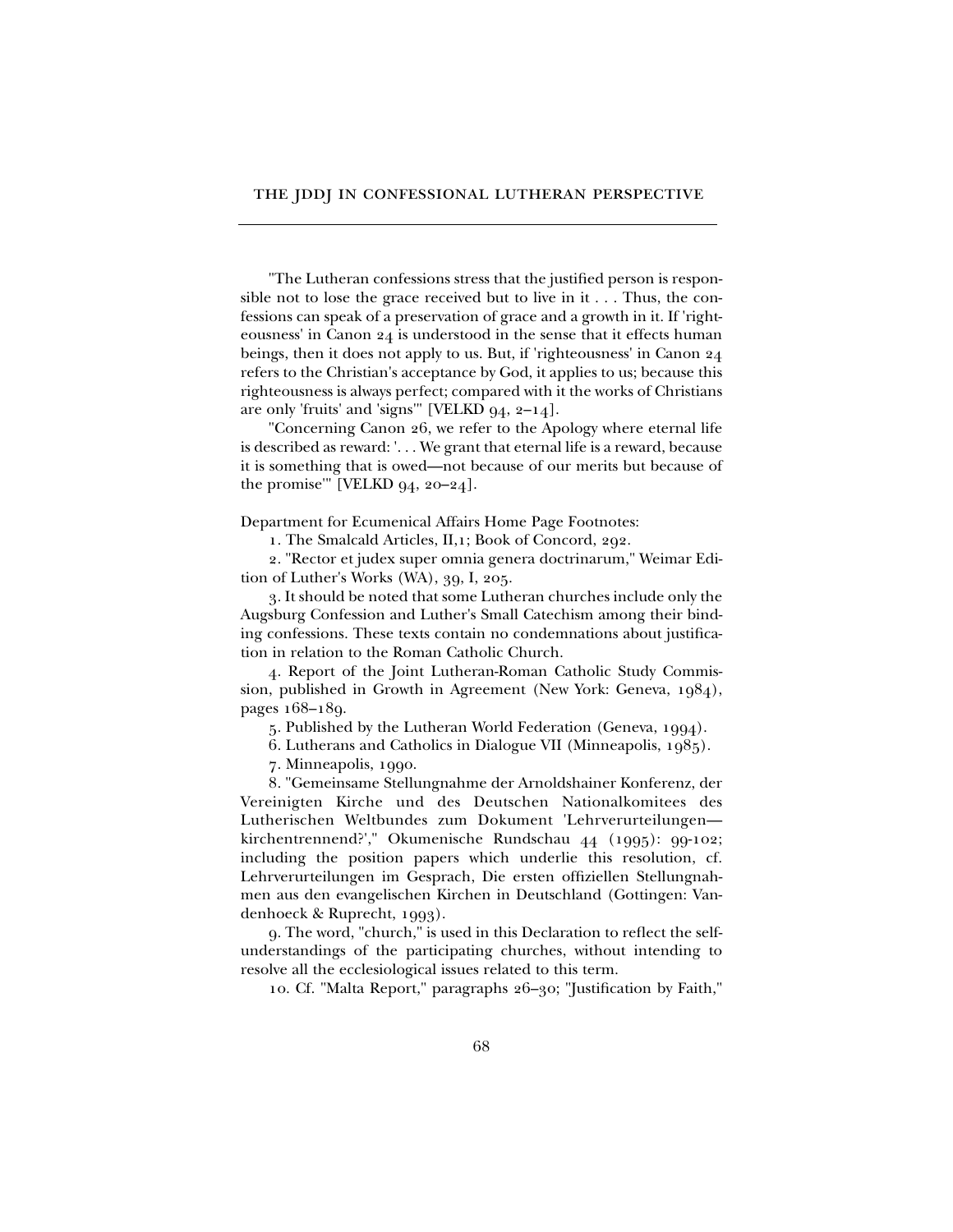"The Lutheran confessions stress that the justified person is responsible not to lose the grace received but to live in it . . . Thus, the confessions can speak of a preservation of grace and a growth in it. If 'righteousness' in Canon 24 is understood in the sense that it effects human beings, then it does not apply to us. But, if 'righteousness' in Canon 24 refers to the Christian's acceptance by God, it applies to us; because this righteousness is always perfect; compared with it the works of Christians are only 'fruits' and 'signs'" [VELKD 94, 2–14].

"Concerning Canon 26, we refer to the Apology where eternal life is described as reward: '. . . We grant that eternal life is a reward, because it is something that is owed—not because of our merits but because of the promise"" [VELKD  $94, 20-24$ ].

Department for Ecumenical Affairs Home Page Footnotes:

1. The Smalcald Articles, II,1; Book of Concord, 292.

2. "Rector et judex super omnia genera doctrinarum," Weimar Edition of Luther's Works (WA), 39, I, 205.

3. It should be noted that some Lutheran churches include only the Augsburg Confession and Luther's Small Catechism among their binding confessions. These texts contain no condemnations about justification in relation to the Roman Catholic Church.

4. Report of the Joint Lutheran-Roman Catholic Study Commission, published in Growth in Agreement (New York: Geneva, 1984), pages 168–189.

5. Published by the Lutheran World Federation (Geneva, 1994).

6. Lutherans and Catholics in Dialogue VII (Minneapolis, 1985).

7. Minneapolis, 1990.

8. "Gemeinsame Stellungnahme der Arnoldshainer Konferenz, der Vereinigten Kirche und des Deutschen Nationalkomitees des Lutherischen Weltbundes zum Dokument 'Lehrverurteilungen kirchentrennend?'," Okumenische Rundschau 44 (1995): 99-102; including the position papers which underlie this resolution, cf. Lehrverurteilungen im Gesprach, Die ersten offiziellen Stellungnahmen aus den evangelischen Kirchen in Deutschland (Gottingen: Vandenhoeck & Ruprecht, 1993).

9. The word, "church," is used in this Declaration to reflect the selfunderstandings of the participating churches, without intending to resolve all the ecclesiological issues related to this term.

10. Cf. "Malta Report," paragraphs 26–30; "Justification by Faith,"